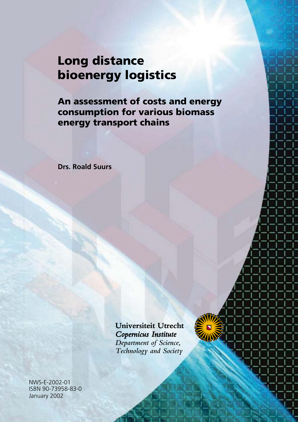## Long distance bioenergy logistics

An assessment of costs and energy consumption for various biomass energy transport chains

**Drs. Roald Suurs**

**Universiteit Utrecht** *Copernicus Institute Institute Department of Science, Technology and Society*

NWS-E-2002-01 ISBN 90-73958-83-0 January 2002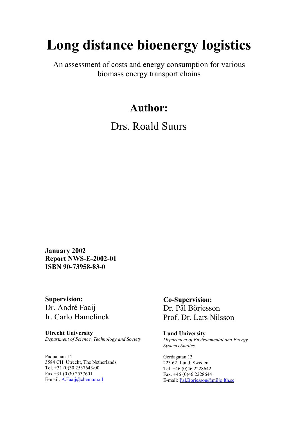# **Long distance bioenergy logistics**

An assessment of costs and energy consumption for various biomass energy transport chains

## **Author:**

## Drs. Roald Suurs

**January 2002 Report NWS-E-2002-01 ISBN 90-73958-83-0**

**Supervision:** Dr. André Faaij Ir. Carlo Hamelinck

**Utrecht University** *Department of Science, Technology and Society*

Padualaan 14 3584 CH Utrecht, The Netherlands Tel. +31 (0)30 2537643/00 Fax +31 (0)30 2537601 E-mail: [A.Faaij@chem.uu.nl](mailto:A.Faaij@chem.uu.nl)

**Co-Supervision:** Dr. Pål Börjesson Prof. Dr. Lars Nilsson

**Lund University** *Department of Environmental and Energy Systems Studies*

Gerdagatan 13 223 62 Lund, Sweden Tel. +46 (0)46 2228642 Fax. +46 (0)46 2228644 E-mail: [Pal.Borjesson@miljo.lth.se](mailto:Pal.Borjesson@miljo.lth.se)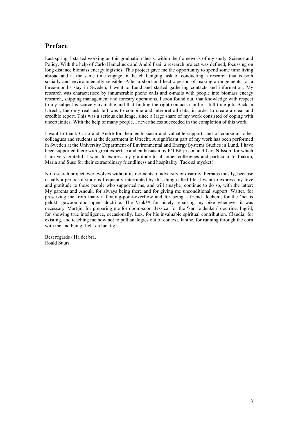## <span id="page-3-0"></span>**Preface**

Last spring, I started working on this graduation thesis, within the framework of my study, Science and Policy. With the help of Carlo Hamelinck and André Faaij a research project was defined, focussing on long distance biomass energy logistics. This project gave me the opportunity to spend some time living abroad and at the same time engage in the challenging task of conducting a research that is both socially and environmentally sensible. After a short and hectic period of making arrangements for a three-months stay in Sweden, I went to Lund and started gathering contacts and information. My research was characterised by innumerable phone calls and e-mails with people into biomass energy research, shipping management and forestry operations. I soon found out, that knowledge with respect to my subject is scarcely available and that finding the right contacts can be a full-time job. Back in Utrecht, the only real task left was to combine and interpret all data, in order to create a clear and credible report. This was a serious challenge, since a large share of my work consisted of coping with uncertainties. With the help of many people, I nevertheless succeeded in the completion of this work.

I want to thank Carlo and André for their enthusiasm and valuable support, and of course all other colleagues and students at the department in Utrecht. A significant part of my work has been performed in Sweden at the University Department of Environmental and Energy Systems Studies in Lund. I have been supported there with great expertise and enthusiasm by Pål Börjesson and Lars Nilsson, for which I am very grateful. I want to express my gratitude to all other colleagues and particular to Joakim, Maria and Suse for their extraordinary friendliness and hospitality. Tack så mycket!

No research project ever evolves without its moments of adversity or disarray. Perhaps mostly, because usually a period of study is frequently interrupted by this thing called life. I want to express my love and gratitude to those people who supported me, and will (maybe) continue to do so, with the latter: My parents and Anouk, for always being there and for giving me unconditional support. Walter, for preserving me from many a floating-point-overflow and for being a friend. Jochem, for the 'het is gelukt, gewoon doorlopen' doctrine. The Vink™ for nicely repairing my bike whenever it was necessary. Martijn, for preparing me for doom-soon. Jessica, for the 'kan je denken' doctrine. Ingrid, for showing true intelligence, occasionally. Lex, for his invaluable spiritual contribution. Claudia, for existing, and teaching me how not to pull analogies out of context. Ianthe, for running through the corn with me and being 'licht en luchtig'.

Best regards / Ha det bra, Roald Suurs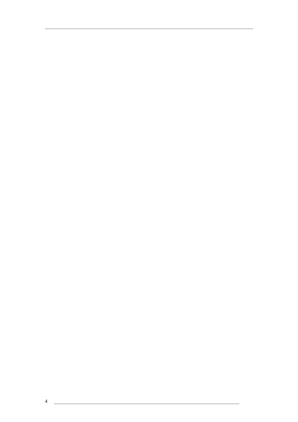$4 \quad \qquad$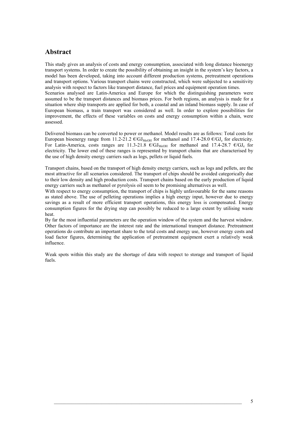## <span id="page-5-0"></span>**Abstract**

This study gives an analysis of costs and energy consumption, associated with long distance bioenergy transport systems. In order to create the possibility of obtaining an insight in the system's key factors, a model has been developed, taking into account different production systems, pretreatment operations and transport options. Various transport chains were constructed, which were subjected to a sensitivity analysis with respect to factors like transport distance, fuel prices and equipment operation times. Scenarios analysed are Latin-America and Europe for which the distinguishing parameters were assumed to be the transport distances and biomass prices. For both regions, an analysis is made for a situation where ship transports are applied for both, a coastal and an inland biomass supply. In case of European biomass, a train transport was considered as well. In order to explore possibilities for improvement, the effects of these variables on costs and energy consumption within a chain, were assessed.

Delivered biomass can be converted to power or methanol. Model results are as follows: Total costs for European bioenergy range from 11.2-21.2  $\epsilon/GJ_{\text{MeOH}}$  for methanol and 17.4-28.0  $\epsilon/GJ_{\text{e}}$  for electricity. For Latin-America, costs ranges are 11.3-21.8  $\epsilon/GJ_{\text{MeOH}}$  for methanol and 17.4-28.7  $\epsilon/GJ_{\text{e}}$  for electricity. The lower end of these ranges is represented by transport chains that are characterised by the use of high density energy carriers such as logs, pellets or liquid fuels.

Transport chains, based on the transport of high density energy carriers, such as logs and pellets, are the most attractive for all scenarios considered. The transport of chips should be avoided categorically due to their low density and high production costs. Transport chains based on the early production of liquid energy carriers such as methanol or pyrolysis oil seem to be promising alternatives as well.

With respect to energy consumption, the transport of chips is highly unfavourable for the same reasons as stated above. The use of pelleting operations implies a high energy input, however due to energy savings as a result of more efficient transport operations, this energy loss is compensated. Energy consumption figures for the drying step can possibly be reduced to a large extent by utilising waste heat.

By far the most influential parameters are the operation window of the system and the harvest window. Other factors of importance are the interest rate and the international transport distance. Pretreatment operations do contribute an important share to the total costs and energy use, however energy costs and load factor figures, determining the application of pretreatment equipment exert a relatively weak influence.

Weak spots within this study are the shortage of data with respect to storage and transport of liquid fuels.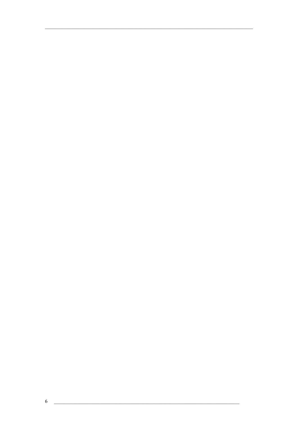$6 \quad \qquad$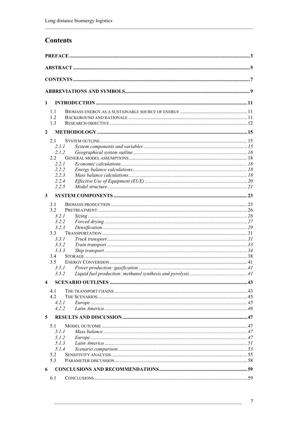## **Contents**

| 1            |                |  |  |  |  |
|--------------|----------------|--|--|--|--|
|              | 1.1            |  |  |  |  |
|              | 1.2            |  |  |  |  |
|              | 1.3            |  |  |  |  |
| $\mathbf{2}$ |                |  |  |  |  |
|              | 21             |  |  |  |  |
|              | 2. I . I       |  |  |  |  |
|              | 2.1.2          |  |  |  |  |
|              | 2.2            |  |  |  |  |
|              | 2.2.1          |  |  |  |  |
|              | 2.2.2          |  |  |  |  |
|              | 2.2.3<br>2.2.4 |  |  |  |  |
|              | 2.2.5          |  |  |  |  |
| 3            |                |  |  |  |  |
|              |                |  |  |  |  |
|              | 3.1<br>32      |  |  |  |  |
|              | 3.2.1          |  |  |  |  |
|              | 3.2.2          |  |  |  |  |
|              | 3.2.3          |  |  |  |  |
|              | 3.3            |  |  |  |  |
|              | 3.3.1          |  |  |  |  |
|              | 3.3.2          |  |  |  |  |
|              | 3.3.3          |  |  |  |  |
|              | 3.4            |  |  |  |  |
|              | 3.5            |  |  |  |  |
|              | 3.5.1          |  |  |  |  |
|              | 3.5.2          |  |  |  |  |
| 4            |                |  |  |  |  |
|              | 4.1            |  |  |  |  |
|              | 4.2            |  |  |  |  |
|              | 4.2.1          |  |  |  |  |
|              | 4.2.2          |  |  |  |  |
| 5            |                |  |  |  |  |
|              | 5.1            |  |  |  |  |
|              | 5.1.1          |  |  |  |  |
|              | 5.1.2          |  |  |  |  |
|              | 5.1.3          |  |  |  |  |
|              | 5.1.4          |  |  |  |  |
|              | 5.2<br>5.3     |  |  |  |  |
|              |                |  |  |  |  |
| 6            |                |  |  |  |  |
|              | 6.1            |  |  |  |  |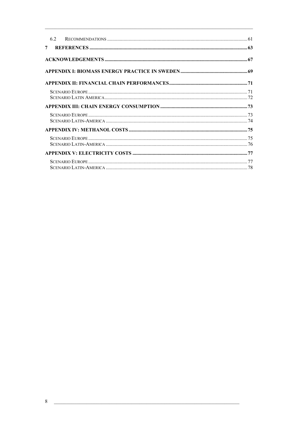| 6.2         |  |
|-------------|--|
| $7^{\circ}$ |  |
|             |  |
|             |  |
|             |  |
|             |  |
|             |  |
|             |  |
|             |  |
|             |  |
|             |  |
|             |  |
|             |  |
|             |  |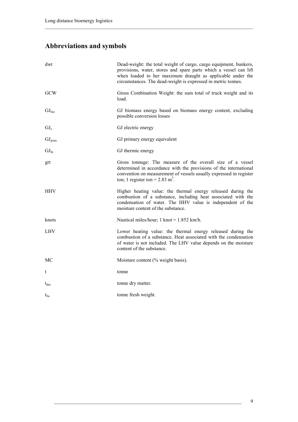## <span id="page-9-0"></span>**Abbreviations and symbols**

| dwt                         | Dead-weight: the total weight of cargo, cargo equipment, bunkers,<br>provisions, water, stores and spare parts which a vessel can lift<br>when loaded to her maximum draught as applicable under the<br>circumstances. The dead-weight is expressed in metric tonnes. |
|-----------------------------|-----------------------------------------------------------------------------------------------------------------------------------------------------------------------------------------------------------------------------------------------------------------------|
| <b>GCW</b>                  | Gross Combination Weight: the sum total of truck weight and its<br>load.                                                                                                                                                                                              |
| GJ <sub>bio</sub>           | GJ biomass energy based on biomass energy content, excluding<br>possible conversion losses                                                                                                                                                                            |
| $GJ_{e}$                    | GJ electric energy                                                                                                                                                                                                                                                    |
| $\mathrm{GJ}_{\text{prim}}$ | GJ primary energy equivalent                                                                                                                                                                                                                                          |
| $\mathrm{GJ_{th}}$          | GJ thermic energy                                                                                                                                                                                                                                                     |
| grt                         | Gross tonnage: The measure of the overall size of a vessel<br>determined in accordance with the provisions of the international<br>convention on measurement of vessels usually expressed in register<br>ton; 1 register ton = $2.83$ m <sup>3</sup> .                |
| <b>HHV</b>                  | Higher heating value: the thermal energy released during the<br>combustion of a substance, including heat associated with the<br>condensation of water. The HHV value is independent of the<br>moisture content of the substance.                                     |
| knots                       | Nautical miles/hour; $1 \text{ knot} = 1.852 \text{ km/h}$ .                                                                                                                                                                                                          |
| <b>LHV</b>                  | Lower heating value: the thermal energy released during the<br>combustion of a substance. Heat associated with the condensation<br>of water is not included. The LHV value depends on the moisture<br>content of the substance.                                       |
| MC                          | Moisture content (% weight basis).                                                                                                                                                                                                                                    |
| t                           | tonne                                                                                                                                                                                                                                                                 |
| $t_{dm}$                    | tonne dry matter.                                                                                                                                                                                                                                                     |
| $t_{\rm fw}$                | tonne fresh weight.                                                                                                                                                                                                                                                   |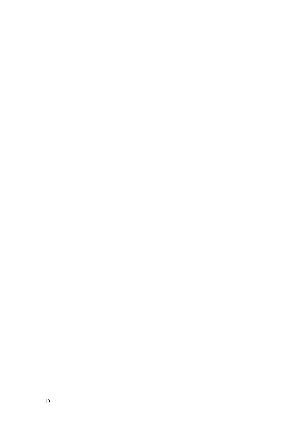$\overline{\phantom{a}}$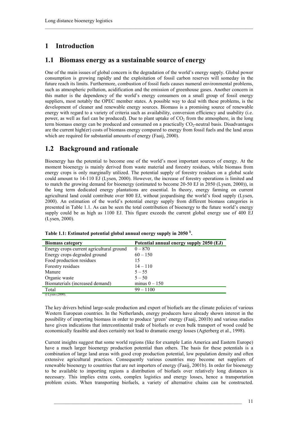## <span id="page-11-0"></span>**1 Introduction**

## **1.1 Biomass energy as a sustainable source of energy**

One of the main issues of global concern is the degradation of the world's energy supply. Global power consumption is growing rapidly and the exploitation of fossil carbon reserves will someday in the future reach its limits. Furthermore, combustion of fossil fuels causes numeral environmental problems, such as atmospheric pollution, acidification and the emission of greenhouse gases. Another concern in this matter is the dependency of the world's energy consumers on a small group of fossil energy suppliers, most notably the OPEC member states. A possible way to deal with these problems, is the development of cleaner and renewable energy sources. Biomass is a promising source of renewable energy with regard to a variety of criteria such as availability, conversion efficiency and usability (i.e. power, as well as fuel can be produced). Due to plant uptake of  $CO<sub>2</sub>$  from the atmosphere, in the long term biomass energy can be produced and consumed on a practically  $CO<sub>2</sub>$ -neutral basis. Disadvantages are the current high(er) costs of biomass energy compared to energy from fossil fuels and the land areas which are required for substantial amounts of energy (Faaij, 2000).

## **1.2 Background and rationale**

Bioenergy has the potential to become one of the world's most important sources of energy. At the moment bioenergy is mainly derived from waste material and forestry residues, while biomass from energy crops is only marginally utilized. The potential supply of forestry residues on a global scale could amount to 14-110 EJ (Lysen, 2000). However, the increase of forestry operations is limited and to match the growing demand for bioenergy (estimated to become 20-50 EJ in 2050 (Lysen, 2000)), in the long term dedicated energy plantations are essential. In theory, energy farming on current agricultural land could contribute over 800 EJ, without jeopardising the world's food supply (Lysen, 2000). An estimation of the world's potential energy supply from different biomass categories is presented in Table 1.1. As can be seen the total contribution of bioenergy to the future world's energy supply could be as high as 1100 EJ. This figure exceeds the current global energy use of 400 EJ (Lysen, 2000).

| <b>Biomass category</b>                  | Potential annual energy supply 2050 (EJ) |
|------------------------------------------|------------------------------------------|
| Energy crops current agricultural ground | $0 - 870$                                |
| Energy crops degraded ground             | $60 - 150$                               |
| Food production residues                 | 15                                       |
| Forestry residues                        | $14 - 110$                               |
| Manure                                   | $5 - 55$                                 |
| Organic waste                            | $5 - 50$                                 |
| Biomaterials (increased demand)          | minus $0 - 150$                          |
| Total                                    | $99 - 1100$                              |
| i) Lysen $(2000)$ .                      |                                          |

**Table 1.1: Estimated potential global annual energy supply in 2050 i) .**

The key drivers behind large-scale production and export of biofuels are the climate policies of various Western European countries. In the Netherlands, energy producers have already shown interest in the possibility of importing biomass in order to produce 'green' energy (Faaij, 2001b) and various studies have given indications that intercontinental trade of biofuels or even bulk transport of wood could be economically feasible and does certainly not lead to dramatic energy losses (Agterberg et al., 1998).

Current insights suggest that some world regions (like for example Latin America and Eastern Europe) have a much larger bioenergy production potential than others. The basis for these potentials is a combination of large land areas with good crop production potential, low population density and often extensive agricultural practices. Consequently various countries may become net suppliers of renewable bioenergy to countries that are net importers of energy (Faaij, 2001b). In order for bioenergy to be available to importing regions a distribution of biofuels over relatively long distances is necessary. This implies extra costs, complex logistics and energy losses, hence a transportation problem exists. When transporting biofuels, a variety of alternative chains can be constructed.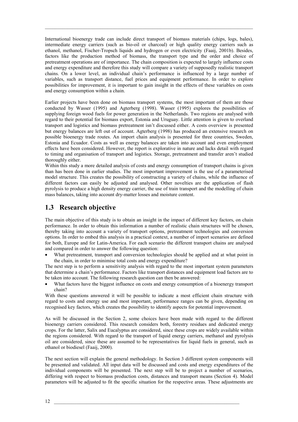<span id="page-12-0"></span>International bioenergy trade can include direct transport of biomass materials (chips, logs, bales), intermediate energy carriers (such as bio-oil or charcoal) or high quality energy carriers such as ethanol, methanol, Fischer-Tropsch liquids and hydrogen or even electricity (Faaij, 2001b). Besides, factors like the production method of biomass, the transport type and the order and choice of pretreatment operations are of importance. The chain composition is expected to largely influence costs and energy expenditure and therefore this study will compare a variety of supposedly realistic transport chains. On a lower level, an individual chain's performance is influenced by a large number of variables, such as transport distance, fuel prices and equipment performance. In order to explore possibilities for improvement, it is important to gain insight in the effects of these variables on costs and energy consumption within a chain.

Earlier projects have been done on biomass transport systems, the most important of them are those conducted by Wasser (1995) and Agterberg (1998). Wasser (1995) explores the possibilities of supplying foreign wood fuels for power generation in the Netherlands. Two regions are analysed with regard to their potential for biomass export, Estonia and Uruguay. Little attention is given to overland transport and logistics and biomass pretreatment isn't discussed either. A costs overview is presented but energy balances are left out of account. Agterberg (1998) has produced an extensive research on possible bioenergy trade routes. An import chain analysis is presented for three countries, Sweden, Estonia and Ecuador. Costs as well as energy balances are taken into account and even employment effects have been considered. However, the report is explorative in nature and lacks detail with regard to timing and organisation of transport and logistics. Storage, pretreatment and transfer aren't studied thoroughly either.

Within this study a more detailed analysis of costs and energy consumption of transport chains is given than has been done in earlier studies. The most important improvement is the use of a parameterised model structure. This creates the possibility of constructing a variety of chains, while the influence of different factors can easily be adjusted and analysed. Other novelties are the application of flash pyrolysis to produce a high density energy carrier, the use of train transport and the modelling of chain mass balances, taking into account dry-matter losses and moisture content.

## **1.3 Research objective**

The main objective of this study is to obtain an insight in the impact of different key factors, on chain performance. In order to obtain this information a number of realistic chain structures will be chosen, thereby taking into account a variety of transport options, pretreatment technologies and conversion options. In order to embed this analysis in a practical context, a number of import scenarios are defined for both, Europe and for Latin-America. For each scenario the different transport chains are analysed and compared in order to answer the following question:

• What pretreatment, transport and conversion technologies should be applied and at what point in the chain, in order to minimise total costs and energy expenditure?

The next step is to perform a sensitivity analysis with regard to the most important system parameters that determine a chain's performance. Factors like transport distances and equipment load factors are to be taken into account. The following research question can then be answered:

What factors have the biggest influence on costs and energy consumption of a bioenergy transport chain?

With these questions answered it will be possible to indicate a most efficient chain structure with regard to costs and energy use and most important, performance ranges can be given, depending on recognised key factors, which creates the possibility to identify aspects for potential improvement.

As will be discussed in the Section [2,](#page-15-0) some choices have been made with regard to the different bioenergy carriers considered. This research considers both, forestry residues and dedicated energy crops. For the latter, Salix and Eucalyptus are considered, since these crops are widely available within the regions considered. With regard to the transport of liquid energy carriers, methanol and pyrolysis oil are considered, since these are assumed to be representatives for liquid fuels in general, such as ethanol or biodiesel (Faaij, 2000).

The next section will explain the general methodology. In Section [3](#page-23-0) different system components will be presented and validated. All input data will be discussed and costs and energy expenditures of the individual components will be presented. The next step will be to project a number of scenarios, differing with respect to biomass production costs, distances and transport means (Section [4\)](#page-43-0). Model parameters will be adjusted to fit the specific situation for the respective areas. These adjustments are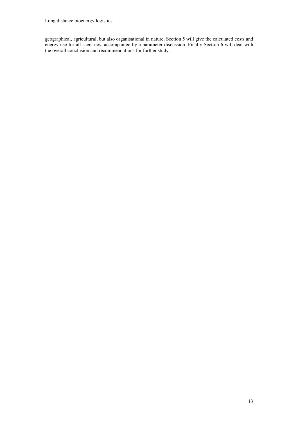geographical, agricultural, but also organisational in nature. Section 5 will give the calculated costs and energy use for all scenarios, accompanied by a parameter discussion. Finally Section 6 will deal with the overall conclusion and recommendations for further study.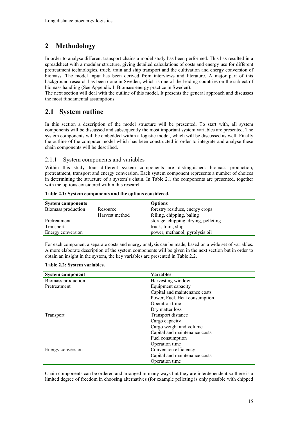## <span id="page-15-0"></span>**2 Methodology**

In order to analyse different transport chains a model study has been performed. This has resulted in a spreadsheet with a modular structure, giving detailed calculations of costs and energy use for different pretreatment technologies, truck, train and ship transport and the cultivation and energy conversion of biomass. The model input has been derived from interviews and literature. A major part of this background research has been done in Sweden, which is one of the leading countries on the subject of biomass handling (See Appendix I: Biomass energy practice in Sweden).

The next section will deal with the outline of this model. It presents the general approach and discusses the most fundamental assumptions.

## **2.1 System outline**

In this section a description of the model structure will be presented. To start with, all system components will be discussed and subsequently the most important system variables are presented. The system components will be embedded within a logistic model, which will be discussed as well. Finally the outline of the computer model which has been constructed in order to integrate and analyse these chain components will be described.

#### 2.1.1 System components and variables

Within this study four different system components are distinguished: biomass production, pretreatment, transport and energy conversion. Each system component represents a number of choices in determining the structure of a system's chain. In Table 2.1 the components are presented, together with the options considered within this research.

| <b>System components</b> |                | <b>Options</b>                       |
|--------------------------|----------------|--------------------------------------|
| Biomass production       | Resource       | forestry residues, energy crops      |
|                          | Harvest method | felling, chipping, baling            |
| Pretreatment             |                | storage, chipping, drying, pelleting |
| Transport                |                | truck, train, ship                   |
| Energy conversion        |                | power, methanol, pyrolysis oil       |
|                          |                |                                      |

#### **Table 2.1: System components and the options considered.**

For each component a separate costs and energy analysis can be made, based on a wide set of variables. A more elaborate description of the system components will be given in the next section but in order to obtain an insight in the system, the key variables are presented in Table 2.2.

|  | Table 2.2: System variables. |
|--|------------------------------|
|  |                              |

| <b>System component</b> | <b>Variables</b>              |
|-------------------------|-------------------------------|
| Biomass production      | Harvesting window             |
| Pretreatment            | Equipment capacity            |
|                         | Capital and maintenance costs |
|                         | Power, Fuel, Heat consumption |
|                         | Operation time                |
|                         | Dry matter loss               |
| Transport               | Transport distance            |
|                         | Cargo capacity                |
|                         | Cargo weight and volume       |
|                         | Capital and maintenance costs |
|                         | Fuel consumption              |
|                         | Operation time                |
| Energy conversion       | Conversion efficiency         |
|                         | Capital and maintenance costs |
|                         | Operation time                |

Chain components can be ordered and arranged in many ways but they are interdependent so there is a limited degree of freedom in choosing alternatives (for example pelleting is only possible with chipped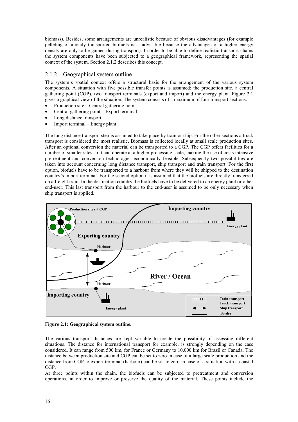<span id="page-16-0"></span>biomass). Besides, some arrangements are unrealistic because of obvious disadvantages (for example pelleting of already transported biofuels isn't advisable because the advantages of a higher energy density are only to be gained during transport). In order to be able to define realistic transport chains the system components have been subjected to a geographical framework, representing the spatial context of the system. Section 2.1.2 describes this concept.

### 2.1.2 Geographical system outline

The system's spatial context offers a structural basis for the arrangement of the various system components. A situation with five possible transfer points is assumed: the production site, a central gathering point (CGP), two transport terminals (export and import) and the energy plant. Figure 2.1 gives a graphical view of the situation. The system consists of a maximum of four transport sections:

- Production site Central gathering point
- Central gathering point Export terminal
- Long distance transport
- Import terminal Energy plant

The long distance transport step is assumed to take place by train or ship. For the other sections a truck transport is considered the most realistic. Biomass is collected locally at small scale production sites. After an optional conversion the material can be transported to a CGP. The CGP offers facilities for a number of smaller sites so it can operate at a higher processing scale, making the use of costs intensive pretreatment and conversion technologies economically feasible. Subsequently two possibilities are taken into account concerning long distance transport, ship transport and train transport. For the first option, biofuels have to be transported to a harbour from where they will be shipped to the destination country's import terminal. For the second option it is assumed that the biofuels are directly transferred on a freight train. In the destination country the biofuels have to be delivered to an energy plant or other end-user. This last transport from the harbour to the end-user is assumed to be only necessary when ship transport is applied.



**Figure 2.1: Geographical system outline.**

The various transport distances are kept variable to create the possibility of assessing different situations. The distance for international transport for example, is strongly depending on the case considered. It can range from 500 km, for France or Germany to 10,000 km for Brazil or Canada. The distance between production site and CGP can be set to zero in case of a large scale production and the distance from CGP to export terminal (harbour) can be set to zero in case of a situation with a coastal CGP.

At three points within the chain, the biofuels can be subjected to pretreatment and conversion operations, in order to improve or preserve the quality of the material. These points include the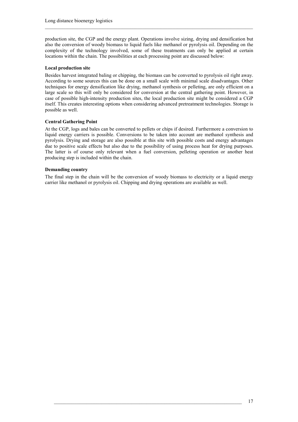production site, the CGP and the energy plant. Operations involve sizing, drying and densification but also the conversion of woody biomass to liquid fuels like methanol or pyrolysis oil. Depending on the complexity of the technology involved, some of these treatments can only be applied at certain locations within the chain. The possibilities at each processing point are discussed below:

#### **Local production site**

Besides harvest integrated baling or chipping, the biomass can be converted to pyrolysis oil right away. According to some sources this can be done on a small scale with minimal scale disadvantages. Other techniques for energy densification like drying, methanol synthesis or pelleting, are only efficient on a large scale so this will only be considered for conversion at the central gathering point. However, in case of possible high-intensity production sites, the local production site might be considered a CGP itself. This creates interesting options when considering advanced pretreatment technologies. Storage is possible as well.

#### **Central Gathering Point**

At the CGP, logs and bales can be converted to pellets or chips if desired. Furthermore a conversion to liquid energy carriers is possible. Conversions to be taken into account are methanol synthesis and pyrolysis. Drying and storage are also possible at this site with possible costs and energy advantages due to positive scale effects but also due to the possibility of using process heat for drying purposes. The latter is of course only relevant when a fuel conversion, pelleting operation or another heat producing step is included within the chain.

#### **Demanding country**

The final step in the chain will be the conversion of woody biomass to electricity or a liquid energy carrier like methanol or pyrolysis oil. Chipping and drying operations are available as well.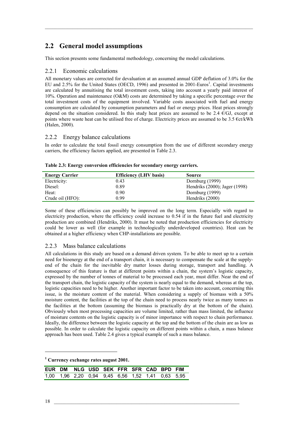## <span id="page-18-0"></span>**2.2 General model assumptions**

This section presents some fundamental methodology, concerning the model calculations.

#### 2.2.1 Economic calculations

All monetary values are corrected for devaluation at an assumed annual GDP deflation of 3.0% for the EU and 2.5% for the United States (OECD, 1996) and presented in 2001-Euros<sup>1</sup>. Capital investments are calculated by annuitising the total investment costs, taking into account a yearly paid interest of 10%. Operation and maintenance (O&M) costs are determined by taking a specific percentage over the total investment costs of the equipment involved. Variable costs associated with fuel and energy consumption are calculated by consumption parameters and fuel or energy prices. Heat prices strongly depend on the situation considered. In this study heat prices are assumed to be 2.4  $\epsilon/GJ$ , except at points where waste heat can be utilised free of charge. Electricity prices are assumed to be 3.5 €ct/kWh (Halen, 2000).

#### 2.2.2 Energy balance calculations

In order to calculate the total fossil energy consumption from the use of different secondary energy carriers, the efficiency factors applied, are presented in Table 2.3.

| <b>Energy Carrier</b> | <b>Efficiency (LHV basis)</b> | <b>Source</b>                 |
|-----------------------|-------------------------------|-------------------------------|
| Electricity:          | 0.43                          | Dornburg (1999)               |
| Diesel:               | 0.89                          | Hendriks (2000); Jager (1998) |
| Heat:                 | 0.90                          | Dornburg (1999)               |
| Crude oil $(HFO)$ :   | 0 99                          | Hendriks (2000)               |

| Table 2.3: Energy conversion efficiencies for secondary energy carriers. |  |  |
|--------------------------------------------------------------------------|--|--|
|--------------------------------------------------------------------------|--|--|

Some of these efficiencies can possibly be improved on the long term. Especially with regard to electricity production, where the efficiency could increase to 0.54 if in the future fuel and electricity production are combined (Hendriks, 2000). It must be noted that production efficiencies for electricity could be lower as well (for example in technologically underdeveloped countries). Heat can be obtained at a higher efficiency when CHP-installations are possible.

#### 2.2.3 Mass balance calculations

All calculations in this study are based on a demand driven system. To be able to meet up to a certain need for bioenergy at the end of a transport chain, it is necessary to compensate the scale at the supplyend of the chain for the inevitable dry matter losses during storage, transport and handling. A consequence of this feature is that at different points within a chain, the system's logistic capacity, expressed by the number of tonnes of material to be processed each year, must differ. Near the end of the transport chain, the logistic capacity of the system is nearly equal to the demand, whereas at the top, logistic capacities need to be higher. Another important factor to be taken into account, concerning this issue, is the moisture content of the material. When considering a supply of biomass with a 50% moisture content, the facilities at the top of the chain need to process nearly twice as many tonnes as the facilities at the bottom (assuming the biomass is practically dry at the bottom of the chain). Obviously when most processing capacities are volume limited, rather than mass limited, the influence of moisture contents on the logistic capacity is of minor importance with respect to chain performance. Ideally, the difference between the logistic capacity at the top and the bottom of the chain are as low as possible. In order to calculate the logistic capacity on different points within a chain, a mass balance approach has been used. [Table 2.4](#page-19-0) gives a typical example of such a mass balance.

**1 Currency exchange rates august 2001.**

|  |  |  | EUR DM NLG USD SEK FFR SFR CAD BPD FIM |                                                   |
|--|--|--|----------------------------------------|---------------------------------------------------|
|  |  |  |                                        | 1,00 1,96 2,20 0,94 9,45 6,56 1,52 1,41 0,63 5,95 |

l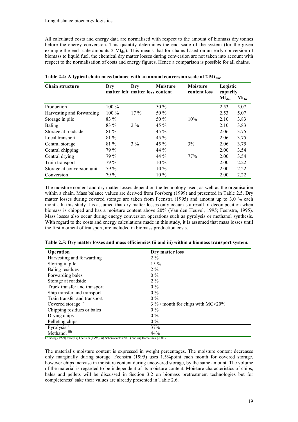<span id="page-19-0"></span>All calculated costs and energy data are normalised with respect to the amount of biomass dry tonnes before the energy conversion. This quantity determines the end scale of the system (for the given example the end scale amounts  $2 \text{ Mt}_{dm}$ ). This means that for chains based on an early conversion of biomass to liquid fuel, the chemical dry matter losses during conversion are not taken into account with respect to the normalisation of costs and energy figures. Hence a comparison is possible for all chains.

| <b>Chain structure</b>     | Dry   | Dry<br>matter left matter loss content | Moisture | <b>Moisture</b><br>content loss | Logistic<br>capacity |           |
|----------------------------|-------|----------------------------------------|----------|---------------------------------|----------------------|-----------|
|                            |       |                                        |          |                                 | $Mt_{dm}$            | $Mt_{fw}$ |
| Production                 | 100 % |                                        | 50 %     |                                 | 2.53                 | 5.07      |
| Harvesting and forwarding  | 100 % | $17\%$                                 | 50 %     |                                 | 2.53                 | 5.07      |
| Storage in pile            | 83 %  |                                        | 50 %     | 10%                             | 2.10                 | 3.83      |
| Baling                     | 83 %  | $2\%$                                  | 45 $%$   |                                 | 2.10                 | 3.83      |
| Storage at roadside        | 81 %  |                                        | 45 %     |                                 | 2.06                 | 3.75      |
| Local transport            | 81 %  |                                        | 45 $%$   |                                 | 2.06                 | 3.75      |
| Central storage            | 81 %  | $3\%$                                  | 45 %     | 3%                              | 2.06                 | 3.75      |
| Central chipping           | 79 %  |                                        | 44 %     |                                 | 2.00                 | 3.54      |
| Central drying             | 79 %  |                                        | $44\%$   | 77%                             | 2.00                 | 3.54      |
| Train transport            | 79 %  |                                        | $10\%$   |                                 | 2.00                 | 2.22      |
| Storage at conversion unit | 79 %  |                                        | $10\%$   |                                 | 2.00                 | 2.22      |
| Conversion                 | 79 %  |                                        | $10\%$   |                                 | 2.00                 | 2.22      |

Table 2.4: A typical chain mass balance with an annual conversion scale of 2 Mt<sub>dm</sub>.

The moisture content and dry matter losses depend on the technology used, as well as the organisation within a chain. Mass balance values are derived from Forsberg (1999) and presented in Table 2.5. Dry matter losses during covered storage are taken from Feenstra (1995) and amount up to 3.0 % each month. In this study it is assumed that dry matter losses only occur as a result of decomposition when biomass is chipped and has a moisture content above 20% (Van den Heuvel, 1995; Feenstra, 1995). Mass losses also occur during energy conversion operations such as pyrolysis or methanol synthesis. With regard to the costs and energy calculations made in this study, it is assumed that mass losses until the first moment of transport, are included in biomass production costs.

| <b>Operation</b>                                                                             | Dry matter loss                     |  |  |  |
|----------------------------------------------------------------------------------------------|-------------------------------------|--|--|--|
| Harvesting and forwarding                                                                    | $2\%$                               |  |  |  |
| Storing in pile                                                                              | $15\%$                              |  |  |  |
| Baling residues                                                                              | $2\%$                               |  |  |  |
| Forwarding bales                                                                             | $0\%$                               |  |  |  |
| Storage at roadside                                                                          | $2\%$                               |  |  |  |
| Truck transfer and transport                                                                 | $0\%$                               |  |  |  |
| Ship transfer and transport                                                                  | $0\%$                               |  |  |  |
| Train transfer and transport                                                                 | $0\%$                               |  |  |  |
| Covered storage <sup>1)</sup>                                                                | $3\%$ / month for chips with MC>20% |  |  |  |
| Chipping residues or bales                                                                   | $0\%$                               |  |  |  |
| Drying chips                                                                                 | $0\%$                               |  |  |  |
| Pelleting chips                                                                              | $0\%$                               |  |  |  |
| Pyrolysis <sup>11</sup>                                                                      | 37%                                 |  |  |  |
| Methanol <sup>iii)</sup>                                                                     | 44%                                 |  |  |  |
| Forsberg (1999) except i) Feenstra (1995), ii) Schenkeveld (2001) and iii) Hamelinck (2001). |                                     |  |  |  |

| Table 2.5: Dry matter losses and mass efficiencies (ii and iii) within a biomass transport system. |  |  |  |
|----------------------------------------------------------------------------------------------------|--|--|--|
|                                                                                                    |  |  |  |

The material's moisture content is expressed in weight percentages. The moisture content decreases only marginally during storage. Feenstra (1995) uses 1.5%point each month for covered storage, however chips increase in moisture content during uncovered storage, by the same amount. The volume of the material is regarded to be independent of its moisture content. Moisture characteristics of chips, bales and pellets will be discussed in Section [3.2](#page-26-0) on biomass pretreatment technologies but for completeness' sake their values are already presented in [Table 2.6.](#page-20-0)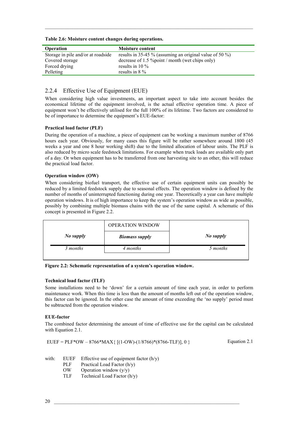<span id="page-20-0"></span>

| Table 2.6: Moisture content changes during operations. |  |  |
|--------------------------------------------------------|--|--|
|--------------------------------------------------------|--|--|

| <b>Operation</b>                   | Moisture content                                        |
|------------------------------------|---------------------------------------------------------|
| Storage in pile and/or at roadside | results in 35-45 % (assuming an original value of 50 %) |
| Covered storage                    | decrease of 1.5 % point / month (wet chips only)        |
| Forced drying                      | results in 10 $\%$                                      |
| Pelleting                          | results in $8\%$                                        |

#### 2.2.4 Effective Use of Equipment (EUE)

When considering high value investments, an important aspect to take into account besides the economical lifetime of the equipment involved, is the actual effective operation time. A piece of equipment won't be effectively utilised for the full 100% of its lifetime. Two factors are considered to be of importance to determine the equipment's EUE-factor:

#### **Practical load factor (PLF)**

During the operation of a machine, a piece of equipment can be working a maximum number of 8766 hours each year. Obviously, for many cases this figure will be rather somewhere around 1800 (45 weeks a year and one 8 hour working shift) due to the limited allocation of labour units. The PLF is also reduced by micro scale feedstock limitations. For example when truck loads are available only part of a day. Or when equipment has to be transferred from one harvesting site to an other, this will reduce the practical load factor.

#### **Operation window (OW)**

When considering biofuel transport, the effective use of certain equipment units can possibly be reduced by a limited feedstock supply due to seasonal effects. The operation window is defined by the number of months of uninterrupted functioning during one year. Theoretically a year can have multiple operation windows. It is of high importance to keep the system's operation window as wide as possible, possibly by combining multiple biomass chains with the use of the same capital. A schematic of this concept is presented in Figure 2.2.

|           | <b>OPERATION WINDOW</b> |           |  |
|-----------|-------------------------|-----------|--|
| No supply | <b>Biomass supply</b>   | No supply |  |
| 3 months  | 4 months                | 5 months  |  |

#### **Figure 2.2: Schematic representation of a system's operation window.**

#### **Technical load factor (TLF)**

Some installations need to be 'down' for a certain amount of time each year, in order to perform maintenance work. When this time is less than the amount of months left out of the operation window, this factor can be ignored. In the other case the amount of time exceeding the 'no supply' period must be subtracted from the operation window.

#### **EUE-factor**

The combined factor determining the amount of time of effective use for the capital can be calculated with Equation 2.1.

|  | EUEF = PLF*OW – 8766*MAX{ [(1-OW)-(1/8766)*(8766-TLF)], 0 } | Equation 2.1 |
|--|-------------------------------------------------------------|--------------|
|--|-------------------------------------------------------------|--------------|

| with: | EUEF Effective use of equipment factor $(h/y)$ |  |
|-------|------------------------------------------------|--|
|       |                                                |  |

- PLF Practical Load Factor (h/y)
- $OW$  Operation window  $(y/y)$
- TLF Technical Load Factor (h/y)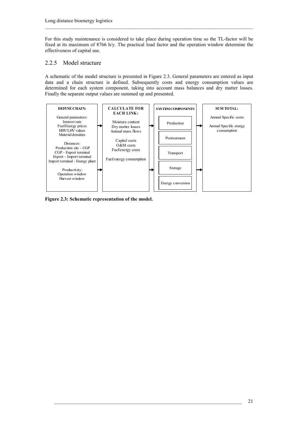<span id="page-21-0"></span>For this study maintenance is considered to take place during operation time so the TL-factor will be fixed at its maximum of 8766 h/y. The practical load factor and the operation window determine the effectiveness of capital use.

#### 2.2.5 Model structure

A schematic of the model structure is presented in Figure 2.3. General parameters are entered as input data and a chain structure is defined. Subsequently costs and energy consumption values are determined for each system component, taking into account mass balances and dry matter losses. Finally the separate output values are summed up and presented.



**Figure 2.3: Schematic representation of the model.**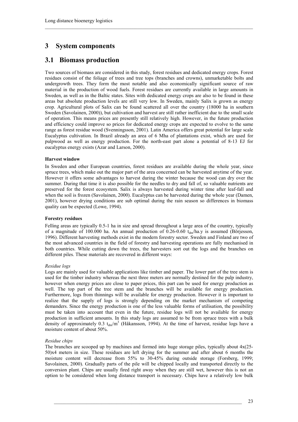## <span id="page-23-0"></span>**3 System components**

### **3.1 Biomass production**

Two sources of biomass are considered in this study, forest residues and dedicated energy crops. Forest residues consist of the foliage of trees and tree tops (branches and crowns), unmarketable bolts and undergrowth trees. They form the most notable and also economically significant source of raw material in the production of wood fuels. Forest residues are currently available in large amounts in Sweden, as well as in the Baltic states. Sites with dedicated energy crops are also to be found in these areas but absolute production levels are still very low. In Sweden, mainly Salix is grown as energy crop. Agricultural plots of Salix can be found scattered all over the country (18000 ha in southern Sweden (Savolainen, 2000)), but cultivation and harvest are still rather inefficient due to the small scale of operation. This means prices are presently still relatively high. However, in the future production and efficiency could improve so prices for dedicated energy crops are expected to evolve to the same range as forest residue wood (Svenningsson, 2001). Latin America offers great potential for large scale Eucalyptus cultivation. In Brazil already an area of 6 Mha of plantations exist, which are used for pulpwood as well as energy production. For the north-east part alone a potential of 8-13 EJ for eucalyptus energy exists (Azar and Larson, 2000).

#### **Harvest window**

In Sweden and other European countries, forest residues are available during the whole year, since spruce trees, which make out the major part of the area concerned can be harvested anytime of the year. However it offers some advantages to harvest during the winter because the wood can dry over the summer. During that time it is also possible for the needles to dry and fall of, so valuable nutrients are preserved for the forest ecosystem. Salix is always harvested during winter time after leaf-fall and when the soil is frozen (Savolainen, 2000). Eucalyptus can be harvested during the whole year (Damen, 2001), however drying conditions are sub optimal during the rain season so differences in biomass quality can be expected (Lowe, 1994).

#### **Forestry residues**

Felling areas are typically 0.5-1 ha in size and spread throughout a large area of the country, typically of a magnitude of 100.000 ha. An annual production of 0.26-0.60  $t_{dm}/h$ a.y is assumed (Börjesson, 1996). Different harvesting methods exist in the modern forestry sector. Sweden and Finland are two of the most advanced countries in the field of forestry and harvesting operations are fully mechanised in both countries. While cutting down the trees, the harvesters sort out the logs and the branches on different piles. These materials are recovered in different ways:

#### *Residue logs*

Logs are mainly used for valuable applications like timber and paper. The lower part of the tree stem is used for the timber industry whereas the next three meters are normally destined for the pulp industry, however when energy prices are close to paper prices, this part can be used for energy production as well. The top part of the tree stem and the branches will be available for energy production. Furthermore, logs from thinnings will be available for energy production. However it is important to realize that the supply of logs is strongly depending on the market mechanism of competing demanders. Since the energy production is one of the less valuable forms of utilisation, the possibility must be taken into account that even in the future, residue logs will not be available for energy production in sufficient amounts. In this study logs are assumed to be from spruce trees with a bulk density of approximately 0.3  $t_{dm}/m^3$  (Håkansson, 1994). At the time of harvest, residue logs have a moisture content of about 50%.

#### *Residue chips*

The branches are scooped up by machines and formed into huge storage piles, typically about  $4x(25-$ 50)x4 meters in size. These residues are left drying for the summer and after about 6 months the moisture content will decrease from 55% to 30-45% during outside storage (Forsberg, 1999; Savolainen, 2000). Gradually parts of the pile will be chipped locally and transported directly to the conversion plant. Chips are usually fired right away when they are still wet, however this is not an option to be considered when long distance transport is necessary. Chips have a relatively low bulk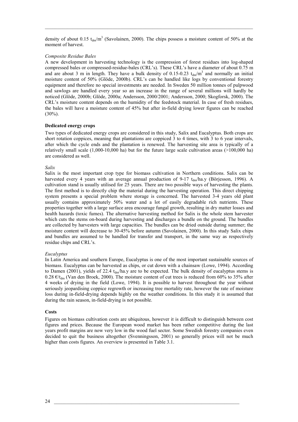density of about 0.15  $t_{dm}/m^3$  (Savolainen, 2000). The chips possess a moisture content of 50% at the moment of harvest.

#### *Composite Residue Bales*

A new development in harvesting technology is the compression of forest residues into log-shaped compressed bales or compressed-residue-bales (CRL's). These CRL's have a diameter of about 0.75 m and are about 3 m in length. They have a bulk density of 0.15-0.23  $t_{dm}/m^3$  and normally an initial moisture content of 50% (Glöde, 2000b). CRL's can be handled like logs by conventional forestry equipment and therefore no special investments are needed. In Sweden 50 million tonnes of pulpwood and sawlogs are handled every year so an increase in the range of several millions will hardly be noticed (Glöde, 2000b; Glöde, 2000a; Andersson, 2000/2001; Andersson, 2000; Skogforsk, 2000). The CRL's moisture content depends on the humidity of the feedstock material. In case of fresh residues, the bales will have a moisture content of 45% but after in-field drying lower figures can be reached  $(30\%)$ .

#### **Dedicated energy crops**

Two types of dedicated energy crops are considered in this study, Salix and Eucalyptus. Both crops are short rotation coppices, meaning that plantations are coppiced 3 to 4 times, with 3 to 6 year intervals, after which the cycle ends and the plantation is renewed. The harvesting site area is typically of a relatively small scale (1,000-10,000 ha) but for the future large scale cultivation areas (>100,000 ha) are considered as well.

#### *Salix*

Salix is the most important crop type for biomass cultivation in Northern conditions. Salix can be harvested every 4 years with an average annual production of 9-17  $t_{dm}/h$ a.y (Börjesson, 1996). A cultivation stand is usually utilised for 25 years. There are two possible ways of harvesting the plants. The first method is to directly chip the material during the harvesting operation. This direct chipping system presents a special problem where storage is concerned. The harvested 3-4 years old plant usually contains approximately 50% water and a lot of easily degradable rich nutrients. These properties together with a large surface area encourage fungal growth, resulting in dry matter losses and health hazards (toxic fumes). The alternative harvesting method for Salix is the whole stem harvester which cuts the stems on-board during harvesting and discharges a bundle on the ground. The bundles are collected by harvesters with large capacities. The bundles can be dried outside during summer; the moisture content will decrease to 30-45% before autumn (Savolainen, 2000). In this study Salix chips and bundles are assumed to be handled for transfer and transport, in the same way as respectively residue chips and CRL's.

#### *Eucalyptus*

In Latin America and southern Europe, Eucalyptus is one of the most important sustainable sources of biomass. Eucalyptus can be harvested as chips, or cut down with a chainsaw (Lowe, 1994). According to Damen (2001), yields of 22.4  $t_{dm}/\text{ha}$ .y are to be expected. The bulk density of eucalyptus stems is 0.28  $\epsilon/t_{dm}$  (Van den Broek, 2000). The moisture content of cut trees is reduced from 60% to 35% after 4 weeks of drying in the field (Lowe, 1994). It is possible to harvest throughout the year without seriously jeopardising coppice regrowth or increasing tree mortality rate, however the rate of moisture loss during in-field-drying depends highly on the weather conditions. In this study it is assumed that during the rain season, in-field-drying is not possible.

#### **Costs**

Figures on biomass cultivation costs are ubiquitous, however it is difficult to distinguish between cost figures and prices. Because the European wood market has been rather competitive during the last years profit margins are now very low in the wood fuel sector. Some Swedish forestry companies even decided to quit the business altogether (Svenningsson, 2001) so generally prices will not be much higher than costs figures. An overview is presented in [Table 3.1.](#page-25-0)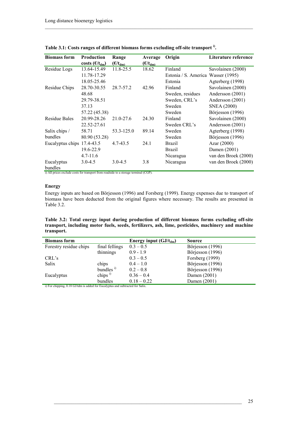| <b>Production</b>           | Range               | Average             | Origin                                                                               | Literature reference |
|-----------------------------|---------------------|---------------------|--------------------------------------------------------------------------------------|----------------------|
| costs ( $\epsilon/t_{dm}$ ) | $(\epsilon/t_{dm})$ | $(\epsilon/t_{dm})$ |                                                                                      |                      |
| 13.64-15.49                 | 11.8-25.5           | 18.62               | Finland                                                                              | Savolainen (2000)    |
| 11.78-17.29                 |                     |                     | Estonia / S. America Wasser (1995)                                                   |                      |
| 18.05-25.46                 |                     |                     | Estonia                                                                              | Agterberg (1998)     |
| 28.70-30.55                 | 28.7-57.2           | 42.96               | Finland                                                                              | Savolainen (2000)    |
| 48.68                       |                     |                     | Sweden, residues                                                                     | Andersson (2001)     |
| 29.79-38.51                 |                     |                     | Sweden, CRL's                                                                        | Andersson (2001)     |
| 37.13                       |                     |                     | Sweden                                                                               | <b>SNEA</b> (2000)   |
| 57.22 (45.38)               |                     |                     | Sweden                                                                               | Börjesson (1996)     |
| 20.99-28.26                 | $21.0 - 27.6$       | 24.30               | Finland                                                                              | Savolainen (2000)    |
| 22.52-27.61                 |                     |                     | Sweden CRL's                                                                         | Andersson (2001)     |
| 58.71                       | 53.3-125.0          | 89.14               | Sweden                                                                               | Agterberg (1998)     |
| 80.90 (53.28)               |                     |                     | Sweden                                                                               | Börjesson (1996)     |
| Eucalyptus chips 17.4-43.5  | $4.7 - 43.5$        | 24.1                | <b>Brazil</b>                                                                        | Azar (2000)          |
| 19.6-22.9                   |                     |                     | <b>Brazil</b>                                                                        | Damen (2001)         |
| $4.7 - 11.6$                |                     |                     | Nicaragua                                                                            | van den Broek (2000) |
| $3.0 - 4.5$                 | $3.0 - 4.5$         | 3.8                 | Nicaragua                                                                            | van den Broek (2000) |
|                             |                     |                     |                                                                                      |                      |
|                             |                     |                     | i) All prices exclude costs for transport from roadside to a storage terminal (CGP). |                      |

<span id="page-25-0"></span>**Table 3.1: Costs ranges of different biomass forms excluding off-site transport i) .**

#### **Energy**

Energy inputs are based on Börjesson (1996) and Forsberg (1999). Energy expenses due to transport of biomass have been deducted from the original figures where necessary. The results are presented in Table 3.2.

**Table 3.2: Total energy input during production of different biomass forms excluding off-site transport, including motor fuels, seeds, fertilizers, ash, lime, pesticides, machinery and machine transport.**

| <b>Biomass form</b>                                                                              |                 | Energy input $(GJ/t_{dm})$ | Source            |
|--------------------------------------------------------------------------------------------------|-----------------|----------------------------|-------------------|
| Forestry residue chips                                                                           | final fellings  | $0.3 - 0.5$                | Börjesson (1996)  |
|                                                                                                  | thinnings       | $0.9 - 1.9$                | Börjesson (1996)  |
| CRL's                                                                                            |                 | $0.3 - 0.5$                | Forsberg $(1999)$ |
| Salix                                                                                            | chips           | $0.4 - 1.0$                | Börjesson (1996)  |
|                                                                                                  | bundles $^{i)}$ | $0.2 - 0.8$                | Börjesson (1996)  |
| Eucalyptus                                                                                       | chips $^{i)}$   | $0.36 - 0.4$               | Damen (2001)      |
|                                                                                                  | bundles         | $0.18 - 0.22$              | Damen (2001)      |
| $\Omega$ . For objective $\Omega$ 19 C I/tdm is added for Eugebratis and subtracted for $\Omega$ |                 |                            |                   |

i) For chipping, 0.18 GJ/tdm is added for Eucalyptus and subtracted for Salix.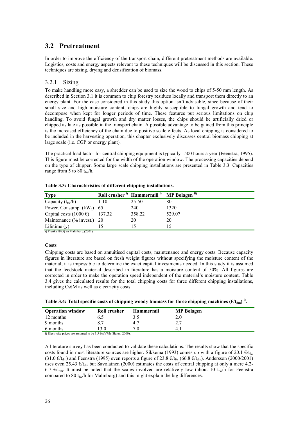## <span id="page-26-0"></span>**3.2 Pretreatment**

In order to improve the efficiency of the transport chain, different pretreatment methods are available. Logistics, costs and energy aspects relevant to these techniques will be discussed in this section. These techniques are sizing, drying and densification of biomass.

### 3.2.1 Sizing

To make handling more easy, a shredder can be used to size the wood to chips of 5-50 mm length. As described in Section [3.1](#page-23-0) it is common to chip forestry residues locally and transport them directly to an energy plant. For the case considered in this study this option isn't advisable, since because of their small size and high moisture content, chips are highly susceptible to fungal growth and tend to decompose when kept for longer periods of time. These features put serious limitations on chip handling. To avoid fungal growth and dry matter losses, the chips should be artificially dried or chipped as late as possible in the transport chain. A possible advantage to be gained from this principle is the increased efficiency of the chain due to positive scale effects. As local chipping is considered to be included in the harvesting operation, this chapter exclusively discusses central biomass chipping at large scale (i.e. CGP or energy plant).

The practical load factor for central chipping equipment is typically 1500 hours a year (Feenstra, 1995). This figure must be corrected for the width of the operation window. The processing capacities depend on the type of chipper. Some large scale chipping installations are presented in Table 3.3. Capacities range from 5 to 80  $t_{fw}/h$ .

| <b>Type</b>                                                                                                                                                                                                                                                          |          | Roll crusher <sup>i)</sup> Hammermill <sup>i)</sup> MP Bolagen <sup>ii)</sup> |        |
|----------------------------------------------------------------------------------------------------------------------------------------------------------------------------------------------------------------------------------------------------------------------|----------|-------------------------------------------------------------------------------|--------|
| Capacity $(t_{\rm fw}/h)$                                                                                                                                                                                                                                            | $1 - 10$ | 25-50                                                                         | 80     |
| Power. Consump. $(kW_e)$ 65                                                                                                                                                                                                                                          |          | 240                                                                           | 1320   |
| Capital costs (1000 $\epsilon$ )                                                                                                                                                                                                                                     | 137.32   | 358.22                                                                        | 529.07 |
| Maintenance (% invest.) 20                                                                                                                                                                                                                                           |          | 20                                                                            | 20     |
| Lifetime $(y)$<br><u>The contract of the contract of the contract of the contract of the contract of the contract of the contract of the contract of the contract of the contract of the contract of the contract of the contract of the contract </u><br>$\sqrt{2}$ |          |                                                                               | 15     |

**Table 3.3: Characteristics of different chipping installations.**

i) Pierik (1995) ii) Malmborg (2001).

#### **Costs**

Chipping costs are based on annuitised capital costs, maintenance and energy costs. Because capacity figures in literature are based on fresh weight figures without specifying the moisture content of the material, it is impossible to determine the exact capital investments needed. In this study it is assumed that the feedstock material described in literature has a moisture content of 50%. All figures are corrected in order to make the operation speed independent of the material's moisture content. Table 3.4 gives the calculated results for the total chipping costs for three different chipping installations, including O&M as well as electricity costs.

| Table 3.4: Total specific costs of chipping woody biomass for three chipping machines $(\epsilon/t_{dm})$ <sup>i)</sup> . |  |
|---------------------------------------------------------------------------------------------------------------------------|--|
|---------------------------------------------------------------------------------------------------------------------------|--|

| <b>Operation window</b>                                                                                               | Roll crusher | <b>Hammermil</b> | <b>MP</b> Bolagen |  |
|-----------------------------------------------------------------------------------------------------------------------|--------------|------------------|-------------------|--|
| 12 months                                                                                                             | ხ.პ          |                  |                   |  |
| 9 months                                                                                                              | 8.7          | 4.7              | ר י               |  |
| 6 months                                                                                                              | 13 O         |                  |                   |  |
| <b>EXTERNAL PROPERTY ASSESSED ASSESSED AND A CONTRACT OF A PARTICULAR AND A CONTRACT OF A REPORT OF A CONTRACT OF</b> |              |                  |                   |  |

i) Electricity prices are assumed to be 3.5 €ct/kWh (Halen, 2000).

A literature survey has been conducted to validate these calculations. The results show that the specific costs found in most literature sources are higher. Sikkema (1993) comes up with a figure of 20.1  $\epsilon/t_{fw}$ (31.0  $\varepsilon/t_{dm}$ ) and Feenstra (1995) even reports a figure of 23.8  $\varepsilon/t_{fw}$  (66.8  $\varepsilon/t_{dm}$ ). Andersson (2000/2001) uses even 25.43  $\epsilon/t_{dm}$  but Savolainen (2000) estimates the costs of central chipping at only a mere 4.2-6.7  $\epsilon/t_{dm}$ . It must be noted that the scales involved are relatively low (about 10  $t_{fw}/h$  for Feenstra compared to 80  $t_{fw}$ h for Malmborg) and this might explain the big differences.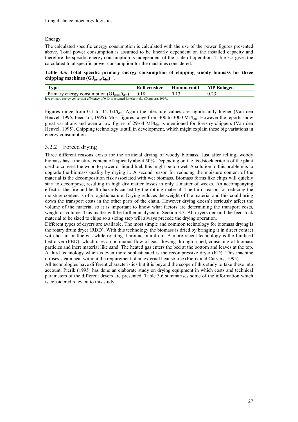#### <span id="page-27-0"></span>**Energy**

The calculated specific energy consumption is calculated with the use of the power figures presented above. Total power consumption is assumed to be linearly dependent on the installed capacity and therefore the specific energy consumption is independent of the scale of operation. Table 3.5 gives the calculated total specific power consumption for the machines considered.

**Table 3.5: Total specific primary energy consumption of chipping woody biomass for three** chipping machines  $(\mathrm{GJ}_{\mathrm{prim}}/\mathrm{t}_{\mathrm{dm}})$ <sup>i</sup>).

| <b>Type</b>                                                                                    | <b>Roll crusher</b> | Hammermill | <b>MP Bolagen</b> |  |
|------------------------------------------------------------------------------------------------|---------------------|------------|-------------------|--|
| Primary energy consumption $(GJ_{\text{prim}}/t_{\text{dm}})$ 0.18                             |                     |            | 0.23              |  |
| i) A primary energy conversion efficiency of 0.43 is assumed for electricity (Dornburg, 1999). |                     |            |                   |  |

Figures range from 0.1 to 0.2  $GI/t_{dm}$ . Again the literature values are significantly higher (Van den Heuvel, 1995; Feenstra, 1995). Most figures range from 400 to 3000 MJ/t<sub>dm</sub>. However the reports show great variations and even a low figure of 29-64 MJ/t<sub>dm</sub> is mentioned for forestry chippers (Van den Heuvel, 1995). Chipping technology is still in development, which might explain these big variations in energy consumption.

#### 3.2.2 Forced drying

Three different reasons exists for the artificial drying of woody biomass. Just after felling, woody biomass has a moisture content of typically about 50%. Depending on the feedstock criteria of the plant used to convert the wood to power or liquid fuel, this might be too wet. A solution to this problem is to upgrade the biomass quality by drying it. A second reason for reducing the moisture content of the material is the decomposition risk associated with wet biomass. Biomass forms like chips will quickly start to decompose, resulting in high dry matter losses in only a matter of weeks. An accompanying effect is the fire and health hazards caused by the rotting material. The third reason for reducing the moisture content is of a logistic nature. Drying reduces the weight of the material and this could bring down the transport costs in the other parts of the chain. However drying doesn't seriously affect the volume of the material so it is important to know what factors are determining the transport costs, weight or volume. This matter will be further analysed in Section [3.3.](#page-31-0) All dryers demand the feedstock material to be sized to chips so a sizing step will always precede the drying operation.

Different types of dryers are available. The most simple and common technology for biomass drying is the rotary drum dryer (RDD). With this technology the biomass is dried by bringing it in direct contact with hot air or flue gas while rotating it around in a drum. A more recent technology is the fluidised bed dryer (FBD), which uses a continuous flow of gas, flowing through a bed, consisting of biomass particles and inert material like sand. The heated gas enters the bed at the bottom and leaves at the top. A third technology which is even more sophisticated is the recompressive dryer (RD). This machine utilises steam heat without the requirement of an external heat source (Pierik and Curvers, 1995).

All technologies have different characteristics but it is beyond the scope of this study to take these into account. Pierik (1995) has done an elaborate study on drying equipment in which costs and technical parameters of the different dryers are presented. [Table 3.6](#page-28-0) summarises some of the information which is considered relevant to this study.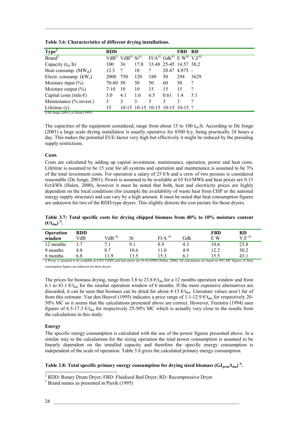| Type <sup>2</sup>                             | <b>RDD</b>       |                              |      |                                                                                   |      | <b>FBD</b>             | <b>RD</b> |
|-----------------------------------------------|------------------|------------------------------|------|-----------------------------------------------------------------------------------|------|------------------------|-----------|
| Brand <sup>3</sup>                            | VdB <sup>1</sup> | $VdB^{ii}$ St <sup>ii)</sup> |      | $\overline{Fl/A^{ii}}$ Gdk <sup>ii</sup> ) E W <sup>ii</sup> ) V, F <sup>ii</sup> |      |                        |           |
| Capacity $(t_{\text{fw}}/h)$                  | 100              | 36                           | 17.8 |                                                                                   |      | 33.48 25-45 14.57 38,2 |           |
| Heat consump. $(MW_{th})$                     | 12.5             | $\gamma$                     | 10   |                                                                                   |      | 20.47 4.875 -          |           |
| Electr. consump. $(kW_e)$                     | <b>2000</b>      | 750                          | 120  | 180                                                                               | 50   | 294                    | 3629      |
| Moisture input $(\% )$                        | 70-80 50         |                              | 50   | 50                                                                                | 60   | 50                     |           |
| Moisture output $(\% )$                       | $7 - 10$         | 10                           | 10   | 15                                                                                | 15   | 15                     |           |
| Capital costs (mln $\epsilon$ )               | 5.0              | 4.1                          | 1.6  | 6.5                                                                               | 0.61 | 1.4                    | 5.1       |
| Maintenance (% invest.)                       | 3                | 3                            | 3    | 3                                                                                 | 3    | 3                      |           |
| Lifetime $(y)$                                | 15               |                              |      | 10-15 10-15 10-15 10-15 10-15 ?                                                   |      |                        |           |
| $\overline{\phantom{a}}$<br>$(8001)$ $(8001)$ |                  |                              |      |                                                                                   |      |                        |           |

<span id="page-28-0"></span>**Table 3.6: Characteristics of different drying installations.**

i) De Jonge (2001); ii) Pierik (1995).

The capacities of the equipment considered, range from about 15 to 100  $t_{fw}/h$ . According to De Jonge (2001) a large scale drying installation is usually operative for 8500 h/y, being practically 24 hours a day. This makes the potential EUE-factor very high but effectively it might be reduced by the presiding supply restrictions.

#### **Costs**

Costs are calculated by adding up capital investment, maintenance, operation, power and heat costs. Lifetime is assumed to be 15 year for all systems and operation and maintenance is assumed to be 3% of the total investment costs. For operation a salary of  $25 \in \mathcal{F}/h$  and a crew of two persons is considered reasonable (De Jonge, 2001). Power is assumed to be available at 65 €ct/MWh and heat prices are 0.13 €ct/kWh (Halen, 2000), however it must be noted that both, heat and electricity prices are highly dependent on the local conditions (for example the availability of waste heat from CHP or the national energy supply structure) and can vary by a high amount. It must be noted that heat consumption figures are unknown for two of the RDD-type dryers. This slightly distorts the cost picture for those dryers.

| Table 3.7: Total specific costs for drying chipped biomass from 40% to 10% moisture content |  |  |  |  |  |  |  |
|---------------------------------------------------------------------------------------------|--|--|--|--|--|--|--|
| $(\epsilon/t_{dm})$ <sup>i)</sup> .                                                         |  |  |  |  |  |  |  |

| Operation<br>window | <b>RDD</b><br>VdB | $VdB$ <sup>ii)</sup> | St   | $F1/A$ <sup>11)</sup> | Gdk | <b>FBD</b><br>E W                                                                                                                                       | <b>RD</b><br>$V.F^{11}$ |
|---------------------|-------------------|----------------------|------|-----------------------|-----|---------------------------------------------------------------------------------------------------------------------------------------------------------|-------------------------|
| 12 months           | 37                | 7.1                  | 91   | 8.9                   | 4.3 | 10.6                                                                                                                                                    | 23.8                    |
| 9 months            | 4.8               | 8.7                  | 10.6 | 11 0                  | 49  | 12.2                                                                                                                                                    | 30.2                    |
| 6 months            | 6.8               | 119                  | 135  | 153                   | 6 I | 15.5                                                                                                                                                    | 43.1                    |
|                     |                   |                      |      |                       |     | i) Power is assumed to be available at 0.035 C/kWh and heat prices are 65 Ect/MWh (Halen, 2000); All calculations are based on 40% MC figures; ii) Heat |                         |

consumption figures are unknown for these dryers.

The prices for biomass drying, range from 3.8 to 23.8  $\epsilon/t_{dm}$  for a 12 months operation window and from 6.1 to 43.1  $\epsilon/t_{dm}$  for the smaller operation window of 6 months. If the more expensive alternatives are discarded, it can be seen that biomass can be dried for about 4-15  $\epsilon/t_{dm}$ . Literature values aren't far of from this estimate. Van den Heuvel (1995) indicates a price range of 1.1-12.9  $\epsilon/t_{dm}$  for respectively 20-50% MC so it seems that the calculations presented above are correct. However, Feenstra (1994) uses figures of 6.5-17.3  $\epsilon/t_{dm}$  for respectively 25-50% MC which is actually very close to the results from the calculations in this study.

#### **Energy**

The specific energy consumption is calculated with the use of the power figures presented above. In a similar way to the calculations for the sizing operation the total power consumption is assumed to be linearly dependent on the installed capacity and therefore the specific energy consumption is independent of the scale of operation. Table 3.8 gives the calculated primary energy consumption.

#### Table 3.8: Total specific primary energy consumption for drying sized biomass (GJ<sub>prim</sub>/t<sub>dm</sub>)<sup>i</sup>).

 2 RDD: Rotary Drum Dryer; FBD: Fluidised Bed Dryer; RD: Recompressive Dryer

<sup>&</sup>lt;sup>3</sup> Brand names as presented in Pierik (1995)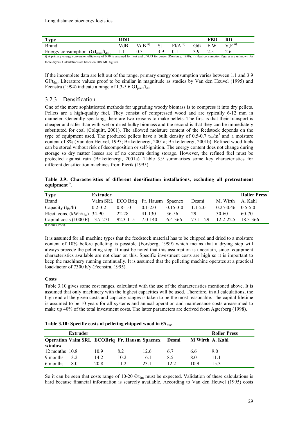<span id="page-29-0"></span>

| Type                                                                                                                                                       | RDD |            |           |                       |    | FBD      | RD                |  |
|------------------------------------------------------------------------------------------------------------------------------------------------------------|-----|------------|-----------|-----------------------|----|----------|-------------------|--|
| <b>Brand</b>                                                                                                                                               | VdB | $VdR^{11}$ | <b>St</b> | $F1/A$ <sup>11)</sup> |    | $Gdk$ EW | V F <sup>11</sup> |  |
| Energy consumption $(GJ_{prim}/t_{dm})$ 1.1                                                                                                                |     |            | 3.9       |                       | 39 |          |                   |  |
| i) A primary energy conversion efficiency of 0.90 is assumed for heat and of 0.43 for power (Dornburg, 1999); ii) Heat consumption figures are unknown for |     |            |           |                       |    |          |                   |  |

these dryers. Calculations are based on 50% MC figures.

If the incomplete data are left out of the range, primary energy consumption varies between 1.1 and 3.9  $GJ/t<sub>dm</sub>$ . Literature values proof to be similar in magnitude as studies by Van den Heuvel (1995) and Feenstra (1994) indicate a range of 1.3-5.6  $\text{GJ}_{\text{prim}}/\text{t}_{\text{dm}}$ .

#### 3.2.3 Densification

One of the more sophisticated methods for upgrading woody biomass is to compress it into dry pellets. Pellets are a high-quality fuel. They consist of compressed wood and are typically 6-12 mm in diameter. Generally speaking, there are two reasons to make pellets. The first is that their transport is cheaper and safer than with wet or dried bulky biomass and the second is that they can be immediately substituted for coal (Colquitt, 2001). The allowed moisture content of the feedstock depends on the type of equipment used. The produced pellets have a bulk density of 0.5-0.7  $t_{fw}/m^3$  and a moisture content of 8% (Van den Heuvel, 1995; Brikettenergi, 2001a; Brikettenergi, 2001b). Refined wood fuels can be stored without risk of decomposition or self-ignition. The energy content does not change during storage so dry matter losses are of no concern during storage. However, the refined fuel must be protected against rain (Brikettenergi, 2001a). Table 3.9 summarises some key characteristics for different densification machines from Pierik (1995).

**Table 3.9: Characteristics of different densification installations, excluding all pretreatment equipment i).**

| <b>Type</b>                               | <b>Extruder</b> |             |                                     |              |          |                  | <b>Roller Press</b> |
|-------------------------------------------|-----------------|-------------|-------------------------------------|--------------|----------|------------------|---------------------|
| <b>Brand</b>                              |                 |             | Valm SRL ECO Briq Fr. Hausm Spaenex |              | Desmi    | M. Wirth A. Kahl |                     |
| Capacity $(t_{fw}/h)$                     | $0.2 - 3.2$     | $0.8 - 1.0$ | $0.1 - 2.0$                         | $0.15 - 3.0$ | $11-20$  | $0.25 - 0.46$    | $0.5 - 5.0$         |
| Elect. cons. $(kWh/t_{\rm fw})$ 34-90     |                 | 22-28       | 41-130                              | 36-56        | 29       | 30-60            | 60-70               |
| Capital costs (1000 $\epsilon$ ) 13.7-271 |                 | 92.3-115    | $7.0 - 140$                         | 6.4-366      | 77.1-129 | $12.2 - 22.5$    | 18.3-366            |
| i) Pierik (1995).                         |                 |             |                                     |              |          |                  |                     |

It is assumed for all machine types that the feedstock material has to be chipped and dried to a moisture content of 10% before pelleting is possible (Forsberg, 1999) which means that a drying step will always precede the pelleting step. It must be noted that this assumption is uncertain, since equipment characteristics available are not clear on this. Specific investment costs are high so it is important to keep the machinery running continually. It is assumed that the pelleting machine operates at a practical load-factor of 7300 h/y (Feenstra, 1995).

#### **Costs**

Table 3.10 gives some cost ranges, calculated with the use of the characteristics mentioned above. It is assumed that only machinery with the highest capacities will be used. Therefore, in all calculations, the high end of the given costs and capacity ranges is taken to be the most reasonable. The capital lifetime is assumed to be 10 years for all systems and annual operation and maintenance costs areassumed to make up 40% of the total investment costs. The latter parameters are derived from Agterberg (1998).

|                  | Extruder                                                  |      |      |      |     |                 | <b>Roller Press</b> |
|------------------|-----------------------------------------------------------|------|------|------|-----|-----------------|---------------------|
|                  | <b>Operation Valm SRL ECOBrig Fr. Hausm Spaenex Desmi</b> |      |      |      |     | M Wirth A. Kahl |                     |
| window           |                                                           |      |      |      |     |                 |                     |
| 12 months $10.8$ |                                                           | 10.9 | 82   | 12.6 | 6.7 | 66              | 9.0                 |
| 9 months         | 132                                                       | 14.2 | 10.2 | 16.1 | 85  | 80              | 111                 |
| 6 months         | 18.0                                                      | 20.8 | 112  | 23.1 | 122 | 10.9            | 153                 |

**Table 3.10: Specific costs of pelleting chipped wood in**  $E/t_{dm}$ **.** 

So it can be seen that costs range of 10-20  $\epsilon/t_{dm}$  must be expected. Validation of these calculations is hard because financial information is scarcely available. According to Van den Heuvel (1995) costs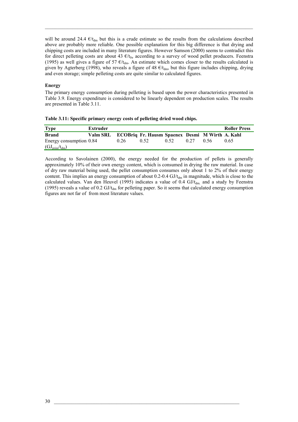will be around 24.4  $\epsilon/t_{dm}$  but this is a crude estimate so the results from the calculations described above are probably more reliable. One possible explanation for this big difference is that drying and chipping costs are included in many literature figures. However Samson (2000) seems to contradict this for direct pelleting costs are about 43  $\epsilon/t_{fw}$  according to a survey of wood pellet producers. Feenstra (1995) as well gives a figure of 57  $\epsilon/t_{dm}$ . An estimate which comes closer to the results calculated is given by Agterberg (1998), who reveals a figure of 48  $\epsilon/t_{dm}$ , but this figure includes chipping, drying and even storage; simple pelleting costs are quite similar to calculated figures.

#### **Energy**

The primary energy consumption during pelleting is based upon the power characteristics presented in [Table 3.9.](#page-29-0) Energy expenditure is considered to be linearly dependent on production scales. The results are presented in Table 3.11.

| <b>Type</b>                        | Extruder                                                 |      |      |      |      |      | <b>Roller Press</b> |
|------------------------------------|----------------------------------------------------------|------|------|------|------|------|---------------------|
| Brand                              | Valm SRL ECOBrig Fr. Hausm Spaenex Desmi M Wirth A. Kahl |      |      |      |      |      |                     |
| Energy consumption 0.84            |                                                          | 0.26 | 0.52 | 0.52 | 0.27 | 0.56 | 0.65                |
| $(GJ_{\text{prim}}/t_{\text{dm}})$ |                                                          |      |      |      |      |      |                     |

|  |  |  |  |  | Table 3.11: Specific primary energy costs of pelleting dried wood chips. |
|--|--|--|--|--|--------------------------------------------------------------------------|
|--|--|--|--|--|--------------------------------------------------------------------------|

According to Savolainen (2000), the energy needed for the production of pellets is generally approximately 10% of their own energy content, which is consumed in drying the raw material. In case of dry raw material being used, the pellet consumption consumes only about 1 to 2% of their energy content. This implies an energy consumption of about  $0.2$ -0.4 GJ/ $t_{dm}$  in magnitude, which is close to the calculated values. Van den Heuvel (1995) indicates a value of 0.4 GJ/t<sub>dm.</sub> and a study by Feenstra (1995) reveals a value of 0.2 GJ/ $t_{dm}$  for pelleting paper. So it seems that calculated energy consumption figures are not far of from most literature values.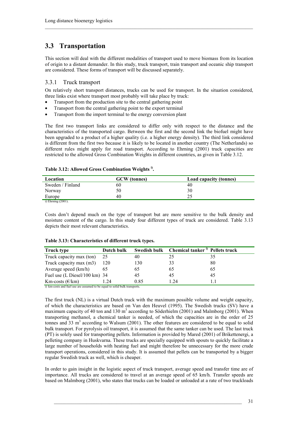## <span id="page-31-0"></span>**3.3 Transportation**

This section will deal with the different modalities of transport used to move biomass from its location of origin to a distant demander. In this study, truck transport, train transport and oceanic ship transport are considered. These forms of transport will be discussed separately.

### 3.3.1 Truck transport

On relatively short transport distances, trucks can be used for transport. In the situation considered, three links exist where transport most probably will take place by truck:

- Transport from the production site to the central gathering point
- Transport from the central gathering point to the export terminal
- Transport from the import terminal to the energy conversion plant

The first two transport links are considered to differ only with respect to the distance and the characteristics of the transported cargo. Between the first and the second link the biofuel might have been upgraded to a product of a higher quality (i.e. a higher energy density). The third link considered is different from the first two because it is likely to be located in another country (The Netherlands) so different rules might apply for road transport. According to Ehrning (2001) truck capacities are restricted to the allowed Gross Combination Weights in different countries, as given in Table 3.12.

| Location         | <b>GCW</b> (tonnes) | Load capacity (tonnes) |
|------------------|---------------------|------------------------|
| Sweden / Finland | 60                  | 40                     |
| Norway           | 50                  | 30                     |
| Europe           | 40                  |                        |

#### **Table 3.12: Allowed Gross Combination Weights i) .**

i) Ehrning (2001).

Costs don't depend much on the type of transport but are more sensitive to the bulk density and moisture content of the cargo. In this study four different types of truck are considered. Table 3.13 depicts their most relevant characteristics.

| <b>Truck type</b>             | Dutch bulk |      | Swedish bulk Chemical tanker <sup>i)</sup> Pellets truck |    |
|-------------------------------|------------|------|----------------------------------------------------------|----|
| Truck capacity max (ton)      | 25         | 40   |                                                          | 35 |
| Truck capacity max (m3)       | 120        | 130  | 33                                                       | 80 |
| Average speed (km/h)          | 65.        | 65   | 65                                                       | 65 |
| Fuel use (L Diesel/100 km) 34 |            | 45   | 45                                                       | 45 |
| Km-costs (€/km)<br>_________  | 124        | 0.85 | 1 74                                                     |    |

#### **Table 3.13: Characteristics of different truck types.**

i) km-costs and fuel use are assumed to be equal to solid bulk transports.

The first truck (NL) is a virtual Dutch truck with the maximum possible volume and weight capacity, of which the characteristics are based on Van den Heuvel (1995). The Swedish trucks (SV) have a maximum capacity of 40 ton and 130  $m<sup>3</sup>$  according to Söderhielm (2001) and Malmborg (2001). When transporting methanol, a chemical tanker is needed, of which the capacities are in the order of 25 tonnes and  $33 \text{ m}^3$  according to Walsum (2001). The other features are considered to be equal to solid bulk transport. For pyrolysis oil transport, it is assumed that the same tanker can be used. The last truck (PT) is solely used for transporting pellets. Information is provided by Mared (2001) of Brikettenergi, a pelleting company in Huskvarna. These trucks are specially equipped with spouts to quickly facilitate a large number of households with heating fuel and might therefore be unnecessary for the more crude transport operations, considered in this study. It is assumed that pellets can be transported by a bigger regular Swedish truck as well, which is cheaper.

In order to gain insight in the logistic aspect of truck transport, average speed and transfer time are of importance. All trucks are considered to travel at an average speed of 65 km/h. Transfer speeds are based on Malmborg (2001), who states that trucks can be loaded or unloaded at a rate of two truckloads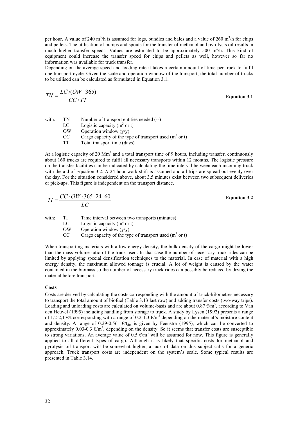<span id="page-32-0"></span>per hour. A value of 240 m<sup>3</sup>/h is assumed for logs, bundles and bales and a value of 260 m<sup>3</sup>/h for chips and pellets. The utilisation of pumps and spouts for the transfer of methanol and pyrolysis oil results in much higher transfer speeds. Values are estimated to be approximately  $500 \text{ m}^3/\text{h}$ . This kind of equipment could increase the transfer speed for chips and pellets as well, however so far no information was available for truck transfer.

Depending on the average speed and loading rate it takes a certain amount of time per truck to fulfil one transport cycle. Given the scale and operation window of the transport, the total number of trucks to be utilised can be calculated as formulated in Equation 3.1.

$$
TN = \frac{LC/(OW \cdot 365)}{CC/TT}
$$

**Equation 3.1**

| with: | TN  | Number of transport entities needed (--)                 |
|-------|-----|----------------------------------------------------------|
|       | LC  | Logistic capacity ( $m3$ or t)                           |
|       | OW. | Operation window $(y/y)$                                 |
|       | CC  | Cargo capacity of the type of transport used $(m3$ or t) |
|       | TT  | Total transport time (days)                              |

At a logistic capacity of 20  $\text{Mm}^3$  and a total transport time of 9 hours, including transfer, continuously about 160 trucks are required to fulfil all necessary transports within 12 months. The logistic pressure on the transfer facilities can be indicated by calculating the time interval between each incoming truck with the aid of Equation 3.2. A 24 hour work shift is assumed and all trips are spread out evenly over the day. For the situation considered above, about 3.5 minutes exist between two subsequent deliveries or pick-ups. This figure is independent on the transport distance.

$$
TI = \frac{CC \cdot OW \cdot 365 \cdot 24 \cdot 60}{LC}
$$

**Equation 3.2**

with: TI Time interval between two transports (minutes)

LC Logistic capacity  $(m^3 \text{ or } t)$ 

 $OW$  Operation window  $(v/v)$ 

CC Cargo capacity of the type of transport used  $(m<sup>3</sup> or t)$ 

When transporting materials with a low energy density, the bulk density of the cargo might be lower than the mass-volume ratio of the truck used. In that case the number of necessary truck rides can be limited by applying special densification techniques to the material. In case of material with a high energy density, the maximum allowed tonnage is crucial. A lot of weight is caused by the water contained in the biomass so the number of necessary truck rides can possibly be reduced by drying the material before transport.

#### **Costs**

Costs are derived by calculating the costs corresponding with the amount of truck-kilometres necessary to transport the total amount of biofuel [\(Table 3.13](#page-31-0) last row) and adding transfer costs (two-way trips). Loading and unloading costs are calculated on volume-basis and are about 0.87  $\epsilon/m^3$ , according to Van den Heuvel (1995) including handling from storage to truck. A study by Lysen (1992) presents a range of 1,2-2,1  $\epsilon$ /t corresponding with a range of 0.2-1.3  $\epsilon$ /m<sup>3</sup> depending on the material's moisture content and density. A range of 0.29-0.56  $E/t_{dm}$  is given by Feenstra (1995), which can be converted to approximately 0.03-0.3  $\epsilon/m^3$ , depending on the density. So it seems that transfer costs are susceptible to strong variations. An average value of 0.5  $\epsilon/m^3$  will be assumed for now. This figure is generally applied to all different types of cargo. Although it is likely that specific costs for methanol and pyrolysis oil transport will be somewhat higher, a lack of data on this subject calls for a generic approach. Truck transport costs are independent on the system's scale. Some typical results are presented in [Table 3.14.](#page-33-0)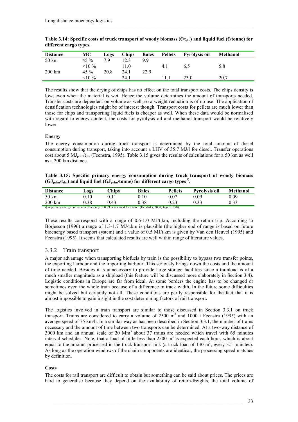| <b>Distance</b>   | MС      | Logs | <b>Chips</b> | <b>Bales</b> | <b>Pellets</b> | <b>Pyrolysis oil</b> | Methanol |
|-------------------|---------|------|--------------|--------------|----------------|----------------------|----------|
| $50 \text{ km}$   | 45 %    | 7 Q  | 12.3         | 99           |                |                      |          |
|                   | $10\%$  |      | 11.0         |              | 4. I           | 6.5                  | 5.8      |
| $200 \mathrm{km}$ | $45 \%$ | 20.8 | 24.1         | 22.9         |                |                      |          |
|                   | $10\%$  |      | 24.1         |              |                | 23.0                 | 20.7     |

<span id="page-33-0"></span>Table 3.14: Specific costs of truck transport of woody biomass (€/t<sub>dm</sub>) and liquid fuel (€/tonne) for **different cargo types.**

The results show that the drying of chips has no effect on the total transport costs. The chips density is low, even when the material is wet. Hence the volume determines the amount of transports needed. Transfer costs are dependent on volume as well, so a weight reduction is of no use. The application of densification technologies might be of interest though. Transport costs for pellets are much lower than those for chips and transporting liquid fuels is cheaper as well. When these data would be normalised with regard to energy content, the costs for pyrolysis oil and methanol transport would be relatively lower.

#### **Energy**

The energy consumption during truck transport is determined by the total amount of diesel consumption during transport, taking into account a LHV of 35.7 MJ/l for diesel. Transfer operations cost about 5 MJ<sub>prim</sub>/t<sub>dm</sub> (Feenstra, 1995). Table 3.15 gives the results of calculations for a 50 km as well as a 200 km distance.

**Table 3.15: Specific primary energy consumption during truck transport of woody biomass**  $(GJ_{prim}/t_{dm})$  and liquid fuel  $(GJ_{prim}/t_{on})$  for different cargo types<sup>i)</sup>.

| <b>Distance</b>                                                                                        | Logs | `hins | <b>Bales</b> | <b>Pellets</b> | Pyrolysis oil | Methanol |
|--------------------------------------------------------------------------------------------------------|------|-------|--------------|----------------|---------------|----------|
| 50 km                                                                                                  | 0 10 |       | 0 10         | 0.07           | .) O9         | 0.09     |
| 200 km                                                                                                 | 0.38 | 0.43  | 0.38         | 0.23           | ገ 33          |          |
| i) A primary energy conversion efficiency of 0.89 is assumed for Diesel (Hendriks, 2000; Jager, 1998). |      |       |              |                |               |          |

These results correspond with a range of 0.6-1.0 MJ/t.km, including the return trip. According to Börjesson (1996) a range of 1.3-1.7 MJ/t.km is plausible (the higher end of range is based on future bioenergy based transport system) and a value of 0.5 MJ/t.km is given by Van den Heuvel (1995) and Feenstra (1995). It seems that calculated results are well within range of literature values.

#### 3.3.2 Train transport

A major advantage when transporting biofuels by train is the possibility to bypass two transfer points, the exporting harbour and the importing harbour. This seriously brings down the costs and the amount of time needed. Besides it is unnecessary to provide large storage facilities since a trainload is of a much smaller magnitude as a shipload (this feature will be discussed more elaborately in Section [3.4\)](#page-38-0). Logistic conditions in Europe are far from ideal. At some borders the engine has to be changed or sometimes even the whole train because of a difference in track width. In the future some difficulties might be solved but certainly not all. These conditions are partly responsible for the fact that it is almost impossible to gain insight in the cost determining factors of rail transport.

The logistics involved in train transport are similar to those discussed in Section [3.3.1](#page-31-0) on truck transport. Trains are considered to carry a volume of  $2500 \text{ m}^3$  and  $1000$  t Feenstra (1995) with an average speed of 75 km/h. In a similar way as has been described in Section [3.3.1,](#page-31-0) the number of trains necessary and the amount of time between two transports can be determined. At a two-way distance of 3000 km and an annual scale of 20 Mm<sup>3</sup> about  $37$  trains are needed which travel with 65 minutes interval schedules. Note, that a load of little less than  $2500 \text{ m}^3$  is expected each hour, which is about equal to the amount processed in the truck transport link (a truck load of 130  $m<sup>3</sup>$ , every 3.5 minutes). As long as the operation windows of the chain components are identical, the processing speed matches by definition.

#### **Costs**

The costs for rail transport are difficult to obtain but something can be said about prices. The prices are hard to generalise because they depend on the availability of return-freights, the total volume of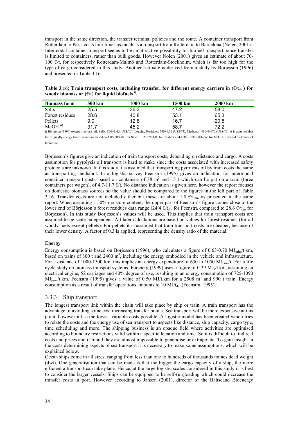<span id="page-34-0"></span>transport in the same direction, the transfer terminal policies and the route. A container transport from Rotterdam to Paris costs four times as much as a transport from Rotterdam to Barcelona (Nolen, 2001). Intermodal container transport seems to be an attractive possibility for biofuel transport, since transfer is limited to containers, rather than bulk goods. However Nolen (2001) gives an estimate of about 70- 100 €/t, for respectively Rotterdam-Malmö and Rotterdam-Stockholm, which is far too high for the type of cargo considered in this study. Another estimate is derived from a study by Börjesson (1996) and presented in Table 3.16.

| <b>Biomass form</b>   | 500 km | 1000 km | 1500 km | 2000 km                                                                                                                                                      |
|-----------------------|--------|---------|---------|--------------------------------------------------------------------------------------------------------------------------------------------------------------|
| <b>Salix</b>          | 25.5   | 36.3    | 47.2    | 58.0                                                                                                                                                         |
| Forest residues       | 28.6   | 40.8    | 53.1    | 65.3                                                                                                                                                         |
| Pellets               | 9.0    | 12.8    | 16.7    | 20.5                                                                                                                                                         |
| $MeOH$ <sup>ii)</sup> | 31.7   | 45.2    | 58.7    | 79 9                                                                                                                                                         |
|                       |        |         |         | i) Börjesson (1996) except pyrolysis oil: Salix: 860+1.4d (US\$/TJ); Logging Residues: 740+1.1d (US\$/TJ); Methanol: 430+0.67d (US\$/TJ); it is assumed that |

Table 3.16: Train transport costs, including transfer, for different energy carriers in  $(E/t_{dm})$  for **woody biomass or (€/t) for liquid biofuels i) .**

the originally energy based values are based on LHV50%MC for Salix, LHV 25%MC for residues and LHV 19.91 GJ/tonne for MeOH; ii) based on tonnes of liquid fuel.

Börjesson's figures give an indication of train transport costs, depending on distance and cargo. A costs assumption for pyrolysis oil transport is hard to make since the costs associated with increased safety protocols are unknown. In this study it is assumed that transporting pyrolysis oil by train costs the same as transporting methanol. In a logistic survey Feenstra (1995) gives an indication for intermodal container transport costs, based on containers of 38  $m<sup>3</sup>$  and 15 t which can be put on a train (three containers per wagon), of 4.7-11.7  $\epsilon/t$ . No distance indication is given here, however the report focuses on domestic biomass sources so the value should be compared to the figures in the left part of Table 3.16. Transfer costs are not included either but these are about 1.0  $\epsilon/t_{dm}$ , as presented in the same report. When assuming a 50% moisture content, the upper part of Feenstra's figure comes close to the lower end of Börjesson's forest residues data range (24.4  $\epsilon/t_{dm}$  for Feenstra compared to 28.6  $\epsilon/t_{dm}$  for Börjesson). In this study Börjesson's values will be used. This implies that train transport costs are assumed to be scale independent. All later calculations are based on values for forest residues (for all woody fuels except pellets). For pellets it is assumed that train transport costs are cheaper, because of their lower density. A factor of 0.3 is applied, representing the density ratio of the material.

#### **Energy**

Energy consumption is based on Börjesson (1996), who calculates a figure of  $0.63{\text -}0.70 \text{ MJ}_{\text{prim}}/t.$ km, based on trains of 800 t and 2400  $m<sup>3</sup>$ , including the energy embodied in the vehicle and infrastructure. For a distance of 1000-1500 km, this implies an energy expenditure of 630 to 1050  $MJ_{\text{prim}}/t$ . For a life cycle study on biomass transport systems, Forsberg (1999) uses a figure of 0.29 MJ $_{\rm e}/t$ km, assuming an electrical engine, 52 carriages and 40% degree of use, resulting in an energy consumption of 725-1090 MJ<sub>prim</sub>/t.km. Feenstra (1995) gives a value of 0.50 MJ/t.km for a 2508 m<sup>3</sup> and 990 t train. Energy consumption as a result of transfer operations amounts to 10  $MJ/t_{dm}$  (Feenstra, 1995).

#### 3.3.3 Ship transport

The longest transport link within the chain will take place by ship or train. A train transport has the advantage of avoiding some cost increasing transfer points. Sea transport will be more expensive at this point, however it has the lowest variable costs possible. A logistic model has been created which tries to relate the costs and the energy use of sea transport to aspects like distance, ship capacity, cargo type, time scheduling and more. The shipping business is an opaque field where activities are optimised according to boundary restrictions valid within a specific location and time. So it is difficult to find real costs and prices and if found they are almost impossible to generalise or extrapolate. To gain insight in the costs determining aspects of sea transport it is necessary to make some assumptions, which will be explained below.

Ocean ships come in all sizes, ranging from less than one to hundreds of thousands tonnes dead weight (dwt). One generalisation that can be made is that the bigger the cargo capacity of a ship, the more efficient a transport can take place. Hence, at the large logistic scales considered in this study it is best to consider the larger vessels. Ships can be equipped to be self-(un)loading which could decrease the transfer costs in port. However according to Jansen (2001), director of the Baltscand Bioenergy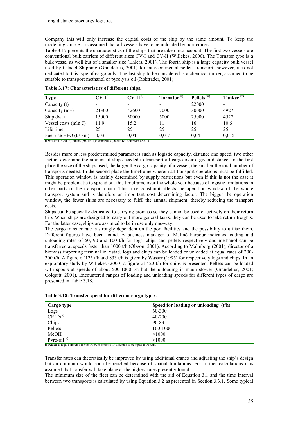Company this will only increase the capital costs of the ship by the same amount. To keep the modelling simple it is assumed that all vessels have to be unloaded by port cranes.

Table 3.17 presents the characteristics of the ships that are taken into account. The first two vessels are conventional bulk carriers of different sizes CV-I and CV-II (Willekes, 2000). The Tornator type is a bulk vessel as well but of a smaller size (Ehlers, 2001). The fourth ship is a large capacity bulk vessel used by Citadel Shipping (Grandelius, 2001) for intercontinental pellets transport, however, it is not dedicated to this type of cargo only. The last ship to be considered is a chemical tanker, assumed to be suitable to transport methanol or pyrolysis oil (Roktrader, 2001).

| <b>Type</b>                                                                               | $CV-I$ <sup>i)</sup> | $CV-II$ <sup>i)</sup> | Tornator <sup>ii)</sup> | Pellets <sup>iii</sup> | Tanker <sup>iv)</sup>    |
|-------------------------------------------------------------------------------------------|----------------------|-----------------------|-------------------------|------------------------|--------------------------|
| Capacity (t)                                                                              |                      |                       |                         | 22000                  | $\overline{\phantom{a}}$ |
| Capacity (m3)                                                                             | 21300                | 42600                 | 7000                    | 30000                  | 4927                     |
| Ship dwt t                                                                                | 15000                | 30000                 | 5000                    | 25000                  | 4527                     |
| Vessel costs (mln $\epsilon$ )                                                            | 11.9                 | 15.2                  | 11                      | 16                     | 10.6                     |
| Life time                                                                                 | 25                   | 25                    | 25                      | 25                     | 25                       |
| Fuel use HFO $(t / km)$<br>$(4001)$ $(3001)$ $(4001)$ $(4001)$ $(4001)$ $(4001)$ $(4001)$ | 0.03                 | 0.04                  | 0,015                   | 0.04                   | 0.015                    |

| Table 3.17: Characteristics of different ships. |  |  |
|-------------------------------------------------|--|--|
|                                                 |  |  |

i) Wasser (1995); ii) Ehlers (2001); iii) Grandelius (2001); iv) Roktrader (2001).

Besides more or less predetermined parameters such as logistic capacity, distance and speed, two other factors determine the amount of ships needed to transport all cargo over a given distance. In the first place the size of the ships used; the larger the cargo capacity of a vessel, the smaller the total number of transports needed. In the second place the timeframe wherein all transport operations must be fulfilled. This operation window is mainly determined by supply restrictions but even if this is not the case it might be problematic to spread out this timeframe over the whole year because of logistic limitations in other parts of the transport chain. This time constraint affects the operation window of the whole transport system and is therefore an important cost determining factor. The bigger the operation window, the fewer ships are necessary to fulfil the annual shipment, thereby reducing the transport costs.

Ships can be specially dedicated to carrying biomass so they cannot be used effectively on their return trip. When ships are designed to carry out more general tasks, they can be used to take return freights. For the latter case, ships are assumed to be in use only one-way.

The cargo transfer rate is strongly dependent on the port facilities and the possibility to utilise them. Different figures have been found. A business manager of Malmö harbour indicates loading and unloading rates of 60, 90 and 100 t/h for logs, chips and pellets respectively and methanol can be transferred at speeds faster than 1000 t/h (Olsson, 2001). According to Malmborg (2001), director of a biomass importing terminal in Ystad, logs and chips can be loaded or unloaded at equal rates of 200- 300 t/h. A figure of 125 t/h and 833 t/h is given by Wasser (1995) for respectively logs and chips. In an exploratory study by Willekes (2000) a figure of 420 t/h for chips is presented. Pellets can be loaded with spouts at speeds of about 500-1000 t/h but the unloading is much slower (Grandelius, 2001; Colquitt, 2001). Encountered ranges of loading and unloading speeds for different types of cargo are presented in Table 3.18.

| Cargo type                  | Speed for loading or unloading $(t/h)$ |
|-----------------------------|----------------------------------------|
|                             | 60-300                                 |
| Logs<br>CRL's <sup>i)</sup> | 40-200                                 |
| Chips                       | 90-835                                 |
| Pellets                     | 100-1000                               |
| MeOH                        | >1000                                  |
| Pyro-oil $^{ii)}$           | >1000                                  |

**Table 3.18: Transfer speed for different cargo types.**

i) treated as logs, corrected for their lower density; ii) assumed to be equal to MeOH.

Transfer rates can theoretically be improved by using additional cranes and adjusting the ship's design but an optimum would soon be reached because of spatial limitations. For further calculations it is assumed that transfer will take place at the highest rates presently found.

The minimum size of the fleet can be determined with the aid of [Equation 3.1](#page-32-0) and the time interval between two transports is calculated by using [Equation 3.2](#page-32-0) as presented in Section [3.3.1.](#page-31-0) Some typical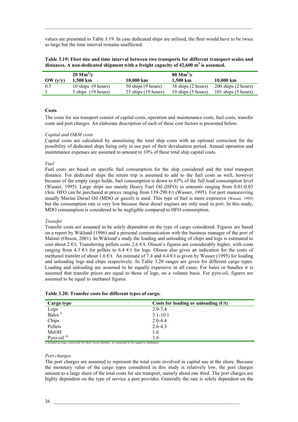values are presented in Table 3.19. In case dedicated ships are utilised, the fleet would have to be twice as large but the time interval remains unaffected.

| Table 3.19: Fleet size and time interval between two transports for different transport scales and |
|----------------------------------------------------------------------------------------------------|
| distances. A non-dedicated shipment with a freight capacity of $42{,}600 \text{ m}^3$ is assumed.  |

|                 | $20 \text{ Mm}^3/\text{V}$   |                         | $80 \text{ Mm}^3/\text{V}$ |                         |
|-----------------|------------------------------|-------------------------|----------------------------|-------------------------|
| $\bf{OW}$ (y/y) | $1.500 \mathrm{km}$          | 10,000 km               | 1.500 km                   | 10.000 km               |
|                 | 10 ships (9 hours)           | 50 ships (9 hours)      | 38 ships (2 hours)         | 200 ships (2 hours)     |
|                 | $5 \text{ ships}$ (19 hours) | $25$ ships $(19$ hours) | 19 ships (5 hours)         | $101$ ships $(5$ hours) |

### **Costs**

The costs for sea transport consist of capital costs, operation and maintenance costs, fuel costs, transfer costs and port charges. An elaborate description of each of these cost factors is presented below.

### *Capital and O&M costs*

Capital costs are calculated by annuitising the total ship costs with an optional correction for the possibility of dedicated ships being only in use part of their devaluation period. Annual operation and maintenance expenses are assumed to amount to 10% of these total ship capital costs.

### *Fuel*

Fuel costs are based on specific fuel consumption for the ship considered and the total transport distance. For dedicated ships the return trip is assumed to add to the fuel costs as well, however because of the empty cargo holds, fuel consumption is down to 65% of the full load consumption level (Wasser, 1995). Large ships use mainly Heavy Fuel Oil (HFO) in amounts ranging from 0.01-0.03 t/km. HFO can be purchased at prices ranging from 139-290  $\epsilon$ /t (Wasser, 1995). For port manoeuvring usually Marine Diesel Oil (MDO or gasoil) is used. This type of fuel is more expensive (Wasser, 1995) but the consumption rate is very low because these diesel engines are only used in port. In this study, MDO consumption is considered to be negligible compared to HFO consumption.

### *Transfer*

Transfer costs are assumed to be solely dependent on the type of cargo considered. Figures are based on a report by Wiklund (1996) and a personal communication with the business manager of the port of Malmö (Olsson, 2001). In Wiklund's study the loading and unloading of chips and logs is estimated to cost about 2  $\epsilon/t$ . Transferring pellets costs 2.6  $\epsilon/t$ . Olsson's figures are considerably higher, with costs ranging from 4.3  $\epsilon$ /t for pellets to 6.4  $\epsilon$ /t for logs. Olsson also gives an indication for the costs of methanol transfer of about 1.6  $\epsilon/t$ . An estimate of 7.4 and 4.4  $\epsilon/t$  is given by Wasser (1995) for loading and unloading logs and chips respectively. In Table 3.20 ranges are given for different cargo types. Loading and unloading are assumed to be equally expensive in all cases. For bales or bundles it is assumed that transfer prices are equal to those of logs, on a volume basis. For pyro-oil, figures are assumed to be equal to methanol figures.

| Cargo type                  | Costs for loading or unloading $(f/t)$ |
|-----------------------------|----------------------------------------|
|                             | $2.0 - 7.4$                            |
| Logs<br>Bales <sup>i)</sup> | $3.1 - 10.1$                           |
| Chips                       | $2.0 - 4.4$                            |
| Pellets                     | $2.6 - 4.3$                            |
| MeOH                        | 1.6                                    |
| Pyro-oil <sup>ii)</sup>     | 1.6                                    |

#### **Table 3.20: Transfer costs for different types of cargo.**

i) treated as logs, corrected for their lower density; ii) assumed to be equal to methanol

#### *Port charges*

The port charges are assumed to represent the total costs involved in capital use at the shore. Because the monetary value of the cargo types considered in this study is relatively low, the port charges amount to a large share of the total costs for sea transport, namely about one third. The port charges are highly dependent on the type of service a port provides. Generally the rate is solely dependent on the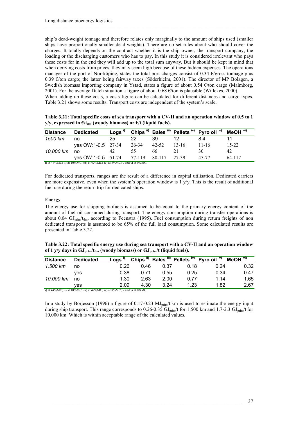ship's dead-weight tonnage and therefore relates only marginally to the amount of ships used (smaller ships have proportionally smaller dead-weights). There are no set rules about who should cover the charges. It totally depends on the contract whether it is the ship owner, the transport company, the loading or the discharging customers who has to pay. In this study it is considered irrelevant who pays these costs for in the end they will add up to the total sum anyway. But it should be kept in mind that when deriving costs from prices, they may seem high because of these hidden expenses. The operations manager of the port of Norrköping, states the total port charges consist of 0.34  $\epsilon$ /gross tonnage plus 0.39 €/ton cargo; the latter being fairway taxes (Söderhielm, 2001). The director of MP Bolagen, a Swedish biomass importing company in Ystad, states a figure of about 0.54 €/ton cargo (Malmborg, 2001). For the average Dutch situation a figure of about 0.68  $\epsilon$ /ton is plausible (Willekes, 2000). When adding up these costs, a costs figure can be calculated for different distances and cargo types. Table 3.21 shows some results. Transport costs are independent of the system's scale.

**Table 3.21: Total specific costs of sea transport with a CV-II and an operation window of 0.5 to 1**  $y/y$ , expressed in  $E/t_{dm}$  (woody biomass) or  $E/t$  (liquid fuels).

| <b>Distance</b> | <b>Dedicated</b>                                                                             | Logs $"$ |        |        |       | Chips ii) Bales iii) Pellets iv) Pyro oil v) | $MeOH$ $V(I)$ |
|-----------------|----------------------------------------------------------------------------------------------|----------|--------|--------|-------|----------------------------------------------|---------------|
| 1500 km         | no                                                                                           | 25       | 22     | 39     | 12    | 8.4                                          |               |
|                 | yes OW:1-0.5 27-34                                                                           |          | 26-34  | 42-52  | 13-16 | $11 - 16$                                    | $15-22$       |
| 10.000 km       | no                                                                                           | 42       | 55.    | 66     | 21.   | 30                                           | 42            |
|                 | ves OW:1-0.5 51-74                                                                           |          | 77-119 | 80-117 | 27-39 | 45-77                                        | 64-112        |
|                 | i) at $44\%$ MC: ii) at $10\%$ MC: iii) at $42\%$ MC: iv) at $8\%$ MC: v and vi at $0\%$ MC. |          |        |        |       |                                              |               |

For dedicated transports, ranges are the result of a difference in capital utilisation. Dedicated carriers are more expensive, even when the system's operation window is  $1 \sqrt{y}$ . This is the result of additional fuel use during the return trip for dedicated ships.

## **Energy**

The energy use for shipping biofuels is assumed to be equal to the primary energy content of the amount of fuel oil consumed during transport. The energy consumption during transfer operations is about 0.04 GJ<sub>prim</sub>/t<sub>dm</sub>, according to Feenstra (1995). Fuel consumption during return freights of non dedicated transports is assumed to be 65% of the full load consumption. Some calculated results are presented in Table 3.22.

| Table 3.22: Total specific energy use during sea transport with a CV-II and an operation window                                   |  |
|-----------------------------------------------------------------------------------------------------------------------------------|--|
| of 1 y/y days in $\mathrm{GJ}_{\mathrm{prim}}/t_{\mathrm{dm}}$ (woody biomass) or $\mathrm{GJ}_{\mathrm{prim}}/t$ (liquid fuels). |  |

| <b>Distance</b> | <b>Dedicated</b> | Loas " | Chips $\overline{}}$ |      |      | Bales iii) Pellets iv) Pyro oil v) | MeOH <sup>vi)</sup> |
|-----------------|------------------|--------|----------------------|------|------|------------------------------------|---------------------|
| 1.500 km        | no               | 0.26   | 0.46                 | 0.37 | 0.18 | 0.24                               | 0.32                |
|                 | ves              | 0.38   | 0.71                 | 0.55 | 0.25 | 0.34                               | 0.47                |
| 10,000 km       | no               | 1.30   | 2.63                 | 2.00 | 0.77 | 1.14                               | 1.65                |
|                 | ves              | 2.09   | 4.30                 | 3.24 | 1.23 | 1.82                               | 2.67                |

i) at  $44\%$ MC; ii) at  $10\%$ MC; iii) at  $42\%$ MC; iv) at  $8\%$ MC; v and vi at  $0\%$ MC.

In a study by Börjesson (1996) a figure of 0.17-0.23  $MJ<sub>prim</sub>/t.km$  is used to estimate the energy input during ship transport. This range corresponds to  $0.26$ -0.35 GJ<sub>prim</sub>/t for 1,500 km and 1.7-2.3 GJ<sub>prim</sub>/t for 10,000 km. Which is within acceptable range of the calculated values.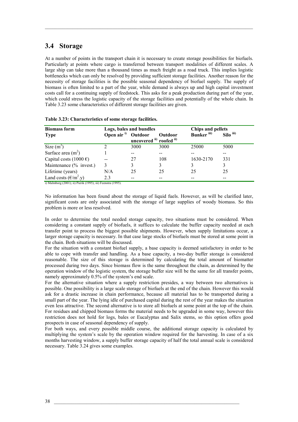# <span id="page-38-0"></span>**3.4 Storage**

At a number of points in the transport chain it is necessary to create storage possibilities for biofuels. Particularly at points where cargo is transferred between transport modalities of different scales. A large ship can take more than a thousand times as much freight as a road truck. This implies logistic bottlenecks which can only be resolved by providing sufficient storage facilities. Another reason for the necessity of storage facilities is the possible seasonal dependency of biofuel supply. The supply of biomass is often limited to a part of the year, while demand is always up and high capital investment costs call for a continuing supply of feedstock. This asks for a peak production during part of the year, which could stress the logistic capacity of the storage facilities and potentially of the whole chain. In Table 3.23 some characteristics of different storage facilities are given.

| <b>Biomass form</b>                                                                                           | Logs, bales and bundles       |                          |         |                        | <b>Chips and pellets</b> |
|---------------------------------------------------------------------------------------------------------------|-------------------------------|--------------------------|---------|------------------------|--------------------------|
| <b>Type</b>                                                                                                   | Open air <sup>i</sup> Outdoor | uncovered ii) roofed ii) | Outdoor | Bunker <sup>iii)</sup> | Silo iii)                |
| Size $(m^3)$                                                                                                  |                               | 3000                     | 3000    | 25000                  | 5000                     |
| Surface area $(m2)$                                                                                           |                               |                          |         |                        |                          |
| Capital costs (1000 $\epsilon$ )                                                                              |                               | 27                       | 108     | 1630-2170              | 331                      |
| Maintenance (% invest.)                                                                                       |                               |                          | 3       |                        |                          |
| Lifetime (years)                                                                                              | N/A                           | 25                       | 25      | 25                     | 25                       |
| Land costs $(\text{\ensuremath{\mathsf{E}}}/\text{\ensuremath{\mathsf{m}}}^2 \text{\ensuremath{\mathsf{y}}})$ | 2.3                           |                          |         |                        |                          |
| i) Malmborg (2001); ii) Pierik (1995); iii) Feenstra (1995).                                                  |                               |                          |         |                        |                          |

|  |  | Table 3.23: Characteristics of some storage facilities. |  |  |  |
|--|--|---------------------------------------------------------|--|--|--|
|--|--|---------------------------------------------------------|--|--|--|

No information has been found about the storage of liquid fuels. However, as will be clarified later, significant costs are only associated with the storage of large supplies of woody biomass. So this problem is more or less resolved.

In order to determine the total needed storage capacity, two situations must be considered. When considering a constant supply of biofuels, it suffices to calculate the buffer capacity needed at each transfer point to process the biggest possible shipments. However, when supply limitations occur, a larger storage capacity is necessary. In that case large stocks of biofuels must be stored at some point in the chain. Both situations will be discussed.

For the situation with a constant biofuel supply, a base capacity is deemed satisfactory in order to be able to cope with transfer and handling. As a base capacity, a two-day buffer storage is considered reasonable. The size of this storage is determined by calculating the total amount of biomatter processed during two days. Since biomass flow is the same throughout the chain, as determined by the operation window of the logistic system, the storage buffer size will be the same for all transfer points, namely approximately 0.5% of the system's end scale.

For the alternative situation where a supply restriction presides, a way between two alternatives is possible. One possibility is a large scale storage of biofuels at the end of the chain. However this would ask for a drastic increase in chain performance, because all material has to be transported during a small part of the year. The lying idle of purchased capital during the rest of the year makes the situation even less attractive. The second alternative is to store all biofuels at some point at the top of the chain. For residues and chipped biomass forms the material needs to be upgraded in some way, however this restriction does not hold for logs, bales or Eucalyptus and Salix stems, so this option offers good prospects in case of seasonal dependency of supply.

For both ways, and every possible middle course, the additional storage capacity is calculated by multiplying the system's scale by the operation window required for the harvesting. In case of a six months harvesting window, a supply buffer storage capacity of half the total annual scale is considered necessary. Table 3.24 gives some examples.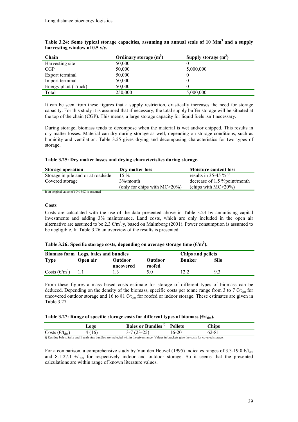| Chain                | Ordinary storage (m <sup>3</sup> ) | Supply storage $(m^3)$ |
|----------------------|------------------------------------|------------------------|
| Harvesting site      | 50,000                             |                        |
| <b>CGP</b>           | 50,000                             | 5,000,000              |
| Export terminal      | 50,000                             |                        |
| Import terminal      | 50,000                             |                        |
| Energy plant (Truck) | 50,000                             |                        |
| Total                | 250,000                            | 5,000,000              |

| Table 3.24: Some typical storage capacities, assuming an annual scale of 10 Mm <sup>3</sup> and a supply |  |  |  |  |
|----------------------------------------------------------------------------------------------------------|--|--|--|--|
| harvesting window of $0.5$ y/y.                                                                          |  |  |  |  |

It can be seen from these figures that a supply restriction, drastically increases the need for storage capacity. For this study it is assumed that if necessary, the total supply buffer storage will be situated at the top of the chain (CGP). This means, a large storage capacity for liquid fuels isn't necessary.

During storage, biomass tends to decompose when the material is wet and/or chipped. This results in dry matter losses. Material can dry during storage as well, depending on storage conditions, such as humidity and ventilation. Table 3.25 gives drying and decomposing characteristics for two types of storage.

|  |  | Table 3.25: Dry matter losses and drying characteristics during storage. |
|--|--|--------------------------------------------------------------------------|
|  |  |                                                                          |

| Dry matter loss                    | <b>Moisture content loss</b>        |
|------------------------------------|-------------------------------------|
| $15\%$                             | results in 35-45 $\%$ <sup>1)</sup> |
| $3\%$ /month                       | decrease of 1.5 % point/month       |
| (only for chips with $MC > 20\%$ ) | (chips with $MC > 20\%$ )           |
|                                    |                                     |

i) an original value of 50% MC is assumed

### **Costs**

Costs are calculated with the use of the data presented above in [Table 3.23](#page-38-0) by annuitising capital investments and adding 3% maintenance. Land costs, which are only included in the open air alternative are assumed to be 2.3  $\epsilon/m^2$ .y, based on Malmborg (2001). Power consumption is assumed to be negligible. In Table 3.26 an overview of the results is presented.

|  | Table 3.26: Specific storage costs, depending on average storage time $(\ell/m^3)$ . |  |
|--|--------------------------------------------------------------------------------------|--|
|  |                                                                                      |  |

|                        | Biomass form Logs, bales and bundles |                      | Chips and pellets        |        |      |  |
|------------------------|--------------------------------------|----------------------|--------------------------|--------|------|--|
| <b>Type</b>            | Open air                             | Outdoor<br>uncovered | <b>Outdoor</b><br>roofed | Bunker | Silo |  |
| Costs $(\epsilon/m^3)$ |                                      |                      | 5.0                      |        | 9.3  |  |

From these figures a mass based costs estimate for storage of different types of biomass can be deduced. Depending on the density of the biomass, specific costs per tonne range from 3 to 7  $\epsilon/t_{dm}$  for uncovered outdoor storage and 16 to 81  $\epsilon/t_{dm}$  for roofed or indoor storage. These estimates are given in Table 3.27.

|                           | <b>_02S</b> | <b>Bales or Bundles</b> <sup>17</sup>                                                                                                      | <b>Pellets</b> | Chips |  |
|---------------------------|-------------|--------------------------------------------------------------------------------------------------------------------------------------------|----------------|-------|--|
| Costs $(\epsilon/t_{dm})$ | 16)         | $3 - 7(23 - 25)$                                                                                                                           | 16-20          | 62-81 |  |
|                           |             | i) Residue bales, Salix and Eucalyptus bundles are included within the given range. Values in brackets give the costs for covered storage. |                |       |  |

For a comparison, a comprehensive study by Van den Heuvel (1995) indicates ranges of 3.3-19.0  $\epsilon/t_{dm}$ and 8.1-27.1  $E/t_{dm}$  for respectively indoor and outdoor storage. So it seems that the presented calculations are within range of known literature values.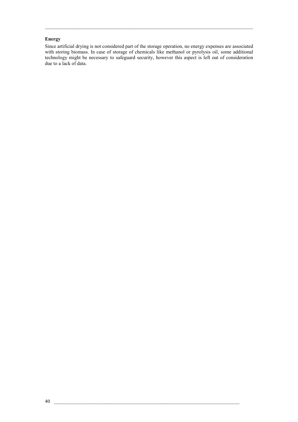## **Energy**

Since artificial drying is not considered part of the storage operation, no energy expenses are associated with storing biomass. In case of storage of chemicals like methanol or pyrolysis oil, some additional technology might be necessary to safeguard security, however this aspect is left out of consideration due to a lack of data.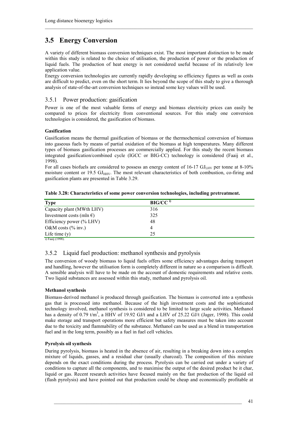# <span id="page-41-0"></span>**3.5 Energy Conversion**

A variety of different biomass conversion techniques exist. The most important distinction to be made within this study is related to the choice of utilisation, the production of power or the production of liquid fuels. The production of heat energy is not considered useful because of its relatively low application value.

Energy conversion technologies are currently rapidly developing so efficiency figures as well as costs are difficult to predict, even on the short term. It lies beyond the scope of this study to give a thorough analysis of state-of-the-art conversion techniques so instead some key values will be used.

## 3.5.1 Power production: gasification

Power is one of the most valuable forms of energy and biomass electricity prices can easily be compared to prices for electricity from conventional sources. For this study one conversion technologies is considered, the gasification of biomass.

## **Gasification**

Gasification means the thermal gasification of biomass or the thermochemical conversion of biomass into gaseous fuels by means of partial oxidation of the biomass at high temperatures. Many different types of biomass gasification processes are commercially applied. For this study the recent biomass integrated gasification/combined cycle (IGCC or BIG-CC) technology is considered (Faaij et al., 1998).

For all cases biofuels are considered to possess an energy content of  $16-17 \text{ GJ}_{LHV}$  per tonne at  $8-10\%$ moisture content or 19.5  $\text{GJ}_{\text{HHV}}$ . The most relevant characteristics of both combustion, co-firing and gasification plants are presented in [Table 3.29.](#page-42-0)

| <b>Type</b>                        | $BIG/CC$ <sup>i)</sup> |
|------------------------------------|------------------------|
| Capacity plant (MWth LHV)          | 316                    |
| Investment costs (mln $\epsilon$ ) | 325                    |
| Efficiency power (% LHV)           | 48                     |
| O&M costs $(\%$ inv.)              | 4                      |
| Life time $(y)$                    | 25                     |

| Table 3.28: Characteristics of some power conversion technologies, including pretreatment. |  |  |
|--------------------------------------------------------------------------------------------|--|--|

## 3.5.2 Liquid fuel production: methanol synthesis and pyrolysis

The conversion of woody biomass to liquid fuels offers some efficiency advantages during transport and handling, however the utilisation form is completely different in nature so a comparison is difficult. A sensible analysis will have to be made on the account of domestic requirements and relative costs. Two liquid substances are assessed within this study, methanol and pyrolysis oil.

## **Methanol synthesis**

i) Faaij (1998).

Biomass-derived methanol is produced through gasification. The biomass is converted into a synthesis gas that is processed into methanol. Because of the high investment costs and the sophisticated technology involved, methanol synthesis is considered to be limited to large scale activities. Methanol has a density of 0.79  $t/m<sup>3</sup>$ , a HHV of 19.92 GJ/t and a LHV of 25.22 GJ/t (Jager, 1998). This could make storage and transport operations more efficient but safety measures must be taken into account due to the toxicity and flammability of the substance. Methanol can be used as a blend in transportation fuel and in the long term, possibly as a fuel in fuel cell vehicles.

## **Pyrolysis oil synthesis**

During pyrolysis, biomass is heated in the absence of air, resulting in a breaking down into a complex mixture of liquids, gasses, and a residual char (usually charcoal). The composition of this mixture depends on the exact conditions during the process. Pyrolysis can be carried out under a variety of conditions to capture all the components, and to maximise the output of the desired product be it char, liquid or gas. Recent research activities have focused mainly on the fast production of the liquid oil (flash pyrolysis) and have pointed out that production could be cheap and economically profitable at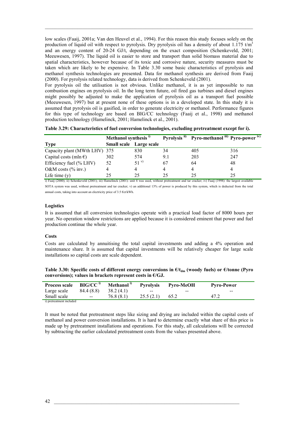<span id="page-42-0"></span>low scales (Faaij, 2001a; Van den Heuvel et al., 1994). For this reason this study focuses solely on the production of liquid oil with respect to pyrolysis. Dry pyrolysis oil has a density of about 1.175  $t/m<sup>3</sup>$ and an energy content of 20-24 GJ/t, depending on the exact composition (Schenkeveld, 2001; Meeuwesen, 1997). The liquid oil is easier to store and transport than solid biomass material due to spatial characteristics, however because of its toxic and corrosive nature, security measures must be taken which are likely to be expensive. In Table 3.30 some basic characteristics of pyrolysis and methanol synthesis technologies are presented. Data for methanol synthesis are derived from Faaij (2000). For pyrolysis related technology, data is derived from Schenkeveld (2001).

For pyrolysis oil the utilisation is not obvious. Unlike methanol, it is as yet impossible to run combustion engines on pyrolysis oil. In the long term future, oil fired gas turbines and diesel engines might possibly be adjusted to make the application of pyrolysis oil as a transport fuel possible (Meeuwesen, 1997) but at present none of these options is in a developed state. In this study it is assumed that pyrolysis oil is gasified, in order to generate electricity or methanol. Performance figures for this type of technology are based on BIG/CC technology (Faaij et al., 1998) and methanol production technology (Hamelinck, 2001; Hamelinck et al., 2001).

|                                 | Methanol synthesis <sup>i)</sup> |        |     | Pyrolysis <sup>ii)</sup> Pyro-methanol <sup>iii</sup> ) Pyro-power <sup>iv)</sup> |     |
|---------------------------------|----------------------------------|--------|-----|-----------------------------------------------------------------------------------|-----|
| <b>Type</b>                     | <b>Small scale</b> Large scale   |        |     |                                                                                   |     |
| Capacity plant (MWth LHV) 375   |                                  | 830    | 34  | 405                                                                               | 316 |
| Capital costs (mln $\epsilon$ ) | 302                              | 574    | 9.1 | 203                                                                               | 247 |
| Efficiency fuel $(\%$ LHV)      | 52                               | 51 $v$ | 67  | 64                                                                                | 48  |
| O&M costs $(\%$ inv.)           |                                  |        |     |                                                                                   |     |
| Life time $(y)$                 | 25                               | 25     | 25  | 25                                                                                | 25  |

i) Faaij (2000); ii) Schenkeveld (2001); iii) Hamelinck (2001): unit 6 was used, without pretreatment and tar cracker; iv) Faaij (1998): the largest available SOTA system was used, without pretreatment and tar cracker; v) an additional 13% of power is produced by this system, which is deducted from the total annual costs, taking into account an electricity price of 3.5 €ct/kWh.

### **Logistics**

It is assumed that all conversion technologies operate with a practical load factor of 8000 hours per year. No operation window restrictions are applied because it is considered eminent that power and fuel production continue the whole year.

#### **Costs**

Costs are calculated by annuitising the total capital investments and adding a 4% operation and maintenance share. It is assumed that capital investments will be relatively cheaper for large scale installations so capital costs are scale dependent.

**Table 3.30: Specific costs of different energy conversions in €/tdm (woody fuels) or €/tonne (Pyro conversions); values in brackets represent costs in €/GJ.**

| <b>Process scale</b>     | $BIG/CC$ <sup>i)</sup> | Methanol <sup>i)</sup> | <b>Pyrolysis</b> | Pvro-MeOH | <b>Pyro-Power</b> |
|--------------------------|------------------------|------------------------|------------------|-----------|-------------------|
| Large scale              | 84.4 (8.8)             | 38.2(4.1)              | $- -$            | --        | --                |
| Small scale              | $\sim$ $-$             | 76.8(8.1)              | 25.5(2.1)        | 65.2      | 47.2              |
| i) pretreatment included |                        |                        |                  |           |                   |

It must be noted that pretreatment steps like sizing and drying are included within the capital costs of methanol and power conversion installations. It is hard to determine exactly what share of this price is made up by pretreatment installations and operations. For this study, all calculations will be corrected by subtracting the earlier calculated pretreatment costs from the values presented above.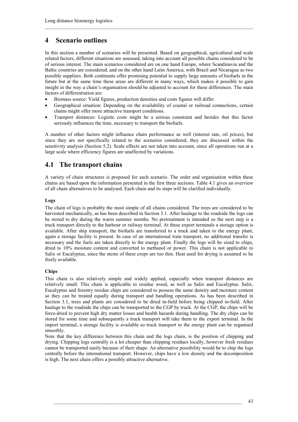# **4 Scenario outlines**

In this section a number of scenarios will be presented. Based on geographical, agricultural and scale related factors, different situations are assessed, taking into account all possible chains considered to be of serious interest. The main scenarios considered are on one hand Europe, where Scandinavia and the Baltic countries are considered, and on the other hand Latin America, with Brazil and Nicaragua as two possible suppliers. Both continents offer promising potential to supply large amounts of biofuels in the future but at the same time these areas are different in many ways, which makes it possible to gain insight in the way a chain's organisation should be adjusted to account for these differences. The main factors of differentiation are:

- Biomass source: Yield figures, production densities and costs figures will differ
- Geographical situation: Depending on the availability of coastal or railroad connections, certain chains might offer more attractive transport conditions.
- Transport distances: Logistic costs might be a serious constraint and besides that this factor seriously influences the time, necessary to transport the biofuels.

A number of other factors might influence chain performance as well (interest rate, oil prices), but since they are not specifically related to the scenarios considered, they are discussed within the sensitivity analysis (Section [5.2\)](#page-55-0). Scale effects are not taken into account, since all operations run at a large scale where efficiency figures are unaffected by variations.

# **4.1 The transport chains**

A variety of chain structures is proposed for each scenario. The order and organisation within these chains are based upon the information presented in the first three sections. [Table 4.1](#page-44-0) gives an overview of all chain alternatives to be analysed. Each chain and its steps will be clarified individually.

## **Logs**

The chain of logs is probably the most simple of all chains considered. The trees are considered to be harvested mechanically, as has been described in Section [3.1.](#page-23-0) After haulage to the roadside the logs can be stored to dry during the warm summer months. No pretreatment is intended so the next step is a truck transport directly to the harbour or railway terminal. At these export terminals a storage option is available. After ship transport, the biofuels are transferred to a truck and taken to the energy plant, again a storage facility is present. In case of an international train transport, no additional transfer is necessary and the fuels are taken directly to the energy plant. Finally the logs will be sized to chips, dried to 10% moisture content and converted to methanol or power. This chain is not applicable to Salix or Eucalyptus, since the stems of these crops are too thin. Heat used for drying is assumed to be freely available.

## **Chips**

This chain is also relatively simple and widely applied, especially when transport distances are relatively small. This chain is applicable to residue wood, as well as Salix and Eucalyptus. Salix, Eucalyptus and forestry residue chips are considered to possess the same density and moisture content so they can be treated equally during transport and handling operations. As has been described in Section [3.1,](#page-23-0) trees and plants are considered to be dried in-field before being chipped in-field. After haulage to the roadside the chips can be transported to the CGP by truck. At the CGP, the chips will be force-dried to prevent high dry matter losses and health hazards during handling. The dry chips can be stored for some time and subsequently a truck transport will take them to the export terminal. In the import terminal, a storage facility is available so truck transport to the energy plant can be organised smoothly.

Note that the key difference between this chain and the logs chain, is the position of chipping and drying. Chipping logs centrally is a lot cheaper than chipping residues locally, however fresh residues cannot be transported easily because of their shape. An alternative possibility would be to chip the logs centrally before the international transport. However, chips have a low density and the decomposition is high. The next chain offers a possibly attractive alternative.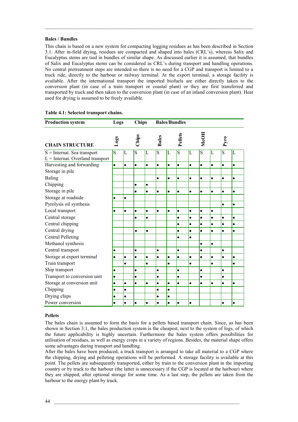#### <span id="page-44-0"></span>**Bales / Bundles**

This chain is based on a new system for compacting logging residues as has been described in Section [3.1.](#page-23-0) After in-field drying, residues are compacted and shaped into bales (CRL's), whereas Salix and Eucalyptus stems are tied in bundles of similar shape. As discussed earlier it is assumed, that bundles of Salix and Eucalyptus stems can be considered as CRL's during transport and handling operations. No central pretreatment steps are intended so there is no need for a CGP and transport is limited to a truck ride, directly to the harbour or railway terminal. At the export terminal, a storage facility is available. After the international transport the imported biofuels are either directly taken to the conversion plant (in case of a train transport or coastal plant) or they are first transferred and transported by truck and then taken to the conversion plant (in case of an inland conversion plant). Heat used for drying is assumed to be freely available.

| <b>Production system</b>           | Logs      |           | <b>Chips</b> |           | <b>Bales/Bundles</b> |           |           |           |              |           |           |           |
|------------------------------------|-----------|-----------|--------------|-----------|----------------------|-----------|-----------|-----------|--------------|-----------|-----------|-----------|
| <b>CHAIN STRUCTURE</b>             | Logs      |           | Chips        |           | <b>Bales</b>         |           | Pellets   |           | MeOH         |           | Pyro      |           |
| $S =$ Internat. Sea transport      | S         | L         | S            | L         | S                    | L         | S         | L         | <sub>S</sub> | L         | S         | L         |
| $L =$ Internat. Overland transport |           |           |              |           |                      |           |           |           |              |           |           |           |
| Harvesting and forwarding          | $\bullet$ | $\bullet$ | $\bullet$    | $\bullet$ | $\bullet$            | $\bullet$ | $\bullet$ | $\bullet$ | $\bullet$    | $\bullet$ | $\bullet$ | $\bullet$ |
| Storage in pile                    |           |           |              |           |                      |           |           |           |              |           |           |           |
| Baling                             |           |           |              |           | $\bullet$            | $\bullet$ | $\bullet$ | $\bullet$ | $\bullet$    | $\bullet$ | $\bullet$ | $\bullet$ |
| Chipping                           |           |           | $\bullet$    | $\bullet$ |                      |           |           |           |              |           |           |           |
| Storage in pile                    |           |           | $\bullet$    | $\bullet$ | $\bullet$            | $\bullet$ | $\bullet$ | $\bullet$ | $\bullet$    | $\bullet$ | $\bullet$ | $\bullet$ |
| Storage at roadside                | $\bullet$ | $\bullet$ |              |           |                      |           |           |           |              |           |           |           |
| Pyrolysis oil synthesis            |           |           |              |           |                      |           |           |           |              |           | $\bullet$ | $\bullet$ |
| Local transport                    | $\bullet$ | $\bullet$ | $\bullet$    | $\bullet$ | $\bullet$            | $\bullet$ | $\bullet$ | $\bullet$ | $\bullet$    | $\bullet$ |           |           |
| Central storage                    |           |           | $\bullet$    | $\bullet$ |                      |           | $\bullet$ | $\bullet$ | $\bullet$    | $\bullet$ | $\bullet$ | $\bullet$ |
| Central chipping                   |           |           |              |           |                      |           | $\bullet$ | $\bullet$ | $\bullet$    | $\bullet$ | $\bullet$ | $\bullet$ |
| Central drying                     |           |           | $\bullet$    | $\bullet$ |                      |           | $\bullet$ | $\bullet$ | $\bullet$    | $\bullet$ | $\bullet$ | $\bullet$ |
| <b>Central Pelleting</b>           |           |           |              |           |                      |           | $\bullet$ | $\bullet$ |              |           |           |           |
| Methanol synthesis                 |           |           |              |           |                      |           |           |           | $\bullet$    | $\bullet$ |           |           |
| Central transport                  | $\bullet$ |           | $\bullet$    |           | $\bullet$            |           | $\bullet$ |           | $\bullet$    |           | $\bullet$ |           |
| Storage at export terminal         | $\bullet$ | $\bullet$ | $\bullet$    | $\bullet$ | $\bullet$            | $\bullet$ | $\bullet$ | $\bullet$ | $\bullet$    | $\bullet$ | $\bullet$ | $\bullet$ |
| Train transport                    |           | $\bullet$ |              | $\bullet$ |                      | $\bullet$ |           | $\bullet$ |              | $\bullet$ |           | $\bullet$ |
| Ship transport                     | $\bullet$ |           | $\bullet$    |           | $\bullet$            |           | $\bullet$ |           | $\bullet$    |           | $\bullet$ |           |
| Transport to conversion unit       | $\bullet$ |           | $\bullet$    |           | $\bullet$            |           | $\bullet$ |           | $\bullet$    |           | $\bullet$ |           |
| Storage at conversion unit         | $\bullet$ | $\bullet$ | $\bullet$    | $\bullet$ | $\bullet$            | $\bullet$ | $\bullet$ | $\bullet$ | $\bullet$    | $\bullet$ | $\bullet$ | $\bullet$ |
| Chipping                           | $\bullet$ | $\bullet$ |              |           | $\bullet$            | $\bullet$ |           |           |              |           |           |           |
| Drying chips                       | $\bullet$ | $\bullet$ |              |           | $\bullet$            | $\bullet$ |           |           |              |           |           |           |
| Power conversion                   | $\bullet$ | $\bullet$ | $\bullet$    | $\bullet$ | $\bullet$            | $\bullet$ | $\bullet$ | $\bullet$ |              |           | $\bullet$ | $\bullet$ |

#### **Table 4.1: Selected transport chains.**

### **Pellets**

The bales chain is assumed to form the basis for a pellets based transport chain. Since, as has been shown in Section [3.1,](#page-23-0) the bales production system is the cheapest, next to the system of logs, of which the future applicability is highly uncertain. Furthermore the bales system offers possibilities for utilisation of residues, as well as energy crops in a variety of regions. Besides, the material shape offers some advantages during transport and handling.

After the bales have been produced, a truck transport is arranged to take all material to a CGP where the chipping, drying and pelleting operations will be performed. A storage facility is available at this point. The pellets are subsequently transported, either by train to the conversion plant in the importing country or by truck to the harbour (the latter is unnecessary if the CGP is located at the harbour) where they are shipped, after optional storage for some time. As a last step, the pellets are taken from the harbour to the energy plant by truck.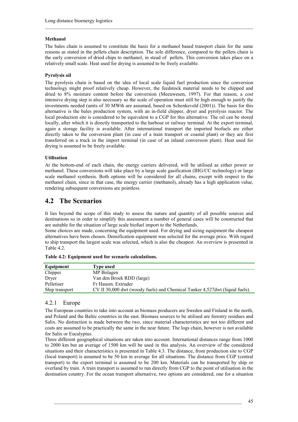## **Methanol**

The bales chain is assumed to constitute the basis for a methanol based transport chain for the same reasons as stated in the pellets chain description. The sole difference, compared to the pellets chain is the early conversion of dried chips to methanol, in stead of pellets. This conversion takes place on a relatively small scale. Heat used for drying is assumed to be freely available.

## **Pyrolysis oil**

The pyrolysis chain is based on the idea of local scale liquid fuel production since the conversion technology might proof relatively cheap. However, the feedstock material needs to be chipped and dried to 8% moisture content before the conversion (Meeuwesen, 1997). For that reason, a cost intensive drying step is also necessary so the scale of operation must still be high enough to justify the investments needed (units of 30 MWth are assumed, based on Schenkeveld (2001)). The basis for this alternative is the bales production system, with an in-field chipper, dryer and pyrolysis reactor. The local production site is considered to be equivalent to a CGP for this alternative. The oil can be stored locally, after which it is directly transported to the harbour or railway terminal. At the export terminal, again a storage facility is available. After international transport the imported biofuels are either directly taken to the conversion plant (in case of a train transport or coastal plant) or they are first transferred on a truck in the import terminal (in case of an inland conversion plant). Heat used for drying is assumed to be freely available.

### **Utilisation**

At the bottom-end of each chain, the energy carriers delivered, will be utilised as either power or methanol. These conversions will take place by a large scale gasification (BIG/CC technology) or large scale methanol synthesis. Both options will be considered for all chains, except with respect to the methanol chain, since in that case, the energy carrier (methanol), already has a high application value, rendering subsequent conversions are pointless.

## **4.2 The Scenarios**

It lies beyond the scope of this study to assess the nature and quantity of all possible sources and destinations so in order to simplify this assessment a number of general cases will be constructed that are suitable for the situation of large scale biofuel import to the Netherlands.

Some choices are made, concerning the equipment used. For drying and sizing equipment the cheapest alternatives have been chosen. Densification equipment was selected for the average price. With regard to ship transport the largest scale was selected, which is also the cheapest. An overview is presented in Table 4.2.

| Equipment      | Type used                                                                    |
|----------------|------------------------------------------------------------------------------|
| Chipper        | MP Bolagen                                                                   |
| Dryer          | Van den Broek RDD (large)                                                    |
| Pelletiser     | Fr Hausm. Extruder                                                           |
| Ship transport | CV II 30,000 dwt (woody fuels) and Chemical Tanker 4,527 dwt (liquid fuels). |

**Table 4.2: Equipment used for scenario calculations.**

## 4.2.1 Europe

The European countries to take into account as biomass producers are Sweden and Finland in the north, and Poland and the Baltic countries in the east. Biomass sources to be utilised are forestry residues and Salix. No distinction is made between the two, since material characteristics are not too different and costs are assumed to be practically the same in the near future. The logs chain, however is not available for Salix or Eucalyptus.

Three different geographical situations are taken into account. International distances range from 1000 to 2000 km but an average of 1500 km will be used in this analysis. An overview of the considered situations and their characteristics is presented in [Table 4.3](#page-46-0). The distance, from production site to CGP (local transport) is assumed to be 50 km in average for all situations. The distance from CGP (central transport) to the export terminal is assumed to be 200 km. Materials can be transported by ship or overland by train. A train transport is assumed to run directly from CGP to the point of utilisation in the destination country. For the ocean transport alternative, two options are considered, one for a situation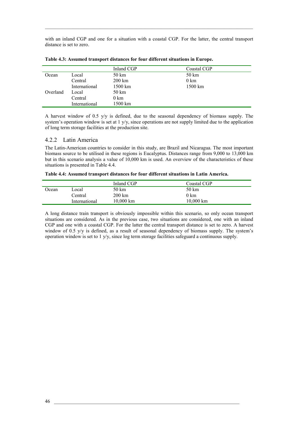<span id="page-46-0"></span>with an inland CGP and one for a situation with a coastal CGP. For the latter, the central transport distance is set to zero.

|          |               | Inland CGP         | Coastal CGP    |
|----------|---------------|--------------------|----------------|
| Ocean    | Local         | 50 km              | 50 km          |
|          | Central       | $200 \mathrm{km}$  | $0 \text{ km}$ |
|          | International | $1500 \mathrm{km}$ | 1500 km        |
| Overland | Local         | 50 km              |                |
|          | Central       | $0 \text{ km}$     |                |
|          | International | 1500 km            |                |

| Table 4.3: Assumed transport distances for four different situations in Europe. |  |
|---------------------------------------------------------------------------------|--|
|---------------------------------------------------------------------------------|--|

A harvest window of 0.5 y/y is defined, due to the seasonal dependency of biomass supply. The system's operation window is set at 1 y/y, since operations are not supply limited due to the application of long term storage facilities at the production site.

## 4.2.2 Latin America

The Latin-American countries to consider in this study, are Brazil and Nicaragua. The most important biomass source to be utilised in these regions is Eucalyptus. Distances range from 9,000 to 13,000 km but in this scenario analysis a value of 10,000 km is used. An overview of the characteristics of these situations is presented in Table 4.4.

**Table 4.4: Assumed transport distances for four different situations in Latin America.**

|       |               | Inland CGP | Coastal CGP          |  |
|-------|---------------|------------|----------------------|--|
| Ocean | Local         | 50 km      | 50 km                |  |
|       | Central       | 200 km     | $0 \text{ km}$       |  |
|       | International | 10,000 km  | $10.000 \mathrm{km}$ |  |
|       |               |            |                      |  |

A long distance train transport is obviously impossible within this scenario, so only ocean transport situations are considered. As in the previous case, two situations are considered, one with an inland CGP and one with a coastal CGP. For the latter the central transport distance is set to zero. A harvest window of 0.5 y/y is defined, as a result of seasonal dependency of biomass supply. The system's operation window is set to  $1 \sqrt{\gamma}$ , since log term storage facilities safeguard a continuous supply.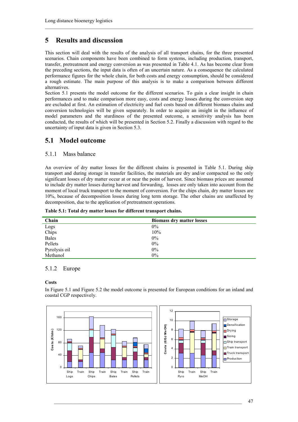# **5 Results and discussion**

This section will deal with the results of the analysis of all transport chains, for the three presented scenarios. Chain components have been combined to form systems, including production, transport, transfer, pretreatment and energy conversion as was presented in [Table 4.1.](#page-44-0) As has become clear from the preceding sections, the input data is often of an uncertain nature. As a consequence the calculated performance figures for the whole chain, for both costs and energy consumption, should be considered a rough estimate. The main purpose of this analysis is to make a comparison between different alternatives.

Section 5.1 presents the model outcome for the different scenarios. To gain a clear insight in chain performances and to make comparison more easy, costs and energy losses during the conversion step are excluded at first. An estimation of electricity and fuel costs based on different biomass chains and conversion technologies will be given separately. In order to acquire an insight in the influence of model parameters and the sturdiness of the presented outcome, a sensitivity analysis has been conducted, the results of which will be presented in Section [5.2](#page-55-0). Finally a discussion with regard to the uncertainty of input data is given in Section [5.3.](#page-58-0)

# **5.1 Model outcome**

## 5.1.1 Mass balance

An overview of dry matter losses for the different chains is presented in Table 5.1. During ship transport and during storage in transfer facilities, the materials are dry and/or compacted so the only significant losses of dry matter occur at or near the point of harvest. Since biomass prices are assumed to include dry matter losses during harvest and forwarding, losses are only taken into account from the moment of local truck transport to the moment of conversion. For the chips chain, dry matter losses are 10%, because of decomposition losses during long term storage. The other chains are unaffected by decomposition, due to the application of pretreatment operations.

| Table 5.1: Total dry matter losses for different transport chains. |  |
|--------------------------------------------------------------------|--|
|--------------------------------------------------------------------|--|

| Chain         | <b>Biomass dry matter losses</b> |
|---------------|----------------------------------|
| Logs          | $0\%$                            |
| Chips         | 10%                              |
| <b>Bales</b>  | $0\%$                            |
| Pellets       | $0\%$                            |
| Pyrolysis oil | $0\%$                            |
| Methanol      | $0\%$                            |

## 5.1.2 Europe

## **Costs**

In [Figure 5.1](#page-48-0) and [Figure 5.2](#page-48-0) the model outcome is presented for European conditions for an inland and coastal CGP respectively.

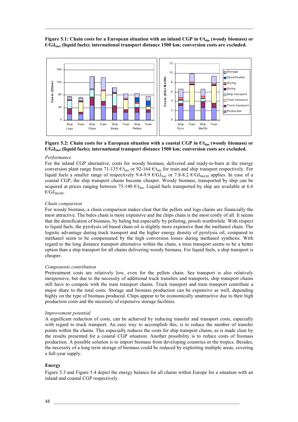## <span id="page-48-0"></span>**Figure 5.1: Chain costs for a European situation with an inland CGP in**  $\epsilon/t_{dm}$  **(woody biomass) or €/GJfuel (liquid fuels); international transport distance 1500 km; conversion costs are excluded.**



## **Figure 5.2: Chain costs for a European situation with a coastal CGP in**  $E/t_{dm}$  **(woody biomass) or €/GJfuel (liquid fuels); international transport distance 1500 km; conversion costs are excluded.**

#### *Performance*

For the inland CGP alternative, costs for woody biomass, delivered and ready-to-burn at the energy conversion plant range from 71-135  $\epsilon/t_{dm}$  or 92-164  $\epsilon/t_{dm}$  for train and ship transport respectively. For liquid fuels a smaller range of respectively 9.4-9.9  $\epsilon$ /GJ<sub>fuel</sub> or 7.8-8.2  $\epsilon$ /GJ<sub>MeOH</sub> applies. In case of a coastal CGP, the ship transport chains become cheaper. Woody biomass, transported by ship can be acquired at prices ranging between 75-140  $\epsilon/t_{dm}$ . Liquid fuels transported by ship are available at 6.6  $\epsilon$ /GJ<sub>MeOH</sub>.

#### *Chain comparison*

For woody biomass, a chain comparison makes clear that the pellets and logs chains are financially the most attractive. The bales chain is more expensive and the chips chain is the most costly of all. It seems that the densification of biomass, by baling but especially by pelleting, proofs worthwhile. With respect to liquid fuels, the pyrolysis oil based chain oil is slightly more expensive than the methanol chain. The logistic advantage during truck transport and the higher energy density of pyrolysis oil, compared to methanol seem to be compensated by the high conversion losses during methanol synthesis. With regard to the long distance transport alternative within the chain, a train transport seems to be a better option than a ship transport for all chains delivering woody biomass. For liquid fuels, a ship transport is cheaper.

#### *Components contribution*

Pretreatment costs are relatively low, even for the pellets chain. Sea transport is also relatively inexpensive, but due to the necessity of additional truck transfers and transports, ship transport chains still have to compete with the train transport chains. Truck transport and train transport contribute a major share to the total costs. Storage and biomass production can be expensive as well, depending highly on the type of biomass produced. Chips appear to be economically unattractive due to their high production costs and the necessity of expensive storage facilities.

#### *Improvement potential*

A significant reduction of costs, can be achieved by reducing transfer and transport costs, especially with regard to truck transport. An easy way to accomplish this, is to reduce the number of transfer points within the chains. This especially reduces the costs for ship transport chains, as is made clear by the results presented for a coastal CGP situation. Another possibility is to reduce costs of biomass production. A possible solution is to import biomass from developing countries in the tropics. Besides, the necessity of a long term storage of biomass could be reduced by exploiting multiple areas, covering a full-year supply.

### **Energy**

[Figure 5.3](#page-49-0) and [Figure 5.4](#page-49-0) depict the energy balance for all chains within Europe for a situation with an inland and coastal CGP respectively.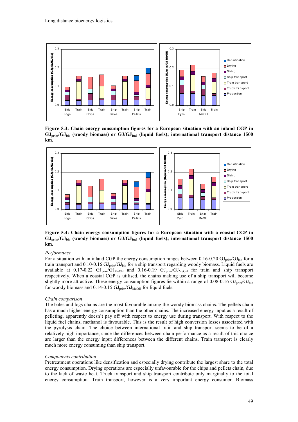<span id="page-49-0"></span>

**Figure 5.3: Chain energy consumption figures for a European situation with an inland CGP in GJprim/GJbio (woody biomass) or GJ/GJfuel (liquid fuels); international transport distance 1500 km.**



**Figure 5.4: Chain energy consumption figures for a European situation with a coastal CGP in GJprim/GJbio (woody biomass) or GJ/GJfuel (liquid fuels); international transport distance 1500 km.**

#### *Performance*

For a situation with an inland CGP the energy consumption ranges between  $0.16$ -0.20  $\text{GJ}_{\text{prim}}/\text{GJ}_{\text{bio}}$  for a train transport and 0.10-0.16  $GJ_{\text{prim}}/GJ_{\text{bio}}$  for a ship transport regarding woody biomass. Liquid fuels are available at 0.17-0.22  $\text{GJ}_{\text{prim}}/\text{GJ}_{\text{MeOH}}$  and 0.16-0.19  $\text{GJ}_{\text{prim}}/\text{GJ}_{\text{MeOH}}$  for train and ship transport respectively. When a coastal CGP is utilised, the chains making use of a ship transport will become slightly more attractive. These energy consumption figures lie within a range of 0.08-0.16 GJ<sub>prim</sub>/GJ<sub>bio</sub> for woody biomass and 0.14-0.15  $\overline{GJ}_{prim}/\overline{GJ}_{MeOH}$  for liquid fuels.

#### *Chain comparison*

The bales and logs chains are the most favourable among the woody biomass chains. The pellets chain has a much higher energy consumption than the other chains. The increased energy input as a result of pelleting, apparently doesn't pay off with respect to energy use during transport. With respect to the liquid fuel chains, methanol is favourable. This is the result of high conversion losses associated with the pyrolysis chain. The choice between international train and ship transport seems to be of a relatively high importance, since the differences between chain performance as a result of this choice are larger than the energy input differences between the different chains. Train transport is clearly much more energy consuming than ship transport.

#### *Components contribution*

Pretreatment operations like densification and especially drying contribute the largest share to the total energy consumption. Drying operations are especially unfavourable for the chips and pellets chain, due to the lack of waste heat. Truck transport and ship transport contribute only marginally to the total energy consumption. Train transport, however is a very important energy consumer. Biomass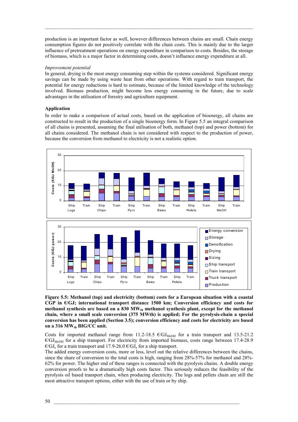production is an important factor as well, however differences between chains are small. Chain energy consumption figures do not positively correlate with the chain costs. This is mainly due to the larger influence of pretreatment operations on energy expenditure in comparison to costs. Besides, the storage of biomass, which is a major factor in determining costs, doesn't influence energy expenditure at all.

#### *Improvement potential*

In general, drying is the most energy consuming step within the systems considered. Significant energy savings can be made by using waste heat from other operations. With regard to train transport, the potential for energy reductions is hard to estimate, because of the limited knowledge of the technology involved. Biomass production, might become less energy consuming in the future, due to scale advantages in the utilisation of forestry and agriculture equipment.

### **Application**

In order to make a comparison of actual costs, based on the application of bioenergy, all chains are constructed to result in the production of a single bioenergy form. In Figure 5.5 an integral comparison of all chains is presented, assuming the final utilisation of both, methanol (top) and power (bottom) for all chains considered. The methanol chain is not considered with respect to the production of power, because the conversion from methanol to electricity is not a realistic option.



**Figure 5.5: Methanol (top) and electricity (bottom) costs for a European situation with a coastal CGP in €/GJ; international transport distance 1500 km; Conversion efficiency and costs for** methanol synthesis are based on a 830 MW<sub>th</sub> methanol synthesis plant, except for the methanol **chain, where a small scale conversion (375 MWth) is applied; For the pyrolysis-chain a special conversion has been applied (Section [3.5\)](#page-41-0); conversion efficiency and costs for electricity are based** on a 316 MW<sub>th</sub> BIG/CC unit.

Costs for imported methanol range from 11.2-18.5  $\epsilon$ /GJ<sub>MeOH</sub> for a train transport and 13.5-21.2  $\epsilon$ /GJ<sub>MeOH</sub> for a ship transport. For electricity from imported biomass, costs range between 17.4-28.9  $\epsilon$ /GJ<sub>e</sub> for a train transport and 17.9-26.0  $\epsilon$ /GJ<sub>e</sub> for a ship transport.

The added energy conversion costs, more or less, level out the relative differences between the chains, since the share of conversion to the total costs is high, ranging from 28%-57% for methanol and 28%- 62% for power. The higher end of these ranges is connected with the pyrolysis chains. A double energy conversion proofs to be a dramatically high costs factor. This seriously reduces the feasibility of the pyrolysis oil based transport chain, when producing electricity. The logs and pellets chain are still the most attractive transport options, either with the use of train or by ship.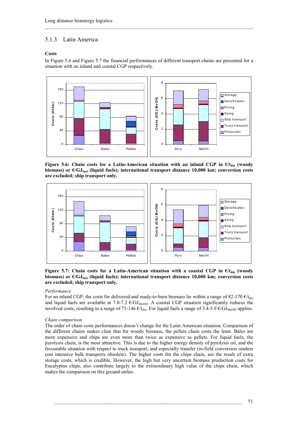## 5.1.3 Latin America

## **Costs**

In Figure 5.6 and Figure 5.7 the financial performances of different transport chains are presented for a situation with an inland and coastal CGP respectively.



Figure 5.6: Chain costs for a Latin-American situation with an inland CGP in  $E/t_{dm}$  (woody biomass) or  $\epsilon/GJ_{\text{fuel}}$  (liquid fuels); international transport distance 10,000 km; conversion costs **are excluded; ship transport only.**



Figure 5.7: Chain costs for a Latin-American situation with a coastal CGP in  $E/t_{dm}$  (woody biomass) or  $\epsilon/GJ_{\text{fuel}}$  (liquid fuels); international transport distance 10,000 km; conversion costs **are excluded; ship transport only.**

### *Performance*

For an inland CGP, the costs for delivered and ready-to-burn biomass lie within a range of 82-170  $\epsilon/t_{dm}$ and liquid fuels are available at 7.0-7.2  $\epsilon$ /GJ<sub>MeOH</sub>. A coastal CGP situation significantly reduces the involved costs, resulting in a range of 71-146  $\epsilon/t_{dm}$ . For liquid fuels a range of 5.4-5.9  $\epsilon/GJ_{MeOH}$  applies.

#### *Chain comparison*

The order of chain costs performances doesn't change for the Latin American situation. Comparison of the different chains makes clear that for woody biomass, the pellets chain costs the least. Bales are more expensive and chips are even more than twice as expensive as pellets. For liquid fuels, the pyrolysis chain, is the most attractive. This is due to the higher energy density of pyrolysis oil, and the favourable situation with respect to truck transport, and especially transfer (in-field conversion renders cost intensive bulk transports obsolete). The higher costs for the chips chain, are the result of extra storage costs, which is credible. However, the high but very uncertain biomass production costs for Eucalyptus chips, also contribute largely to the extraordinary high value of the chips chain, which makes the comparison on this ground unfair.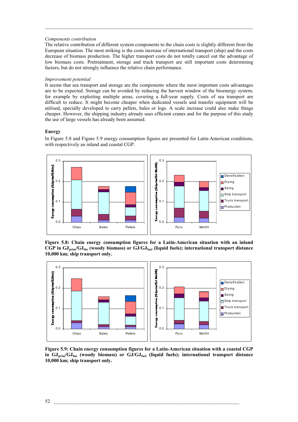### *Components contribution*

The relative contribution of different system components to the chain costs is slightly different from the European situation. The most striking is the costs increase of international transport (ship) and the costs decrease of biomass production. The higher transport costs do not totally cancel out the advantage of low biomass costs. Pretreatment, storage and truck transport are still important costs determining factors, but do not strongly influence the relative chain performance.

#### *Improvement potential*

It seems that sea transport and storage are the components where the most important costs advantages are to be expected. Storage can be avoided by reducing the harvest window of the bioenergy system, for example by exploiting multiple areas, covering a full-year supply. Costs of sea transport are difficult to reduce. It might become cheaper when dedicated vessels and transfer equipment will be utilised, specially developed to carry pellets, bales or logs. A scale increase could also make things cheaper. However, the shipping industry already uses efficient cranes and for the purpose of this study the use of large vessels has already been assumed.

### **Energy**

In Figure 5.8 and Figure 5.9 energy consumption figures are presented for Latin-American conditions, with respectively an inland and coastal CGP.



**Figure 5.8: Chain energy consumption figures for a Latin-American situation with an inland** CGP in GJ<sub>prim</sub>/GJ<sub>bio</sub> (woody biomass) or GJ/GJ<sub>fuel</sub> (liquid fuels); international transport distance **10,000 km; ship transport only.**



**Figure 5.9: Chain energy consumption figures for a Latin-American situation with a coastal CGP in GJprim/GJbio (woody biomass) or GJ/GJfuel (liquid fuels); international transport distance 10,000 km; ship transport only.**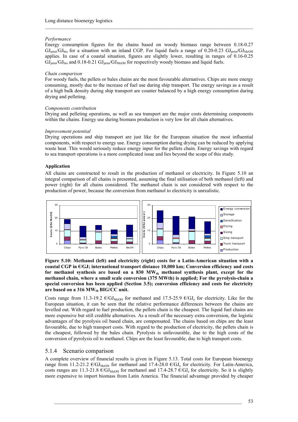## *Performance*

Energy consumption figures for the chains based on woody biomass range between 0.18-0.27  $GJ<sub>prim</sub>/GJ<sub>bio</sub>$  for a situation with an inland CGP. For liquid fuels a range of 0.20-0.23  $GJ<sub>prim</sub>/GJ<sub>MoOH</sub>$ applies. In case of a coastal situation, figures are slightly lower, resulting in ranges of 0.16-0.25  $\text{GJ}_\text{prim}/\text{GJ}_\text{bio}$  and 0.18-0.21  $\text{GJ}_\text{prim}/\text{GJ}_\text{MeOH}$  for respectively woody biomass and liquid fuels.

## *Chain comparison*

For woody fuels, the pellets or bales chains are the most favourable alternatives. Chips are more energy consuming, mostly due to the increase of fuel use during ship transport. The energy savings as a result of a high bulk density during ship transport are counter balanced by a high energy consumption during drying and pelleting.

## *Components contribution*

Drying and pelleting operations, as well as sea transport are the major costs determining components within the chains. Energy use during biomass production is very low for all chain alternatives.

## *Improvement potential*

Drying operations and ship transport are just like for the European situation the most influential components, with respect to energy use. Energy consumption during drying can be reduced by applying waste heat. This would seriously reduce energy input for the pellets chain. Energy savings with regard to sea transport operations is a more complicated issue and lies beyond the scope of this study.

## **Application**

All chains are constructed to result in the production of methanol or electricity. In Figure 5.10 an integral comparison of all chains is presented, assuming the final utilisation of both methanol (left) and power (right) for all chains considered. The methanol chain is not considered with respect to the production of power, because the conversion from methanol to electricity is unrealistic.



**Figure 5.10: Methanol (left) and electricity (right) costs for a Latin-American situation with a coastal CGP in €/GJ; international transport distance 10,000 km; Conversion efficiency and costs** for methanol synthesis are based on a 830 MW<sub>th</sub> methanol synthesis plant, except for the **methanol chain, where a small scale conversion (375 MWth) is applied; For the pyrolysis-chain a special conversion has been applied (Section [3.5\)](#page-41-0); conversion efficiency and costs for electricity** are based on a 316 MW<sub>th</sub> BIG/CC unit.

Costs range from 11.3-19.2  $\epsilon/GJ_{\text{MeOH}}$  for methanol and 17.5-25.9  $\epsilon/GJ_{\text{e}}$  for electricity. Like for the European situation, it can be seen that the relative performance differences between the chains are levelled out. With regard to fuel production, the pellets chain is the cheapest. The liquid fuel chains are more expensive but still credible alternatives. As a result of the necessary extra conversion, the logistic advantages of the pyrolysis oil based chain, are compensated. The chains based on chips are the least favourable, due to high transport costs. With regard to the production of electricity, the pellets chain is the cheapest, followed by the bales chain. Pyrolysis is unfavourable, due to the high costs of the conversion of pyrolysis oil to methanol. Chips are the least favourable, due to high transport costs.

## 5.1.4 Scenario comparison

A complete overview of financial results is given in [Figure 5.13.](#page-56-0) Total costs for European bioenergy range from 11.2-21.2  $\epsilon$ /GJ<sub>MeOH</sub> for methanol and 17.4-28.0  $\epsilon$ /GJ<sub>e</sub> for electricity. For Latin-America, costs ranges are 11.3-21.8  $\epsilon/GJ_{\text{MeOH}}$  for methanol and 17.4-28.7  $\epsilon/GJ_{\text{e}}$  for electricity. So it is slightly more expensive to import biomass from Latin America. The financial advantage provided by cheaper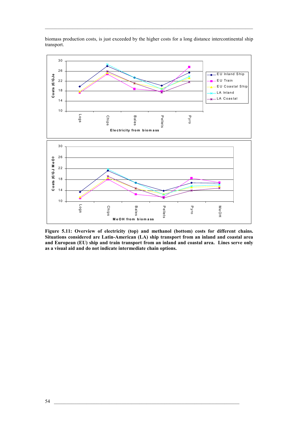

biomass production costs, is just exceeded by the higher costs for a long distance intercontinental ship transport.

**Figure 5.11: Overview of electricity (top) and methanol (bottom) costs for different chains. Situations considered are Latin-American (LA) ship transport from an inland and coastal area and European (EU) ship and train transport from an inland and coastal area. Lines serve only as a visual aid and do not indicate intermediate chain options.**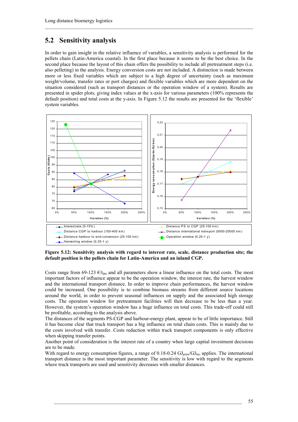# <span id="page-55-0"></span>**5.2 Sensitivity analysis**

In order to gain insight in the relative influence of variables, a sensitivity analysis is performed for the pellets chain (Latin-America coastal). In the first place because it seems to be the best choice. In the second place because the layout of this chain offers the possibility to include all pretreatment steps (i.e. also pelleting) in the analysis. Energy conversion costs are not included. A distinction is made between more or less fixed variables which are subject to a high degree of uncertainty (such as maximum weight/volume, transfer rates or port charges) and flexible variables which are more dependent on the situation considered (such as transport distances or the operation window of a system). Results are presented in spider plots, giving index values at the x-axis for various parameters (100% represents the default position) and total costs at the y-axis. In Figure 5.12 the results are presented for the 'flexible' system variables.



**Figure 5.12: Sensitivity analysis with regard to interest rate, scale, distance production site; the default position is the pellets chain for Latin-America and an inland CGP.**

Costs range from 69-123  $\epsilon/t_{dm}$  and all parameters show a linear influence on the total costs. The most important factors of influence appear to be the operation window, the interest rate, the harvest window and the international transport distance. In order to improve chain performances, the harvest window could be increased. One possibility is to combine biomass streams from different source locations around the world, in order to prevent seasonal influences on supply and the associated high storage costs. The operation window for pretreatment facilities will then decrease to be less than a year. However, the system's operation window has a huge influence on total costs. This trade-off could still be profitable, according to the analysis above.

The distances of the segments PS-CGP and harbour-energy plant, appear to be of little importance. Still it has become clear that truck transport has a big influence on total chain costs. This is mainly due to the costs involved with transfer. Costs reduction within truck transport components is only effective when skipping transfer points.

Another point of consideration is the interest rate of a country when large capital investment decisions are to be made.

With regard to energy consumption figures, a range of 0.18-0.24 GJ<sub>prim</sub>/GJ<sub>bio</sub> applies. The international transport distance is the most important parameter. The sensitivity is low with regard to the segments where truck transports are used and sensitivity decreases with smaller distances.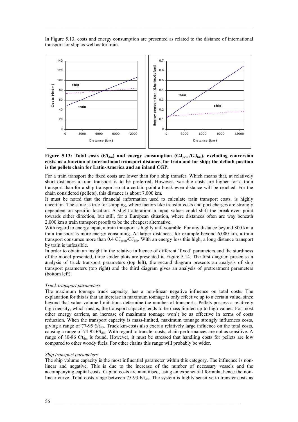<span id="page-56-0"></span>In Figure 5.13, costs and energy consumption are presented as related to the distance of international transport for ship as well as for train.



### Figure 5.13: Total costs  $(\mathcal{E}/t_{dm})$  and energy consumption  $(GJ_{prim}/GJ_{bio})$ , excluding conversion **costs, as a function of international transport distance, for train and for ship; the default position is the pellets chain for Latin-America and an inland CGP.**

For a train transport the fixed costs are lower than for a ship transfer. Which means that, at relatively short distances a train transport is to be preferred. However, variable costs are higher for a train transport than for a ship transport so at a certain point a break-even distance will be reached. For the chain considered (pellets), this distance is about 7,000 km.

It must be noted that the financial information used to calculate train transport costs, is highly uncertain. The same is true for shipping, where factors like transfer costs and port charges are strongly dependent on specific location. A slight alteration in input values could shift the break-even point towards either direction, but still, for a European situation, where distances often are way beneath 2,000 km a train transport proofs to be the cheapest alternative.

With regard to energy input, a train transport is highly unfavourable. For any distance beyond 800 km a train transport is more energy consuming. At larger distances, for example beyond 6,000 km, a train transport consumes more than  $0.4 \text{ GJ}_{\text{prim}}/\text{GJ}_{\text{bio}}$ . With an energy loss this high, a long distance transport by train is unfeasible.

In order to obtain an insight in the relative influence of different 'fixed' parameters and the sturdiness of the model presented, three spider plots are presented in [Figure 5.14.](#page-57-0) The first diagram presents an analysis of truck transport parameters (top left), the second diagram presents an analysis of ship transport parameters (top right) and the third diagram gives an analysis of pretreatment parameters (bottom left).

#### *Truck transport parameters*

The maximum tonnage truck capacity, has a non-linear negative influence on total costs. The explanation for this is that an increase in maximum tonnage is only effective up to a certain value, since beyond that value volume limitations determine the number of transports. Pellets possess a relatively high density, which means, the transport capacity tends to be mass limited up to high values. For most other energy carriers, an increase of maximum tonnage won't be as effective in terms of costs reduction. When the transport capacity is mass-limited, maximum tonnage strongly influences costs, giving a range of 77-95  $\epsilon/t_{dm}$ . Truck km-costs also exert a relatively large influence on the total costs, causing a range of 74-92  $\epsilon/t_{dm}$ . With regard to transfer costs, chain performances are not as sensitive. A range of 80-86  $\epsilon/t_{dm}$  is found. However, it must be stressed that handling costs for pellets are low compared to other woody fuels. For other chains this range will probably be wider.

### *Ship transport parameters*

The ship volume capacity is the most influential parameter within this category. The influence is nonlinear and negative. This is due to the increase of the number of necessary vessels and the accompanying capital costs. Capital costs are annuitised, using an exponential formula, hence the nonlinear curve. Total costs range between 75-93  $\epsilon/t_{dm}$ . The system is highly sensitive to transfer costs as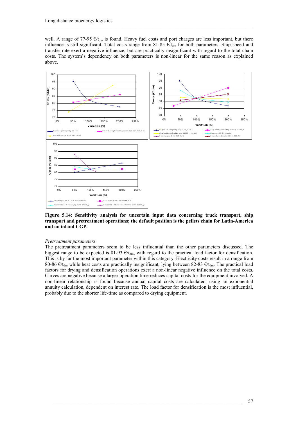<span id="page-57-0"></span>well. A range of 77-95  $\epsilon/t_{dm}$  is found. Heavy fuel costs and port charges are less important, but there influence is still significant. Total costs range from 81-85  $\epsilon/t_{dm}$  for both parameters. Ship speed and transfer rate exert a negative influence, but are practically insignificant with regard to the total chain costs. The system's dependency on both parameters is non-linear for the same reason as explained above.



**Figure 5.14: Sensitivity analysis for uncertain input data concerning truck transport, ship transport and pretreatment operations; the default position is the pellets chain for Latin-America and an inland CGP.**

#### *Pretreatment parameters*

The pretreatment parameters seem to be less influential than the other parameters discussed. The biggest range to be expected is 81-93  $\epsilon/t_{dm}$ , with regard to the practical load factor for densification. This is by far the most important parameter within this category. Electricity costs result in a range from 80-86  $\epsilon/t_{dm}$  while heat costs are practically insignificant, lying between 82-83  $\epsilon/t_{dm}$ . The practical load factors for drying and densification operations exert a non-linear negative influence on the total costs. Curves are negative because a larger operation time reduces capital costs for the equipment involved. A non-linear relationship is found because annual capital costs are calculated, using an exponential annuity calculation, dependent on interest rate. The load factor for densification is the most influential, probably due to the shorter life-time as compared to drying equipment.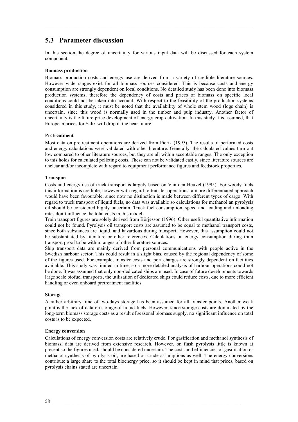# <span id="page-58-0"></span>**5.3 Parameter discussion**

In this section the degree of uncertainty for various input data will be discussed for each system component.

#### **Biomass production**

Biomass production costs and energy use are derived from a variety of credible literature sources. However wide ranges exist for all biomass sources considered. This is because costs and energy consumption are strongly dependent on local conditions. No detailed study has been done into biomass production systems; therefore the dependency of costs and prices of biomass on specific local conditions could not be taken into account. With respect to the feasibility of the production systems considered in this study, it must be noted that the availability of whole stem wood (logs chain) is uncertain, since this wood is normally used in the timber and pulp industry. Another factor of uncertainty is the future price development of energy crop cultivation. In this study it is assumed, that European prices for Salix will drop in the near future.

#### **Pretreatment**

Most data on pretreatment operations are derived from Pierik (1995). The results of performed costs and energy calculations were validated with other literature. Generally, the calculated values turn out low compared to other literature sources, but they are all within acceptable ranges. The only exception to this holds for calculated pelleting costs. These can not be validated easily, since literature sources are unclear and/or incomplete with regard to equipment performance figures and feedstock properties.

#### **Transport**

Costs and energy use of truck transport is largely based on Van den Heuvel (1995). For woody fuels this information is credible, however with regard to transfer operations, a more differentiated approach would have been favourable, since now no distinction is made between different types of cargo. With regard to truck transport of liquid fuels, no data was available so calculations for methanol an pyrolysis oil should be considered highly uncertain. Truck fuel consumption, speed and loading and unloading rates don't influence the total costs in this model.

Train transport figures are solely derived from Börjesson (1996). Other useful quantitative information could not be found. Pyrolysis oil transport costs are assumed to be equal to methanol transport costs, since both substances are liquid, and hazardous during transport. However, this assumption could not be substantiated by literature or other references. Calculations on energy consumption during train transport proof to be within ranges of other literature sources.

Ship transport data are mainly derived from personal communications with people active in the Swedish harbour sector. This could result in a slight bias, caused by the regional dependency of some of the figures used. For example, transfer costs and port charges are strongly dependent on facilities available. This study was limited in time, so a more detailed analysis of harbour operations could not be done. It was assumed that only non-dedicated ships are used. In case of future developments towards large scale biofuel transports, the utilisation of dedicated ships could reduce costs, due to more efficient handling or even onboard pretreatment facilities.

#### **Storage**

A rather arbitrary time of two-days storage has been assumed for all transfer points. Another weak point is the lack of data on storage of liquid fuels. However, since storage costs are dominated by the long-term biomass storage costs as a result of seasonal biomass supply, no significant influence on total costs is to be expected.

#### **Energy conversion**

Calculations of energy conversion costs are relatively crude. For gasification and methanol synthesis of biomass, data are derived from extensive research. However, on flash pyrolysis little is known at present so the figures used, should be considered uncertain. The costs and efficiencies of gasification or methanol synthesis of pyrolysis oil, are based on crude assumptions as well. The energy conversions contribute a large share to the total bioenergy price, so it should be kept in mind that prices, based on pyrolysis chains stated are uncertain.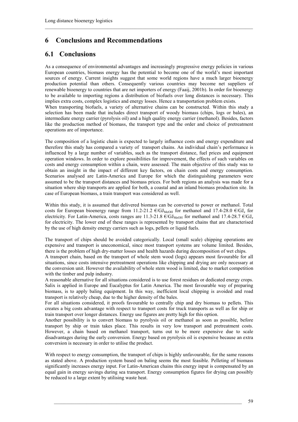# **6 Conclusions and Recommendations**

## **6.1 Conclusions**

As a consequence of environmental advantages and increasingly progressive energy policies in various European countries, biomass energy has the potential to become one of the world's most important sources of energy. Current insights suggest that some world regions have a much larger bioenergy production potential than others. Consequently various countries may become net suppliers of renewable bioenergy to countries that are net importers of energy (Faaij, 2001b). In order for bioenergy to be available to importing regions a distribution of biofuels over long distances is necessary. This implies extra costs, complex logistics and energy losses. Hence a transportation problem exists. When transporting biofuels, a variety of alternative chains can be constructed. Within this study a selection has been made that includes direct transport of woody biomass (chips, logs or bales), an intermediate energy carrier (pyrolysis oil) and a high quality energy carrier (methanol). Besides, factors like the production method of biomass, the transport type and the order and choice of pretreatment operations are of importance.

The composition of a logistic chain is expected to largely influence costs and energy expenditure and therefore this study has compared a variety of transport chains. An individual chain's performance is influenced by a large number of variables, such as the transport distance, fuel prices and equipment operation windows. In order to explore possibilities for improvement, the effects of such variables on costs and energy consumption within a chain, were assessed. The main objective of this study was to obtain an insight in the impact of different key factors, on chain costs and energy consumption. Scenarios analysed are Latin-America and Europe for which the distinguishing parameters were assumed to be the transport distances and biomass prices. For both regions an analysis was made for a situation where ship transports are applied for both, a coastal and an inland biomass production site. In case of European biomass, a train transport was considered as well.

Within this study, it is assumed that delivered biomass can be converted to power or methanol. Total costs for European bioenergy range from 11.2-21.2  $\epsilon$ /GJ<sub>MeOH</sub> for methanol and 17.4-28.0  $\epsilon$ /GJ<sub>e</sub> for electricity. For Latin-America, costs ranges are 11.3-21.8  $\epsilon/GJ_{\text{MeOH}}$  for methanol and 17.4-28.7  $\epsilon/GJ_{\text{e}}$ for electricity. The lower end of these ranges is represented by transport chains that are characterised by the use of high density energy carriers such as logs, pellets or liquid fuels.

The transport of chips should be avoided categorically. Local (small scale) chipping operations are expensive and transport is uneconomical, since most transport systems are volume limited. Besides, there is the problem of high dry-matter losses and health hazards during decomposition of wet chips.

A transport chain, based on the transport of whole stem wood (logs) appears most favourable for all situations, since costs intensive pretreatment operations like chipping and drying are only necessary at the conversion unit. However the availability of whole stem wood is limited, due to market competition with the timber and pulp industry.

A reasonable alternative for all situations considered is to use forest residues or dedicated energy crops. Salix is applied in Europe and Eucalyptus for Latin America. The most favourable way of preparing biomass, is to apply baling equipment. In this way, inefficient local chipping is avoided and road transport is relatively cheap, due to the higher density of the bales.

For all situations considered, it proofs favourable to centrally chip and dry biomass to pellets. This creates a big costs advantage with respect to transport costs for truck transports as well as for ship or train transport over longer distances. Energy use figures are pretty high for this option.

Another possibility is to convert biomass to pyrolysis oil or methanol as soon as possible, before transport by ship or train takes place. This results in very low transport and pretreatment costs. However, a chain based on methanol transport, turns out to be more expensive due to scale disadvantages during the early conversion. Energy based on pyrolysis oil is expensive because an extra conversion is necessary in order to utilise the product.

With respect to energy consumption, the transport of chips is highly unfavourable, for the same reasons as stated above. A production system based on baling seems the most feasible. Pelleting of biomass significantly increases energy input. For Latin-American chains this energy input is compensated by an equal gain in energy savings during sea transport. Energy consumption figures for drying can possibly be reduced to a large extent by utilising waste heat.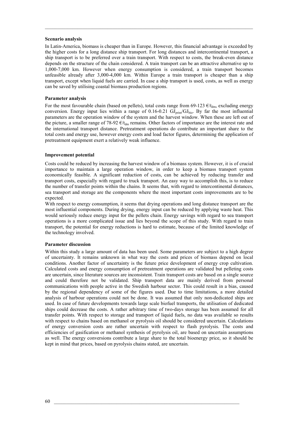### **Scenario analysis**

In Latin-America, biomass is cheaper than in Europe. However, this financial advantage is exceeded by the higher costs for a long distance ship transport. For long distances and intercontinental transport, a ship transport is to be preferred over a train transport. With respect to costs, the break-even distance depends on the structure of the chain considered. A train transport can be an attractive alternative up to 1,000-7,000 km. However when energy consumption is considered, a train transport becomes unfeasible already after 3,000-4,000 km. Within Europe a train transport is cheaper than a ship transport, except when liquid fuels are carried. In case a ship transport is used, costs, as well as energy can be saved by utilising coastal biomass production regions.

#### **Parameter analysis**

For the most favourable chain (based on pellets), total costs range from 69-123  $\epsilon/t_{dm}$ , excluding energy conversion. Energy input lies within a range of  $0.16-0.21 \text{ GJ}_{\text{prim}}/\text{GJ}_{\text{bio}}$ . By far the most influential parameters are the operation window of the system and the harvest window. When these are left out of the picture, a smaller range of 78-92  $\epsilon/t_{dm}$  remains. Other factors of importance are the interest rate and the international transport distance. Pretreatment operations do contribute an important share to the total costs and energy use, however energy costs and load factor figures, determining the application of pretreatment equipment exert a relatively weak influence.

#### **Improvement potential**

Costs could be reduced by increasing the harvest window of a biomass system. However, it is of crucial importance to maintain a large operation window, in order to keep a biomass transport system economically feasible. A significant reduction of costs, can be achieved by reducing transfer and transport costs, especially with regard to truck transport. An easy way to accomplish this, is to reduce the number of transfer points within the chains. It seems that, with regard to intercontinental distances, sea transport and storage are the components where the most important costs improvements are to be expected.

With respect to energy consumption, it seems that drying operations and long distance transport are the most influential components. During drying, energy input can be reduced by applying waste heat. This would seriously reduce energy input for the pellets chain. Energy savings with regard to sea transport operations is a more complicated issue and lies beyond the scope of this study. With regard to train transport, the potential for energy reductions is hard to estimate, because of the limited knowledge of the technology involved.

#### **Parameter discussion**

Within this study a large amount of data has been used. Some parameters are subject to a high degree of uncertainty. It remains unknown in what way the costs and prices of biomass depend on local conditions. Another factor of uncertainty is the future price development of energy crop cultivation. Calculated costs and energy consumption of pretreatment operations are validated but pelleting costs are uncertain, since literature sources are inconsistent. Train transport costs are based on a single source and could therefore not be validated. Ship transport data are mainly derived from personal communications with people active in the Swedish harbour sector. This could result in a bias, caused by the regional dependency of some of the figures used. Due to time limitations, a more detailed analysis of harbour operations could not be done. It was assumed that only non-dedicated ships are used. In case of future developments towards large scale biofuel transports, the utilisation of dedicated ships could decrease the costs. A rather arbitrary time of two-days storage has been assumed for all transfer points. With respect to storage and transport of liquid fuels, no data was available so results with respect to chains based on methanol or pyrolysis oil should be considered uncertain. Calculations of energy conversion costs are rather uncertain with respect to flash pyrolysis. The costs and efficiencies of gasification or methanol synthesis of pyrolysis oil, are based on uncertain assumptions as well. The energy conversions contribute a large share to the total bioenergy price, so it should be kept in mind that prices, based on pyrolysis chains stated, are uncertain.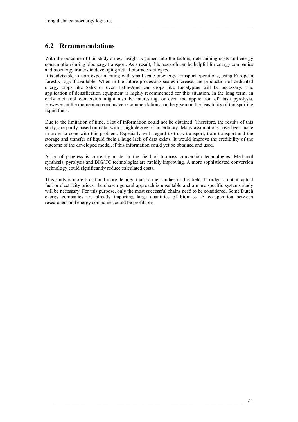# **6.2 Recommendations**

With the outcome of this study a new insight is gained into the factors, determining costs and energy consumption during bioenergy transport. As a result, this research can be helpful for energy companies and bioenergy traders in developing actual biotrade strategies.

It is advisable to start experimenting with small scale bioenergy transport operations, using European forestry logs if available. When in the future processing scales increase, the production of dedicated energy crops like Salix or even Latin-American crops like Eucalyptus will be necessary. The application of densification equipment is highly recommended for this situation. In the long term, an early methanol conversion might also be interesting, or even the application of flash pyrolysis. However, at the moment no conclusive recommendations can be given on the feasibility of transporting liquid fuels.

Due to the limitation of time, a lot of information could not be obtained. Therefore, the results of this study, are partly based on data, with a high degree of uncertainty. Many assumptions have been made in order to cope with this problem. Especially with regard to truck transport, train transport and the storage and transfer of liquid fuels a huge lack of data exists. It would improve the credibility of the outcome of the developed model, if this information could yet be obtained and used.

A lot of progress is currently made in the field of biomass conversion technologies. Methanol synthesis, pyrolysis and BIG/CC technologies are rapidly improving. A more sophisticated conversion technology could significantly reduce calculated costs.

This study is more broad and more detailed than former studies in this field. In order to obtain actual fuel or electricity prices, the chosen general approach is unsuitable and a more specific systems study will be necessary. For this purpose, only the most successful chains need to be considered. Some Dutch energy companies are already importing large quantities of biomass. A co-operation between researchers and energy companies could be profitable.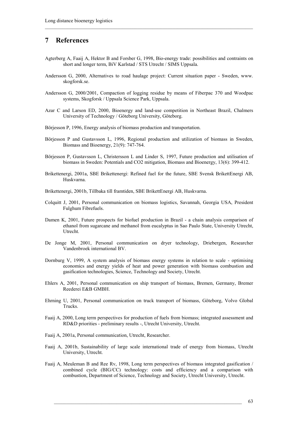## **7 References**

- Agterberg A, Faaij A, Hektor B and Forsber G, 1998, Bio-energy trade: possibilities and contraints on short and longer term, BiV Karlstad / STS Utrecht / SIMS Uppsala.
- Andersson G, 2000, Alternatives to road haulage project: Current situation paper Sweden, www. skogforsk.se.
- Andersson G, 2000/2001, Compaction of logging residue by means of Fiberpac 370 and Woodpac systems, Skogforsk / Uppsala Science Park, Uppsala.
- Azar C and Larson ED, 2000, Bioenergy and land-use competition in Northeast Brazil, Chalmers University of Technology / Göteborg University, Göteborg.
- Börjesson P, 1996, Energy analysis of biomass production and transportation.
- Börjesson P and Gustavsson L, 1996, Regional production and utilization of biomass in Sweden, Biomass and Bioenergy, 21(9): 747-764.
- Börjesson P, Gustavsson L, Christersson L and Linder S, 1997, Future production and utilisation of biomass in Sweden: Potentials and CO2 mitigation, Biomass and Bioenergy, 13(6): 399-412.
- Brikettenergi, 2001a, SBE Brikettenergi: Refined fuel for the future, SBE Svensk BrikettEnergi AB, Huskvarna.
- Brikettenergi, 2001b, Tillbaka till framtiden, SBE BrikettEnergi AB, Huskvarna.
- Colquitt J, 2001, Personal communication on biomass logistics, Savannah, Georgia USA, President Fulghum Fibrefuels.
- Damen K, 2001, Future prospects for biofuel production in Brazil a chain analysis comparison of ethanol from sugarcane and methanol from eucalyptus in Sao Paulo State, University Utrecht, Utrecht.
- De Jonge M, 2001, Personal communication on dryer technology, Driebergen, Researcher Vandenbroek international BV.
- Dornburg V, 1999, A system analysis of biomass energy systems in relation to scale optimising economics and energy yields of heat and power generation with biomass combustion and gasification technologies, Science, Technology and Society, Utrecht.
- Ehlers A, 2001, Personal communication on ship transport of biomass, Bremen, Germany, Bremer Reederei E&B GMBH.
- Ehrning U, 2001, Personal communication on truck transport of biomass, Göteborg, Volvo Global Trucks.
- Faaij A, 2000, Long term perspectives for production of fuels from biomass; integrated assessment and RD&D priorities - preliminary results -, Utrecht University, Utrecht.
- Faaij A, 2001a, Personal communication, Utrecht, Researcher.
- Faaij A, 2001b, Sustainability of large scale international trade of energy from biomass, Utrecht University, Utrecht.
- Faaij A, Meuleman B and Ree Rv, 1998, Long term perspectives of biomass integrated gasification / combined cycle (BIG/CC) technology: costs and efficiency and a comparison with combustion, Department of Science, Technology and Society, Utrecht University, Utrecht.

 $\overline{a}$  63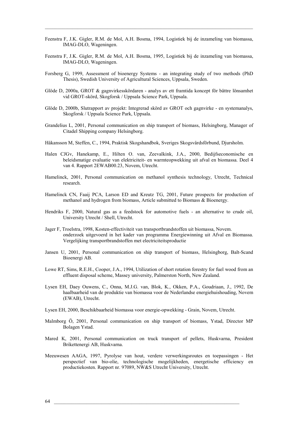- Feenstra F, J.K. Gigler, R.M. de Mol, A.H. Bosma, 1994, Logistiek bij de inzameling van biomassa, IMAG-DLO, Wageningen.
- Feenstra F, J.K. Gigler, R.M. de Mol, A.H. Bosma, 1995, Logistiek bij de inzameling van biomassa, IMAG-DLO, Wageningen.
- Forsberg G, 1999, Assessment of bioenergy Systems an integrating study of two methods (PhD Thesis), Swedish University of Agricultural Sciences, Uppsala, Sweden.
- Glöde D, 2000a, GROT & gagnvirkesskördaren analys av ett framtida koncept för bättre lönsamhet vid GROT-skörd, Skogforsk / Uppsala Science Park, Uppsala.
- Glöde D, 2000b, Slutrapport av projekt: Integrerad skörd av GROT och gagnvirke en systemanalys, Skogforsk / Uppsala Science Park, Uppsala.
- Grandelius L, 2001, Personal communication on ship transport of biomass, Helsingborg, Manager of Citadel Shipping company Helsingborg.
- Håkansson M, Steffen, C., 1994, Praktisk Skogshandbok, Sveriges Skogsvårdsförbund, Djursholm.
- Halen CJGv, Hanekamp, E., Hilten O. van, Zeevalkink, J.A., 2000, Bedijfseconomische en beleidsmatige evaluatie van elektriciteit- en warmteopwekking uit afval en biomassa. Deel 4 van 4. Rapport 2EWAB00.23, Novem, Utrecht.
- Hamelinck, 2001, Personal communication on methanol synthesis technology, Utrecht, Technical research.
- Hamelinck CN, Faaij PCA, Larson ED and Kreutz TG, 2001, Future prospects for production of methanol and hydrogen from biomass, Article submitted to Biomass & Bioenergy.
- Hendriks F, 2000, Natural gas as a feedstock for automotive fuels an alternative to crude oil, University Utrecht / Shell, Utrecht.
- Jager F, Troelstra, 1998, Kosten-effectiviteit van transportbrandstoffen uit biomassa, Novem. onderzoek uitgevoerd in het kader van programma Energiewinning uit Afval en Biomassa. Vergelijking transportbrandstoffen met electriciteitsproductie
- Jansen U, 2001, Personal communication on ship transport of biomass, Helsingborg, Balt-Scand Bioenergi AB.
- Lowe RT, Sims, R.E.H., Cooper, J.A., 1994, Utilization of short rotation forestry for fuel wood from an effluent disposal scheme, Massey university, Palmerston North, New Zealand.
- Lysen EH, Daey Ouwens, C., Onna, M.J.G. van, Blok, K., Okken, P.A., Goudriaan, J., 1992, De haalbaarheid van de produktie van biomassa voor de Nederlandse energiehuishouding, Novem (EWAB), Utrecht.
- Lysen EH, 2000, Beschikbaarheid biomassa voor energie-opwekking Grain, Novem, Utrecht.
- Malmborg Ö, 2001, Personal communication on ship transport of biomass, Ystad, Director MP Bolagen Ystad.
- Mared K, 2001, Personal communication on truck transport of pellets, Huskvarna, President Brikettenergi AB, Huskvarna.
- Meeuwesen AAGA, 1997, Pyrolyse van hout, verdere verwerkingsroutes en toepassingen Het perspectief van bio-olie, technologische mogelijkheden, energetische efficiency en productiekosten. Rapport nr. 97089, NW&S Utrecht University, Utrecht.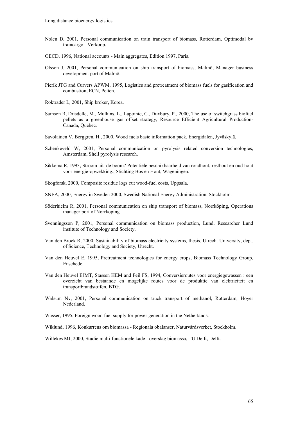- Nolen D, 2001, Personal communication on train transport of biomass, Rotterdam, Optimodal bv traincargo - Verkoop.
- OECD, 1996, National accounts Main aggregates, Edition 1997, Paris.
- Olsson J, 2001, Personal communication on ship transport of biomass, Malmö, Manager business development port of Malmö.
- Pierik JTG and Curvers APWM, 1995, Logistics and pretreatment of biomass fuels for gasification and combustion, ECN, Petten.
- Roktrader L, 2001, Ship broker, Korea.
- Samson R, Drisdelle, M., Mulkins, L., Lapointe, C., Duxbury, P., 2000. The use of switchgrass biofuel pellets as a greenhouse gas offset strategy, Resource Efficient Agricultural Production-Canada, Quebec.
- Savolainen V, Berggren, H., 2000, Wood fuels basic information pack, Energidalen, Jyväskylä.
- Schenkeveld W, 2001, Personal communication on pyrolysis related conversion technologies, Amsterdam, Shell pyrolysis research.
- Sikkema R, 1993, Stroom uit de boom? Potentiële beschikbaarheid van rondhout, resthout en oud hout voor energie-opwekking., Stichting Bos en Hout, Wageningen.
- Skogforsk, 2000, Composite residue logs cut wood-fuel costs, Uppsala.
- SNEA, 2000, Energy in Sweden 2000, Swedish National Energy Administration, Stockholm.
- Söderhielm R, 2001, Personal communication on ship transport of biomass, Norrköping, Operations manager port of Norrköping.
- Svenningsson P, 2001, Personal communication on biomass production, Lund, Researcher Lund institute of Technology and Society.
- Van den Broek R, 2000, Sustainability of biomass electricity systems, thesis, Utrecht University, dept. of Science, Technology and Society, Utrecht.
- Van den Heuvel E, 1995, Pretreatment technologies for energy crops, Biomass Technology Group, Enschede.
- Van den Heuvel EJMT, Stassen HEM and Feil FS, 1994, Conversieroutes voor energiegewassen : een overzicht van bestaande en mogelijke routes voor de produktie van elektriciteit en transportbrandstoffen, BTG.
- Walsum Nv, 2001, Personal communication on truck transport of methanol, Rotterdam, Hoyer Nederland.
- Wasser, 1995, Foreign wood fuel supply for power generation in the Netherlands.
- Wiklund, 1996, Konkurrens om biomassa Regionala obalanser, Naturvårdsverket, Stockholm.

Willekes MJ, 2000, Studie multi-functionele kade - overslag biomassa, TU Delft, Delft.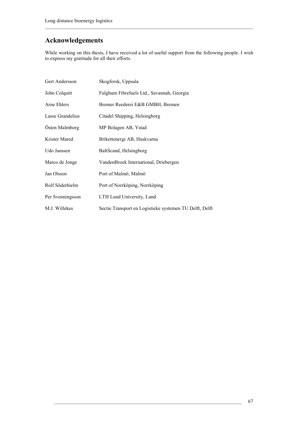# **Acknowledgements**

While working on this thesis, I have received a lot of useful support from the following people. I wish to express my gratitude for all their efforts.

| Gert Andersson   | Skogforsk, Uppsala                                      |
|------------------|---------------------------------------------------------|
| John Colquitt    | Fulghum Fibrefuels Ltd., Savannah, Georgia              |
| Arne Ehlers      | Bremer Reederei E&B GMBH, Bremen                        |
| Lasse Grandelius | Citadel Shipping, Helsingborg                           |
| Östen Malmborg   | MP Bolagen AB, Ystad                                    |
| Krister Mared    | Brikettenergi AB, Huskvarna                             |
| Udo Janssen      | BaltScand, Helsingborg                                  |
| Marco de Jonge   | VandenBroek International, Driebergen                   |
| Jan Olsson       | Port of Malmö, Malmö                                    |
| Rolf Söderhielm  | Port of Norrköping, Norrköping                          |
| Per Svenningsson | LTH Lund University, Lund                               |
| M.J. Willekes    | Sectie Transport en Logistieke systemen TU Delft, Delft |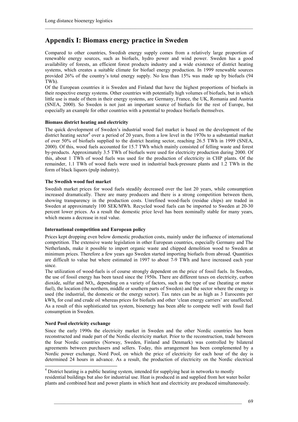# **Appendix I: Biomass energy practice in Sweden**

Compared to other countries, Swedish energy supply comes from a relatively large proportion of renewable energy sources, such as biofuels, hydro power and wind power. Sweden has a good availability of forests, an efficient forest products industry and a wide existence of district heating systems, which creates a suitable climate for biofuel energy production. In 1999 renewable sources provided 26% of the country's total energy supply. No less than 15% was made up by biofuels (94 TWh).

Of the European countries it is Sweden and Finland that have the highest proportions of biofuels in their respective energy systems. Other countries with potentially high volumes of biofuels, but in which little use is made of them in their energy systems, are Germany, France, the UK, Romania and Austria (SNEA, 2000). So Sweden is not just an important source of biofuels for the rest of Europe, but especially an example for other countries with a potential to produce biofuels themselves.

## **Biomass district heating and electricity**

The quick development of Sweden's industrial wood fuel market is based on the development of the district heating sector<sup>4</sup> over a period of 20 years, from a low level in the 1970s to a substantial market of over 50% of biofuels supplied to the district heating sector, reaching 26.5 TWh in 1999 (SNEA, 2000). Of this, wood fuels accounted for 15.7 TWh which mainly consisted of felling waste and forest by-products. Approximately 3.5 TWh of biofuels were used for electricity production during 2000. Of this, about 1 TWh of wood fuels was used for the production of electricity in CHP plants. Of the remainder, 1.1 TWh of wood fuels were used in industrial back-pressure plants and 1.2 TWh in the form of black liquors (pulp industry).

## **The Swedish wood fuel market**

Swedish market prices for wood fuels steadily decreased over the last 20 years, while consumption increased dramatically. There are many producers and there is a strong competition between them, showing transparency in the production costs. Unrefined wood-fuels (residue chips) are traded in Sweden at approximately 100 SEK/MWh. Recycled wood fuels can be imported to Sweden at 20-30 percent lower prices. As a result the domestic price level has been nominally stable for many years, which means a decrease in real value.

## **International competition and European policy**

Prices kept dropping even below domestic production costs, mainly under the influence of international competition. The extensive waste legislation in other European countries, especially Germany and The Netherlands, make it possible to import organic waste and chipped demolition wood to Sweden at minimum prices. Therefore a few years ago Sweden started importing biofuels from abroad. Quantities are difficult to value but where estimated in 1997 to about 7-9 TWh and have increased each year since.

The utilization of wood-fuels is of course strongly dependent on the price of fossil fuels. In Sweden, the use of fossil energy has been taxed since the 1950s. There are different taxes on electricity, carbon dioxide, sulfur and NO<sub>x</sub>, depending on a variety of factors, such as the type of use (heating or motor fuel), the location (the northern, middle or southern parts of Sweden) and the sector where the energy is used (the industrial, the domestic or the energy sector). Tax rates can be as high as 3 Eurocents per kWhe for coal and crude oil whereas prices for biofuels and other 'clean energy carriers' are unaffected. As a result of this sophisticated tax system, bioenergy has been able to compete well with fossil fuel consumption in Sweden.

### **Nord Pool electricity exchange**

l

Since the early 1990s the electricity market in Sweden and the other Nordic countries has been reconstructed and made part of the Nordic electricity market. Prior to the reconstruction, trade between the four Nordic countries (Norway, Sweden, Finland and Denmark) was controlled by bilateral agreements between purchasers and sellers. Today, this arrangement has been complemented by a Nordic power exchange, Nord Pool, on which the price of electricity for each hour of the day is determined 24 hours in advance. As a result, the production of electricity on the Nordic electrical

<sup>&</sup>lt;sup>4</sup> District heating is a public heating system, intended for supplying heat in networks to mostly residential buildings but also for industrial use. Heat is produced in and supplied from hot water boiler plants and combined heat and power plants in which heat and electricity are produced simultaneously.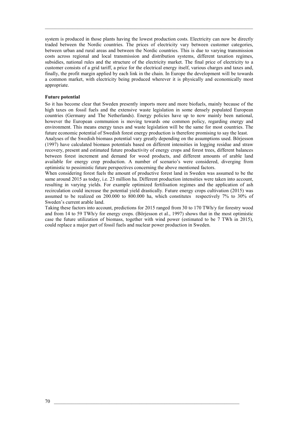system is produced in those plants having the lowest production costs. Electricity can now be directly traded between the Nordic countries. The prices of electricity vary between customer categories, between urban and rural areas and between the Nordic countries. This is due to varying transmission costs across regional and local transmission and distribution systems, different taxation regimes, subsidies, national rules and the structure of the electricity market. The final price of electricity to a customer consists of a grid tariff, a price for the electrical energy itself, various charges and taxes and, finally, the profit margin applied by each link in the chain. In Europe the development will be towards a common market, with electricity being produced wherever it is physically and economically most appropriate.

#### **Future potential**

So it has become clear that Sweden presently imports more and more biofuels, mainly because of the high taxes on fossil fuels and the extensive waste legislation in some densely populated European countries (Germany and The Netherlands). Energy policies have up to now mainly been national, however the European communion is moving towards one common policy, regarding energy and environment. This means energy taxes and waste legislation will be the same for most countries. The future economic potential of Swedish forest energy production is therefore promising to say the least.

Analyses of the Swedish biomass potential vary greatly depending on the assumptions used. Börjesson (1997) have calculated biomass potentials based on different intensities in logging residue and straw recovery, present and estimated future productivity of energy crops and forest trees, different balances between forest increment and demand for wood products, and different amounts of arable land available for energy crop production. A number of scenario's were considered, diverging from optimistic to pessimistic future perspectives concerning the above mentioned factors.

When considering forest fuels the amount of productive forest land in Sweden was assumed to be the same around 2015 as today, i.e. 23 million ha. Different production intensities were taken into account, resulting in varying yields. For example optimized fertilisation regimes and the application of ash recirculation could increase the potential yield drastically. Future energy crops cultivation (2015) was assumed to be realized on 200.000 to 800.000 ha, which constitutes respectively 7% to 30% of Sweden's current arable land.

Taking these factors into account, predictions for 2015 ranged from 30 to 170 TWh/y for forestry wood and from 14 to 59 TWh/y for energy crops. (Börjesson et al., 1997) shows that in the most optimistic case the future utilization of biomass, together with wind power (estimated to be 7 TWh in 2015), could replace a major part of fossil fuels and nuclear power production in Sweden.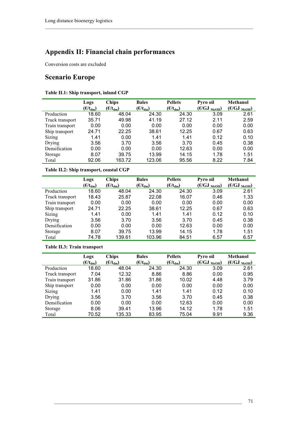# **Appendix II: Financial chain performances**

Conversion costs are excluded

# **Scenario Europe**

## **Table II.1: Ship transport, inland CGP**

|                 | Logs                | <b>Chips</b>        | <b>Bales</b>        | <b>Pellets</b>      | Pyro oil                           | Methanol                                            |
|-----------------|---------------------|---------------------|---------------------|---------------------|------------------------------------|-----------------------------------------------------|
|                 | $(\epsilon/t_{dm})$ | $(\epsilon/t_{dm})$ | $(\epsilon/t_{dm})$ | $(\epsilon/t_{dm})$ | ( $\epsilon$ /GJ <sub>MeOH</sub> ) | $(\boldsymbol{\epsilon}/G\mathbf{J}_{\text{MeOH}})$ |
| Production      | 18.60               | 48.04               | 24.30               | 24.30               | 3.09                               | 2.61                                                |
| Truck transport | 35.71               | 49.98               | 41.19               | 27.12               | 2.11                               | 2.59                                                |
| Train transport | 0.00                | 0.00                | 0.00                | 0.00                | 0.00                               | 0.00                                                |
| Ship transport  | 24.71               | 22.25               | 38.61               | 12.25               | 0.67                               | 0.63                                                |
| Sizing          | 1.41                | 0.00                | 1.41                | 1.41                | 0.12                               | 0.10                                                |
| Drying          | 3.56                | 3.70                | 3.56                | 3.70                | 0.45                               | 0.38                                                |
| Densification   | 0.00                | 0.00                | 0.00                | 12.63               | 0.00                               | 0.00                                                |
| Storage         | 8.07                | 39.75               | 13.99               | 14.15               | 1.78                               | 1.51                                                |
| Total           | 92.06               | 163.72              | 123.06              | 95.56               | 8.22                               | 7.84                                                |

## **Table II.2: Ship transport, coastal CGP**

|                 | Logs                | <b>Chips</b>        | <b>Bales</b>        | <b>Pellets</b>      | Pyro oil                      | Methanol                               |
|-----------------|---------------------|---------------------|---------------------|---------------------|-------------------------------|----------------------------------------|
|                 | $(\epsilon/t_{dm})$ | $(\epsilon/t_{dm})$ | $(\epsilon/t_{dm})$ | $(\epsilon/t_{dm})$ | $(\epsilon/GJ_{\text{MeOH}})$ | $(\boldsymbol{\epsilon}/GJ_{M_{eOH}})$ |
| Production      | 18.60               | 48.04               | 24.30               | 24.30               | 3.09                          | 2.61                                   |
| Truck transport | 18.43               | 25.87               | 22.08               | 16.07               | 0.46                          | 1.33                                   |
| Train transport | 0.00                | 0.00                | 0.00                | 0.00                | 0.00                          | 0.00                                   |
| Ship transport  | 24.71               | 22.25               | 38.61               | 12.25               | 0.67                          | 0.63                                   |
| Sizing          | 1.41                | 0.00                | 1.41                | 1.41                | 0.12                          | 0.10                                   |
| Drying          | 3.56                | 3.70                | 3.56                | 3.70                | 0.45                          | 0.38                                   |
| Densification   | 0.00                | 0.00                | 0.00                | 12.63               | 0.00                          | 0.00                                   |
| Storage         | 8.07                | 39.75               | 13.99               | 14.15               | 1.78                          | 1.51                                   |
| Total           | 74.78               | 139.61              | 103.96              | 84.51               | 6.57                          | 6.57                                   |

## **Table II.3: Train transport**

|                 | Logs                | <b>Chips</b>        | <b>Bales</b>        | <b>Pellets</b>      | Pyro oil        | Methanol                           |
|-----------------|---------------------|---------------------|---------------------|---------------------|-----------------|------------------------------------|
|                 | $(\epsilon/t_{dm})$ | $(\epsilon/t_{dm})$ | $(\epsilon/t_{dm})$ | $(\epsilon/t_{dm})$ | $(E/GJ_{MeOH})$ | ( $\epsilon$ /GJ <sub>MeOH</sub> ) |
| Production      | 18.60               | 48.04               | 24.30               | 24.30               | 3.09            | 2.61                               |
| Truck transport | 7.04                | 12.32               | 8.86                | 8.86                | 0.00            | 0.95                               |
| Train transport | 31.86               | 31.86               | 31.86               | 10.02               | 4.48            | 3.79                               |
| Ship transport  | 0.00                | 0.00                | 0.00                | 0.00                | 0.00            | 0.00                               |
| Sizing          | 1.41                | 0.00                | 1.41                | 1.41                | 0.12            | 0.10                               |
| Drying          | 3.56                | 3.70                | 3.56                | 3.70                | 0.45            | 0.38                               |
| Densification   | 0.00                | 0.00                | 0.00                | 12.63               | 0.00            | 0.00                               |
| Storage         | 8.06                | 39.41               | 13.96               | 14.12               | 1.78            | 1.51                               |
| Total           | 70.52               | 135.33              | 83.95               | 75.04               | 9.91            | 9.36                               |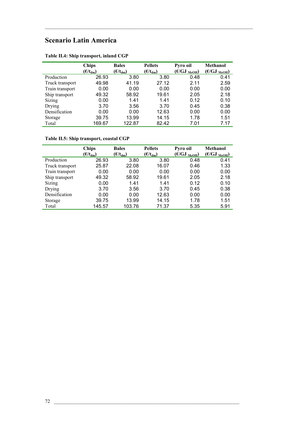## **Scenario Latin America**

|                 | <b>Chips</b><br>$(\epsilon/t_{dm})$ | <b>Bales</b><br>$(\epsilon/t_{dm})$ | <b>Pellets</b><br>$(\epsilon/t_{dm})$ | Pyro oil<br>$(\boldsymbol{\epsilon}/GJ_{MeOH})$ | Methanol                                                 |
|-----------------|-------------------------------------|-------------------------------------|---------------------------------------|-------------------------------------------------|----------------------------------------------------------|
|                 |                                     |                                     |                                       |                                                 | $(\text{\ensuremath{\mathfrak{C}/GJ}}$ <sub>MeOH</sub> ) |
| Production      | 26.93                               | 3.80                                | 3.80                                  | 0.48                                            | 0.41                                                     |
| Truck transport | 49.98                               | 41.19                               | 27.12                                 | 2.11                                            | 2.59                                                     |
| Train transport | 0.00                                | 0.00                                | 0.00                                  | 0.00                                            | 0.00                                                     |
| Ship transport  | 49.32                               | 58.92                               | 19.61                                 | 2.05                                            | 2.18                                                     |
| <b>Sizing</b>   | 0.00                                | 1.41                                | 1.41                                  | 0.12                                            | 0.10                                                     |
| Drying          | 3.70                                | 3.56                                | 3.70                                  | 0.45                                            | 0.38                                                     |
| Densification   | 0.00                                | 0.00                                | 12.63                                 | 0.00                                            | 0.00                                                     |
| Storage         | 39.75                               | 13.99                               | 14.15                                 | 1.78                                            | 1.51                                                     |
| Total           | 169.67                              | 122.87                              | 82.42                                 | 7.01                                            | 7.17                                                     |

#### **Table II.4: Ship transport, inland CGP**

## **Table II.5: Ship transport, coastal CGP**

|                 | <b>Chips</b>        | <b>Bales</b>        | <b>Pellets</b>      | Pyro oil        | <b>Methanol</b>                            |
|-----------------|---------------------|---------------------|---------------------|-----------------|--------------------------------------------|
|                 | $(\epsilon/t_{dm})$ | $(\epsilon/t_{dm})$ | $(\epsilon/t_{dm})$ | $(E/GJ_{MeOH})$ | $(\boldsymbol{\epsilon}/GJ_{\text{MeOH}})$ |
| Production      | 26.93               | 3.80                | 3.80                | 0.48            | 0.41                                       |
| Truck transport | 25.87               | 22.08               | 16.07               | 0.46            | 1.33                                       |
| Train transport | 0.00                | 0.00                | 0.00                | 0.00            | 0.00                                       |
| Ship transport  | 49.32               | 58.92               | 19.61               | 2.05            | 2.18                                       |
| Sizing          | 0.00                | 1.41                | 1.41                | 0.12            | 0.10                                       |
| Drying          | 3.70                | 3.56                | 3.70                | 0.45            | 0.38                                       |
| Densification   | 0.00                | 0.00                | 12.63               | 0.00            | 0.00                                       |
| Storage         | 39.75               | 13.99               | 14.15               | 1.78            | 1.51                                       |
| Total           | 145.57              | 103.76              | 71.37               | 5.35            | 5.91                                       |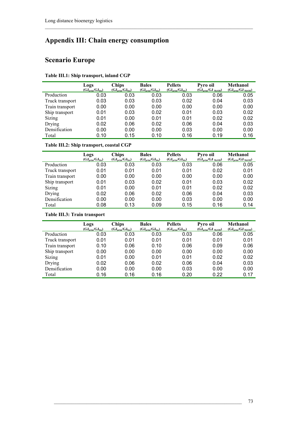# **Appendix III: Chain energy consumption**

# **Scenario Europe**

## **Table III.1: Ship transport, inland CGP**

|                 | Logs<br>$(GJ_{\text{prim}}/GJ_{\text{bio}})$ | Chips<br>$(GJ_{\text{prim}}/GJ_{\text{bio}})$ | <b>Bales</b><br>$(GJ_{\text{prim}}/GJ_{\text{bio}})$ | <b>Pellets</b><br>$(GJ_{\text{prim}}/GJ_{\text{bio}})$ | Pyro oil<br>$(GJ_{prim}/GJ_{MeOH})$ | Methanol<br>$(GJ_{\text{prim}}/GJ_{\text{MeOH}})$ |
|-----------------|----------------------------------------------|-----------------------------------------------|------------------------------------------------------|--------------------------------------------------------|-------------------------------------|---------------------------------------------------|
| Production      | 0.03                                         | 0.03                                          | 0.03                                                 | 0.03                                                   | 0.06                                | 0.05                                              |
| Truck transport | 0.03                                         | 0.03                                          | 0.03                                                 | 0.02                                                   | 0.04                                | 0.03                                              |
| Train transport | 0.00                                         | 0.00                                          | 0.00                                                 | 0.00                                                   | 0.00                                | 0.00                                              |
| Ship transport  | 0.01                                         | 0.03                                          | 0.02                                                 | 0.01                                                   | 0.03                                | 0.02                                              |
| <b>Sizing</b>   | 0.01                                         | 0.00                                          | 0.01                                                 | 0.01                                                   | 0.02                                | 0.02                                              |
| Drying          | 0.02                                         | 0.06                                          | 0.02                                                 | 0.06                                                   | 0.04                                | 0.03                                              |
| Densification   | 0.00                                         | 0.00                                          | 0.00                                                 | 0.03                                                   | 0.00                                | 0.00                                              |
| Total           | 0.10                                         | 0.15                                          | 0.10                                                 | 0.16                                                   | 0.19                                | 0.16                                              |

#### **Table III.2: Ship transport, coastal CGP**

|                 | Logs<br>$(GJ_{\text{prim}}/GJ_{\text{bio}})$ | <b>Chips</b><br>$(GJ_{\text{prim}}/GJ_{\text{bio}})$ | <b>Bales</b><br>$(\mathrm{GJ}_{\mathrm{prim}}/\mathrm{GJ}_{\mathrm{bio}})$ | <b>Pellets</b><br>$(GJ_{\text{prim}}/GJ_{\text{bio}})$ | Pyro oil<br>$(GJ_{\text{prim}}/GJ_{\text{MeOH}})$ | Methanol<br>$(GJ_{\text{prim}}/GJ_{\text{MeOH}})$ |
|-----------------|----------------------------------------------|------------------------------------------------------|----------------------------------------------------------------------------|--------------------------------------------------------|---------------------------------------------------|---------------------------------------------------|
| Production      | 0.03                                         | 0.03                                                 | 0.03                                                                       | 0.03                                                   | 0.06                                              | 0.05                                              |
| Truck transport | 0.01                                         | 0.01                                                 | 0.01                                                                       | 0.01                                                   | 0.02                                              | 0.01                                              |
| Train transport | 0.00                                         | 0.00                                                 | 0.00                                                                       | 0.00                                                   | 0.00                                              | 0.00                                              |
| Ship transport  | 0.01                                         | 0.03                                                 | 0.02                                                                       | 0.01                                                   | 0.03                                              | 0.02                                              |
| <b>Sizing</b>   | 0.01                                         | 0.00                                                 | 0.01                                                                       | 0.01                                                   | 0.02                                              | 0.02                                              |
| Drying          | 0.02                                         | 0.06                                                 | 0.02                                                                       | 0.06                                                   | 0.04                                              | 0.03                                              |
| Densification   | 0.00                                         | 0.00                                                 | 0.00                                                                       | 0.03                                                   | 0.00                                              | 0.00                                              |
| Total           | 0.08                                         | 0.13                                                 | 0.09                                                                       | 0.15                                                   | 0.16                                              | 0.14                                              |

#### **Table III.3: Train transport**

|                 | Logs                                 | <b>Chips</b>                         | <b>Bales</b>                         | <b>Pellets</b>                       | Pyro oil                              | Methanol                              |
|-----------------|--------------------------------------|--------------------------------------|--------------------------------------|--------------------------------------|---------------------------------------|---------------------------------------|
|                 | $(GJ_{\text{prim}}/GJ_{\text{bio}})$ | $(GJ_{\text{prim}}/GJ_{\text{bio}})$ | $(GJ_{\text{prim}}/GJ_{\text{bio}})$ | $(GJ_{\text{prim}}/GJ_{\text{bio}})$ | $(GJ_{\text{orim}}/GJ_{\text{MeOH}})$ | $(GJ_{\text{prim}}/GJ_{\text{MeOH}})$ |
| Production      | 0.03                                 | 0.03                                 | 0.03                                 | 0.03                                 | 0.06                                  | 0.05                                  |
| Truck transport | 0.01                                 | 0.01                                 | 0.01                                 | 0.01                                 | 0.01                                  | 0.01                                  |
| Train transport | 0.10                                 | 0.06                                 | 0.10                                 | 0.06                                 | 0.09                                  | 0.06                                  |
| Ship transport  | 0.00                                 | 0.00                                 | 0.00                                 | 0.00                                 | 0.00                                  | 0.00                                  |
| <b>Sizing</b>   | 0.01                                 | 0.00                                 | 0.01                                 | 0.01                                 | 0.02                                  | 0.02                                  |
| Drying          | 0.02                                 | 0.06                                 | 0.02                                 | 0.06                                 | 0.04                                  | 0.03                                  |
| Densification   | 0.00                                 | 0.00                                 | 0.00                                 | 0.03                                 | 0.00                                  | 0.00                                  |
| Total           | 0.16                                 | 0.16                                 | 0.16                                 | 0.20                                 | 0.22                                  | 0.17                                  |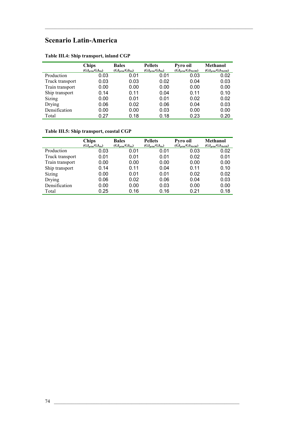# **Scenario Latin-America**

|                 | <b>Chips</b><br>$(GJ_{\text{prim}}/GJ_{\text{bio}})$ | <b>Bales</b><br>$(GJ_{\text{prim}}/GJ_{\text{bio}})$ | <b>Pellets</b><br>$(GJ_{\text{prim}}/GJ_{\text{bio}})$ | Pyro oil<br>$(GJ_{prim}/GJ_{MeOH})$ | Methanol<br>$(GJ_{\text{prim}}/GJ_{\text{MeOH}})$ |
|-----------------|------------------------------------------------------|------------------------------------------------------|--------------------------------------------------------|-------------------------------------|---------------------------------------------------|
| Production      | 0.03                                                 | 0.01                                                 | 0.01                                                   | 0.03                                | 0.02                                              |
| Truck transport | 0.03                                                 | 0.03                                                 | 0.02                                                   | 0.04                                | 0.03                                              |
| Train transport | 0.00                                                 | 0.00                                                 | 0.00                                                   | 0.00                                | 0.00                                              |
| Ship transport  | 0.14                                                 | 0.11                                                 | 0.04                                                   | 0.11                                | 0.10                                              |
| Sizing          | 0.00                                                 | 0.01                                                 | 0.01                                                   | 0.02                                | 0.02                                              |
| Drying          | 0.06                                                 | 0.02                                                 | 0.06                                                   | 0.04                                | 0.03                                              |
| Densification   | 0.00                                                 | 0.00                                                 | 0.03                                                   | 0.00                                | 0.00                                              |
| Total           | 0.27                                                 | 0.18                                                 | 0.18                                                   | 0.23                                | 0.20                                              |

#### **Table III.4: Ship transport, inland CGP**

## **Table III.5: Ship transport, coastal CGP**

|                 | <b>Chips</b>                         | <b>Bales</b>                         | <b>Pellets</b>                       | Pyro oil                              | Methanol                              |
|-----------------|--------------------------------------|--------------------------------------|--------------------------------------|---------------------------------------|---------------------------------------|
|                 | $(GJ_{\text{prim}}/GJ_{\text{bio}})$ | $(GJ_{\text{prim}}/GJ_{\text{bio}})$ | $(GJ_{\text{prim}}/GJ_{\text{bio}})$ | $(GJ_{\text{prim}}/GJ_{\text{MeOH}})$ | $(GJ_{\text{prim}}/GJ_{\text{MeOH}})$ |
| Production      | 0.03                                 | 0.01                                 | 0.01                                 | 0.03                                  | 0.02                                  |
| Truck transport | 0.01                                 | 0.01                                 | 0.01                                 | 0.02                                  | 0.01                                  |
| Train transport | 0.00                                 | 0.00                                 | 0.00                                 | 0.00                                  | 0.00                                  |
| Ship transport  | 0.14                                 | 0.11                                 | 0.04                                 | 0.11                                  | 0.10                                  |
| Sizing          | 0.00                                 | 0.01                                 | 0.01                                 | 0.02                                  | 0.02                                  |
| Drying          | 0.06                                 | 0.02                                 | 0.06                                 | 0.04                                  | 0.03                                  |
| Densification   | 0.00                                 | 0.00                                 | 0.03                                 | 0.00                                  | 0.00                                  |
| Total           | 0.25                                 | 0.16                                 | 0.16                                 | 0.21                                  | 0.18                                  |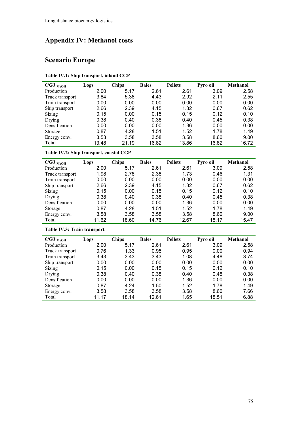# **Appendix IV: Methanol costs**

# **Scenario Europe**

| Table IV.1: Ship transport, inland CGP |  |  |
|----------------------------------------|--|--|
|                                        |  |  |

| $\epsilon$ /GJ <sub>MeOH</sub> | Logs  | <b>Chips</b> | <b>Bales</b> | <b>Pellets</b> | Pyro oil | Methanol |
|--------------------------------|-------|--------------|--------------|----------------|----------|----------|
| Production                     | 2.00  | 5.17         | 2.61         | 2.61           | 3.09     | 2.58     |
| Truck transport                | 3.84  | 5.38         | 4.43         | 2.92           | 2.11     | 2.55     |
| Train transport                | 0.00  | 0.00         | 0.00         | 0.00           | 0.00     | 0.00     |
| Ship transport                 | 2.66  | 2.39         | 4.15         | 1.32           | 0.67     | 0.62     |
| Sizing                         | 0.15  | 0.00         | 0.15         | 0.15           | 0.12     | 0.10     |
| Drying                         | 0.38  | 0.40         | 0.38         | 0.40           | 0.45     | 0.38     |
| Densification                  | 0.00  | 0.00         | 0.00         | 1.36           | 0.00     | 0.00     |
| Storage                        | 0.87  | 4.28         | 1.51         | 1.52           | 1.78     | 1.49     |
| Energy conv.                   | 3.58  | 3.58         | 3.58         | 3.58           | 8.60     | 9.00     |
| Total                          | 13.48 | 21.19        | 16.82        | 13.86          | 16.82    | 16.72    |

## **Table IV.2: Ship transport, coastal CGP**

| $E/GJ$ <sub>MeOH</sub> | Logs  | <b>Chips</b> | <b>Bales</b> | <b>Pellets</b> | Pyro oil | Methanol |
|------------------------|-------|--------------|--------------|----------------|----------|----------|
| Production             | 2.00  | 5.17         | 2.61         | 2.61           | 3.09     | 2.58     |
| Truck transport        | 1.98  | 2.78         | 2.38         | 1.73           | 0.46     | 1.31     |
| Train transport        | 0.00  | 0.00         | 0.00         | 0.00           | 0.00     | 0.00     |
| Ship transport         | 2.66  | 2.39         | 4.15         | 1.32           | 0.67     | 0.62     |
| <b>Sizing</b>          | 0.15  | 0.00         | 0.15         | 0.15           | 0.12     | 0.10     |
| Drying                 | 0.38  | 0.40         | 0.38         | 0.40           | 0.45     | 0.38     |
| Densification          | 0.00  | 0.00         | 0.00         | 1.36           | 0.00     | 0.00     |
| Storage                | 0.87  | 4.28         | 1.51         | 1.52           | 1.78     | 1.49     |
| Energy conv.           | 3.58  | 3.58         | 3.58         | 3.58           | 8.60     | 9.00     |
| Total                  | 11.62 | 18.60        | 14.76        | 12.67          | 15.17    | 15.47    |

#### **Table IV.3: Train transport**

| $\epsilon$ /GJ $_{\text{MeOH}}$ | Logs  | <b>Chips</b> | <b>Bales</b> | <b>Pellets</b> | Pyro oil | Methanol |
|---------------------------------|-------|--------------|--------------|----------------|----------|----------|
| Production                      | 2.00  | 5.17         | 2.61         | 2.61           | 3.09     | 2.58     |
| Truck transport                 | 0.76  | 1.33         | 0.95         | 0.95           | 0.00     | 0.94     |
| Train transport                 | 3.43  | 3.43         | 3.43         | 1.08           | 4.48     | 3.74     |
| Ship transport                  | 0.00  | 0.00         | 0.00         | 0.00           | 0.00     | 0.00     |
| Sizing                          | 0.15  | 0.00         | 0.15         | 0.15           | 0.12     | 0.10     |
| Drying                          | 0.38  | 0.40         | 0.38         | 0.40           | 0.45     | 0.38     |
| Densification                   | 0.00  | 0.00         | 0.00         | 1.36           | 0.00     | 0.00     |
| Storage                         | 0.87  | 4.24         | 1.50         | 1.52           | 1.78     | 1.49     |
| Energy conv.                    | 3.58  | 3.58         | 3.58         | 3.58           | 8.60     | 7.66     |
| Total                           | 11.17 | 18.14        | 12.61        | 11.65          | 18.51    | 16.88    |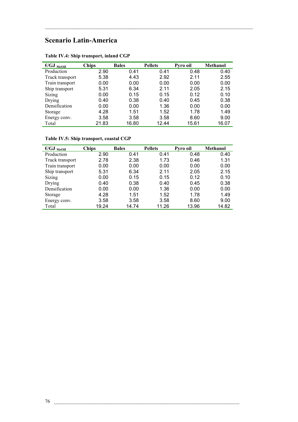# **Scenario Latin-America**

| $\epsilon$ /GJ <sub>MeOH</sub> | <b>Chips</b> | <b>Bales</b> | <b>Pellets</b> | Pyro oil | Methanol |
|--------------------------------|--------------|--------------|----------------|----------|----------|
| Production                     | 2.90         | 0.41         | 0.41           | 0.48     | 0.40     |
| Truck transport                | 5.38         | 4.43         | 2.92           | 2.11     | 2.55     |
| Train transport                | 0.00         | 0.00         | 0.00           | 0.00     | 0.00     |
| Ship transport                 | 5.31         | 6.34         | 2.11           | 2.05     | 2.15     |
| <b>Sizing</b>                  | 0.00         | 0.15         | 0.15           | 0.12     | 0.10     |
| Drying                         | 0.40         | 0.38         | 0.40           | 0.45     | 0.38     |
| Densification                  | 0.00         | 0.00         | 1.36           | 0.00     | 0.00     |
| Storage                        | 4.28         | 1.51         | 1.52           | 1.78     | 1.49     |
| Energy conv.                   | 3.58         | 3.58         | 3.58           | 8.60     | 9.00     |
| Total                          | 21.83        | 16.80        | 12.44          | 15.61    | 16.07    |

#### **Table IV.4: Ship transport, inland CGP**

## **Table IV.5: Ship transport, coastal CGP**

| $E/GJ$ MeOH     | <b>Chips</b> | <b>Bales</b> | <b>Pellets</b> | Pyro oil | Methanol |
|-----------------|--------------|--------------|----------------|----------|----------|
| Production      | 2.90         | 0.41         | 0.41           | 0.48     | 0.40     |
| Truck transport | 2.78         | 2.38         | 1.73           | 0.46     | 1.31     |
| Train transport | 0.00         | 0.00         | 0.00           | 0.00     | 0.00     |
| Ship transport  | 5.31         | 6.34         | 2.11           | 2.05     | 2.15     |
| Sizing          | 0.00         | 0.15         | 0.15           | 0.12     | 0.10     |
| Drying          | 0.40         | 0.38         | 0.40           | 0.45     | 0.38     |
| Densification   | 0.00         | 0.00         | 1.36           | 0.00     | 0.00     |
| Storage         | 4.28         | 1.51         | 1.52           | 1.78     | 1.49     |
| Energy conv.    | 3.58         | 3.58         | 3.58           | 8.60     | 9.00     |
| Total           | 19.24        | 14.74        | 11.26          | 13.96    | 14.82    |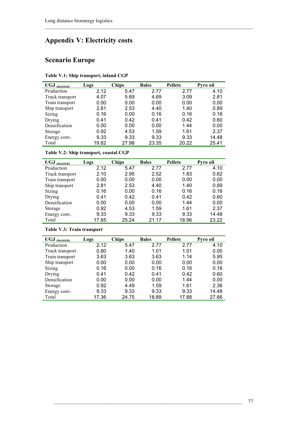# **Appendix V: Electricity costs**

# **Scenario Europe**

| Table V.1: Ship transport, inland CGP |  |  |
|---------------------------------------|--|--|
|                                       |  |  |

| $E/GJ$ <sub>electricity</sub> | Logs  | <b>Chips</b> | <b>Bales</b> | <b>Pellets</b> | Pyro oil |
|-------------------------------|-------|--------------|--------------|----------------|----------|
| Production                    | 2.12  | 5.47         | 2.77         | 2.77           | 4.10     |
| Truck transport               | 4.07  | 5.69         | 4.69         | 3.09           | 2.81     |
| Train transport               | 0.00  | 0.00         | 0.00         | 0.00           | 0.00     |
| Ship transport                | 2.81  | 2.53         | 4.40         | 1.40           | 0.89     |
| Sizing                        | 0.16  | 0.00         | 0.16         | 0.16           | 0.16     |
| Drying                        | 0.41  | 0.42         | 0.41         | 0.42           | 0.60     |
| Densification                 | 0.00  | 0.00         | 0.00         | 1.44           | 0.00     |
| Storage                       | 0.92  | 4.53         | 1.59         | 1.61           | 2.37     |
| Energy conv.                  | 9.33  | 9.33         | 9.33         | 9.33           | 14.48    |
| Total                         | 19.82 | 27.98        | 23.35        | 20.22          | 25.41    |

## **Table V.2: Ship transport, coastal CGP**

| $\epsilon$ /GJ electricity | Logs  | <b>Chips</b> | <b>Bales</b> | <b>Pellets</b> | Pyro oil |
|----------------------------|-------|--------------|--------------|----------------|----------|
| Production                 | 2.12  | 5.47         | 2.77         | 2.77           | 4.10     |
| Truck transport            | 2.10  | 2.95         | 2.52         | 1.83           | 0.62     |
| Train transport            | 0.00  | 0.00         | 0.00         | 0.00           | 0.00     |
| Ship transport             | 2.81  | 2.53         | 4.40         | 1.40           | 0.89     |
| Sizing                     | 0.16  | 0.00         | 0.16         | 0.16           | 0.16     |
| Drying                     | 0.41  | 0.42         | 0.41         | 0.42           | 0.60     |
| Densification              | 0.00  | 0.00         | 0.00         | 1.44           | 0.00     |
| Storage                    | 0.92  | 4.53         | 1.59         | 1.61           | 2.37     |
| Energy conv.               | 9.33  | 9.33         | 9.33         | 9.33           | 14.48    |
| Total                      | 17.85 | 25.24        | 21.17        | 18.96          | 23.22    |

#### **Table V.3: Train transport**

| $E/GJ$ <sub>electricity</sub> | Logs  | <b>Chips</b> | <b>Bales</b> | <b>Pellets</b> | Pyro oil |
|-------------------------------|-------|--------------|--------------|----------------|----------|
| Production                    | 2.12  | 5.47         | 2.77         | 2.77           | 4.10     |
| Truck transport               | 0.80  | 1.40         | 1.01         | 1.01           | 0.00     |
| Train transport               | 3.63  | 3.63         | 3.63         | 1.14           | 5.95     |
| Ship transport                | 0.00  | 0.00         | 0.00         | 0.00           | 0.00     |
| Sizing                        | 0.16  | 0.00         | 0.16         | 0.16           | 0.16     |
| Drying                        | 0.41  | 0.42         | 0.41         | 0.42           | 0.60     |
| Densification                 | 0.00  | 0.00         | 0.00         | 1.44           | 0.00     |
| Storage                       | 0.92  | 4.49         | 1.59         | 1.61           | 2.36     |
| Energy conv.                  | 9.33  | 9.33         | 9.33         | 9.33           | 14.48    |
| Total                         | 17.36 | 24.75        | 18.89        | 17.88          | 27.66    |